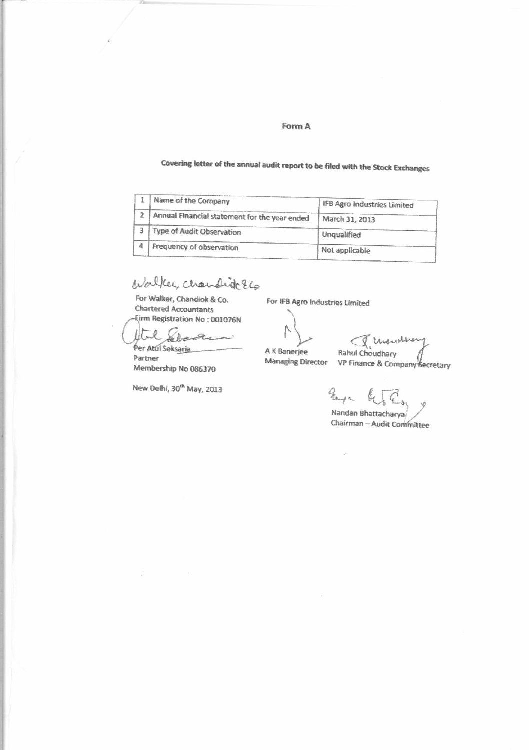#### Form A

# Covering letter of the annual audit report to be filed with the Stock Exchanges

|                | I Name of the Company                         | IFB Agro Industries Limited |
|----------------|-----------------------------------------------|-----------------------------|
| $\overline{2}$ | Annual Financial statement for the year ended | March 31, 2013              |
|                | Type of Audit Observation                     | Unqualified                 |
|                | Frequency of observation                      | Not applicable              |

Walker, chandidc E6

For Walker, Chandiok & Co. **Chartered Accountants Eirm Registration No: 001076N** 

lltel  $\mathcal{L}$ Per Atul Seksaria

Partner Membership No 086370

New Delhi, 30<sup>th</sup> May, 2013

For IFB Agro Industries Limited

ľ

A K Banerjee **Managing Director** 

Rahul Choudhary<br>Rahul Choudhary<br>VP Finance & Company Secretary

gaya Nandan Bhattacharya/

Chairman - Audit Committee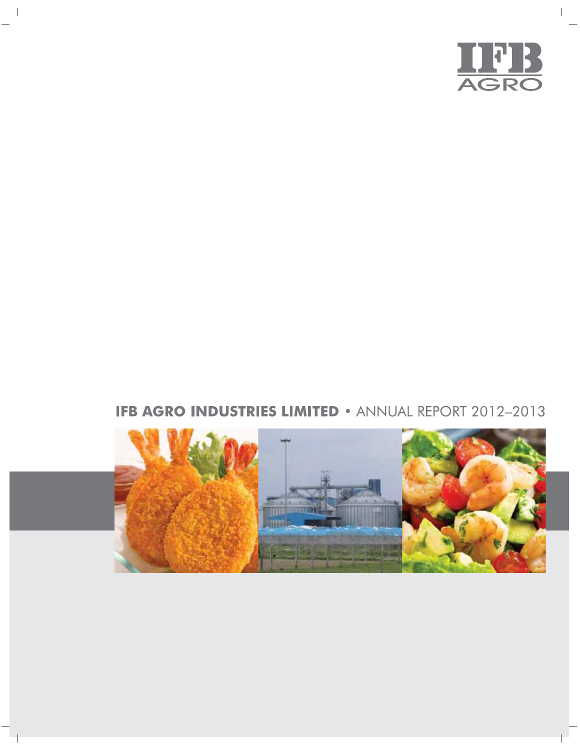

 $\overline{\phantom{a}}$ 

# **IFB AGRO INDUSTRIES LIMITED • ANNUAL REPORT 2012-2013**



 $\frac{1}{2}$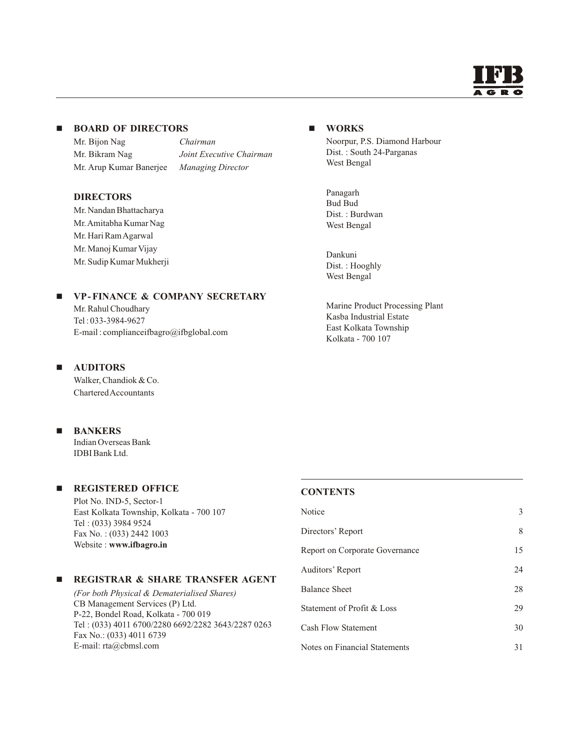

# **BOARD OF DIRECTORS**

Mr. Bijon Nag *Chairman* Mr. Bikram Nag *Joint Executive Chairman* Mr. Arup Kumar Banerjee *Managing Director*

#### **DIRECTORS**

Mr. Nandan Bhattacharya Mr.Amitabha Kumar Nag Mr. Hari Ram Agarwal Mr. Manoj Kumar Vijay Mr. Sudip Kumar Mukherji

## **VP-FINANCE & COMPANY SECRETARY**

Mr. Rahul Choudhary Tel : 033-3984-9627 E-mail : complianceifbagro@ifbglobal.com

## **AUDITORS**

Walker, Chandiok & Co. Chartered Accountants

#### $\blacksquare$ **BANKERS**

Indian Overseas Bank IDBI Bank Ltd.

## **REGISTERED OFFICE**

Plot No. IND-5, Sector-1 East Kolkata Township, Kolkata - 700 107 Tel : (033) 3984 9524 Fax No. : (033) 2442 1003 Website : **www.ifbagro.in**

#### $\blacksquare$ **REGISTRAR & SHARE TRANSFER AGENT**

*(For both Physical & Dematerialised Shares)* CB Management Services (P) Ltd. P-22, Bondel Road, Kolkata - 700 019 Tel : (033) 4011 6700/2280 6692/2282 3643/2287 0263 Fax No.: (033) 4011 6739 E-mail: rta@cbmsl.com

## **WORKS**

Noorpur, P.S. Diamond Harbour Dist. : South 24-Parganas West Bengal

Panagarh Bud Bud Dist. : Burdwan West Bengal

Dankuni Dist. : Hooghly West Bengal

Marine Product Processing Plant Kasba Industrial Estate East Kolkata Township Kolkata - 700 107

#### **CONTENTS**

| Notice                         | 3  |
|--------------------------------|----|
| Directors' Report              | 8  |
| Report on Corporate Governance | 15 |
| Auditors' Report               | 24 |
| <b>Balance Sheet</b>           | 28 |
| Statement of Profit & Loss     | 29 |
| <b>Cash Flow Statement</b>     | 30 |
| Notes on Financial Statements  | 31 |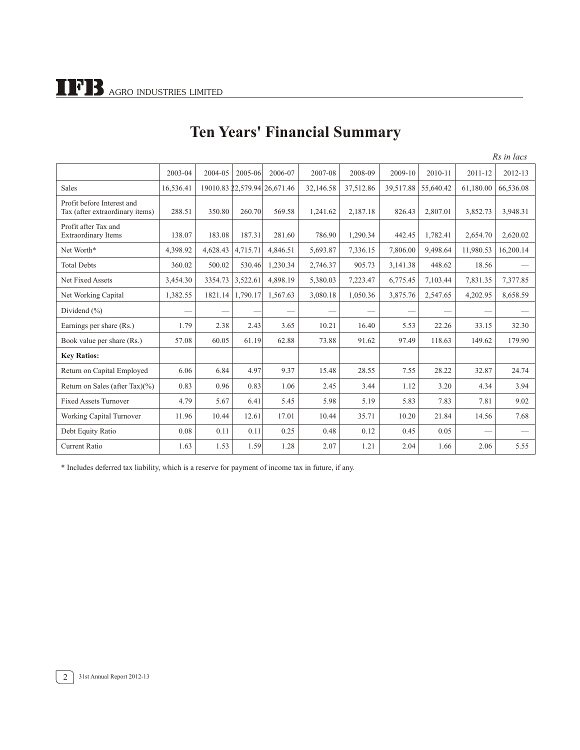|                                                               |           |          |          |                              |           |           |           |           |           | Rs in lacs |
|---------------------------------------------------------------|-----------|----------|----------|------------------------------|-----------|-----------|-----------|-----------|-----------|------------|
|                                                               | 2003-04   | 2004-05  | 2005-06  | 2006-07                      | 2007-08   | 2008-09   | 2009-10   | 2010-11   | 2011-12   | 2012-13    |
| <b>Sales</b>                                                  | 16,536.41 |          |          | 19010.83 22,579.94 26,671.46 | 32,146.58 | 37,512.86 | 39,517.88 | 55,640.42 | 61,180.00 | 66,536.08  |
| Profit before Interest and<br>Tax (after extraordinary items) | 288.51    | 350.80   | 260.70   | 569.58                       | 1,241.62  | 2,187.18  | 826.43    | 2,807.01  | 3,852.73  | 3,948.31   |
| Profit after Tax and<br><b>Extraordinary Items</b>            | 138.07    | 183.08   | 187.31   | 281.60                       | 786.90    | 1,290.34  | 442.45    | 1,782.41  | 2,654.70  | 2,620.02   |
| Net Worth*                                                    | 4,398.92  | 4,628.43 | 4,715.71 | 4,846.51                     | 5,693.87  | 7,336.15  | 7,806.00  | 9,498.64  | 11,980.53 | 16,200.14  |
| <b>Total Debts</b>                                            | 360.02    | 500.02   | 530.46   | 1,230.34                     | 2,746.37  | 905.73    | 3,141.38  | 448.62    | 18.56     |            |
| Net Fixed Assets                                              | 3,454.30  | 3354.73  | 3,522.61 | 4.898.19                     | 5,380.03  | 7,223.47  | 6,775.45  | 7,103.44  | 7,831.35  | 7,377.85   |
| Net Working Capital                                           | 1,382.55  | 1821.14  | 1,790.17 | 1,567.63                     | 3,080.18  | 1,050.36  | 3,875.76  | 2,547.65  | 4,202.95  | 8,658.59   |
| Dividend $(\% )$                                              |           |          |          |                              |           |           |           |           |           |            |
| Earnings per share (Rs.)                                      | 1.79      | 2.38     | 2.43     | 3.65                         | 10.21     | 16.40     | 5.53      | 22.26     | 33.15     | 32.30      |
| Book value per share (Rs.)                                    | 57.08     | 60.05    | 61.19    | 62.88                        | 73.88     | 91.62     | 97.49     | 118.63    | 149.62    | 179.90     |
| <b>Key Ratios:</b>                                            |           |          |          |                              |           |           |           |           |           |            |
| Return on Capital Employed                                    | 6.06      | 6.84     | 4.97     | 9.37                         | 15.48     | 28.55     | 7.55      | 28.22     | 32.87     | 24.74      |
| Return on Sales (after Tax) $(\% )$                           | 0.83      | 0.96     | 0.83     | 1.06                         | 2.45      | 3.44      | 1.12      | 3.20      | 4.34      | 3.94       |
| <b>Fixed Assets Turnover</b>                                  | 4.79      | 5.67     | 6.41     | 5.45                         | 5.98      | 5.19      | 5.83      | 7.83      | 7.81      | 9.02       |
| Working Capital Turnover                                      | 11.96     | 10.44    | 12.61    | 17.01                        | 10.44     | 35.71     | 10.20     | 21.84     | 14.56     | 7.68       |
| Debt Equity Ratio                                             | 0.08      | 0.11     | 0.11     | 0.25                         | 0.48      | 0.12      | 0.45      | 0.05      |           |            |
| <b>Current Ratio</b>                                          | 1.63      | 1.53     | 1.59     | 1.28                         | 2.07      | 1.21      | 2.04      | 1.66      | 2.06      | 5.55       |

# **Ten Years' Financial Summary**

\* Includes deferred tax liability, which is a reserve for payment of income tax in future, if any.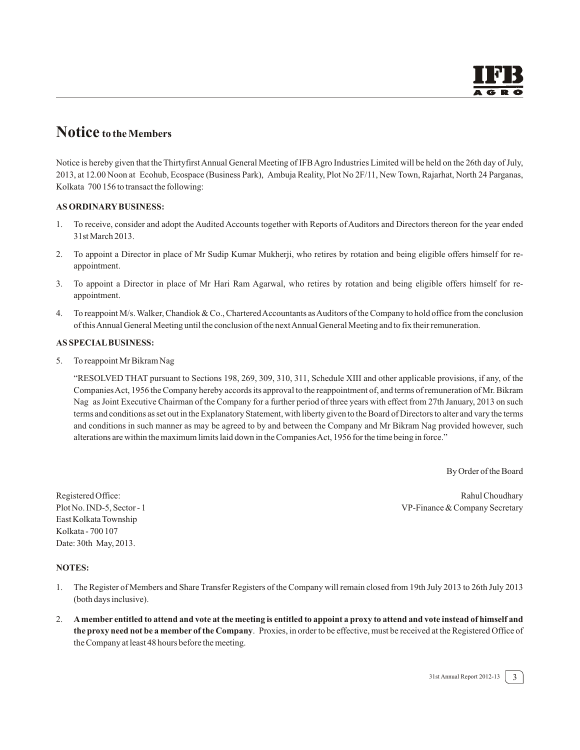# **Notice to the Members**

Notice is hereby given that the Thirtyfirst Annual General Meeting of IFB Agro Industries Limited will be held on the 26th day of July, 2013, at 12.00 Noon at Ecohub, Ecospace (Business Park), Ambuja Reality, Plot No 2F/11, New Town, Rajarhat, North 24 Parganas, Kolkata 700 156 to transact the following:

#### **AS ORDINARY BUSINESS:**

- 1. To receive, consider and adopt the Audited Accounts together with Reports of Auditors and Directors thereon for the year ended 31st March 2013.
- 2. To appoint a Director in place of Mr Sudip Kumar Mukherji, who retires by rotation and being eligible offers himself for reappointment.
- 3. To appoint a Director in place of Mr Hari Ram Agarwal, who retires by rotation and being eligible offers himself for reappointment.
- 4. To reappoint M/s. Walker, Chandiok & Co., Chartered Accountants as Auditors of the Company to hold office from the conclusion of this Annual General Meeting until the conclusion of the next Annual General Meeting and to fix their remuneration.

#### **AS SPECIAL BUSINESS:**

5. To reappoint Mr Bikram Nag

"RESOLVED THAT pursuant to Sections 198, 269, 309, 310, 311, Schedule XIII and other applicable provisions, if any, of the CompaniesAct, 1956 the Company hereby accords its approval to the reappointment of, and terms of remuneration of Mr. Bikram Nag as Joint Executive Chairman of the Company for a further period of three years with effect from 27th January, 2013 on such terms and conditions as set out in the Explanatory Statement, with liberty given to the Board of Directors to alter and vary the terms and conditions in such manner as may be agreed to by and between the Company and Mr Bikram Nag provided however, such alterations are within the maximum limits laid down in the Companies Act, 1956 for the time being in force."

By Order of the Board

Registered Office: Rahul Choudhary Rahul Choudhary Plot No. IND-5, Sector - 1 VP-Finance & Company Secretary

East Kolkata Township Kolkata - 700 107 Date: 30th May, 2013.

#### **NOTES:**

- 1. The Register of Members and Share Transfer Registers of the Company will remain closed from 19th July 2013 to 26th July 2013 (both days inclusive).
- 2. **A member entitled to attend and vote at the meeting is entitled to appoint a proxy to attend and vote instead of himself and the proxy need not be a member of the Company**. Proxies, in order to be effective, must be received at the Registered Office of the Company at least 48 hours before the meeting.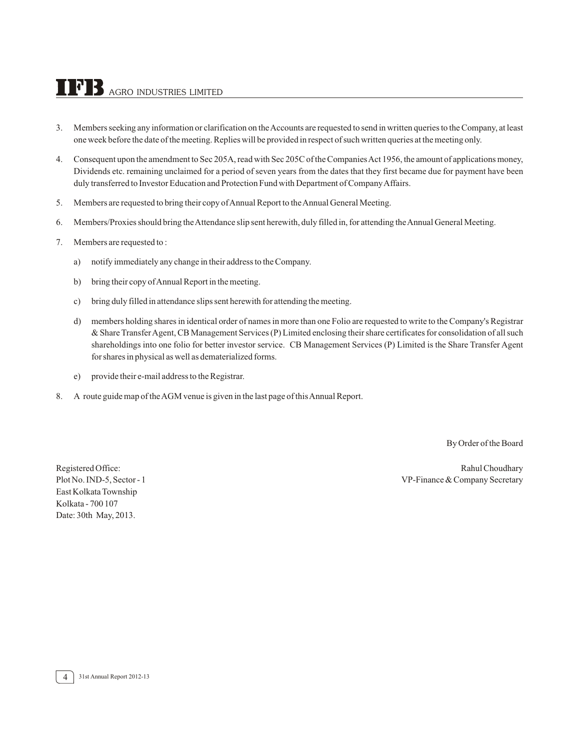# $\bf{TPB}$  agro industries limited

- 3. Members seeking any information or clarification on the Accounts are requested to send in written queries to the Company, at least one week before the date of the meeting. Replies will be provided in respect of such written queries at the meeting only.
- 4. Consequent upon the amendment to Sec 205A, read with Sec 205C of the Companies Act 1956, the amount of applications money, Dividends etc. remaining unclaimed for a period of seven years from the dates that they first became due for payment have been duly transferred to Investor Education and Protection Fund with Department of Company Affairs.
- 5. Members are requested to bring their copy of Annual Report to the Annual General Meeting.
- 6. Members/Proxies should bring the Attendance slip sent herewith, duly filled in, for attending the Annual General Meeting.
- 7. Members are requested to :
	- a) notify immediately any change in their address to the Company.
	- b) bring their copy of Annual Report in the meeting.
	- c) bring duly filled in attendance slips sent herewith for attending the meeting.
	- d) members holding shares in identical order of names in more than one Folio are requested to write to the Company's Registrar & Share TransferAgent, CB Management Services (P) Limited enclosing their share certificates for consolidation of all such shareholdings into one folio for better investor service. CB Management Services (P) Limited is the Share Transfer Agent for shares in physical as well as dematerialized forms.
	- e) provide their e-mail address to the Registrar.
- 8. A route guide map of the AGM venue is given in the last page of this Annual Report.

By Order of the Board

East Kolkata Township Kolkata - 700 107 Date: 30th May, 2013.

Registered Office: **Registered Office:** Rahul Choudhary Plot No. IND-5, Sector - 1 VP-Finance & Company Secretary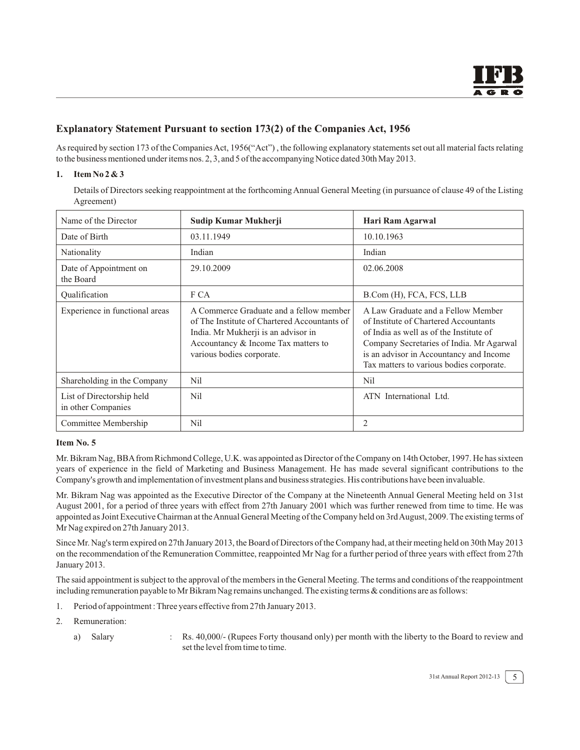## **Explanatory Statement Pursuant to section 173(2) of the Companies Act, 1956**

As required by section 173 of the Companies Act, 1956("Act") , the following explanatory statements set out all material facts relating to the business mentioned under items nos. 2, 3, and 5 of the accompanying Notice dated 30th May 2013.

#### **1. Item No 2 & 3**

Details of Directors seeking reappointment at the forthcoming Annual General Meeting (in pursuance of clause 49 of the Listing Agreement)

| Name of the Director                            | Sudip Kumar Mukherji                                                                                                                                                                               | Hari Ram Agarwal                                                                                                                                                                                                                                          |
|-------------------------------------------------|----------------------------------------------------------------------------------------------------------------------------------------------------------------------------------------------------|-----------------------------------------------------------------------------------------------------------------------------------------------------------------------------------------------------------------------------------------------------------|
| Date of Birth                                   | 03.11.1949                                                                                                                                                                                         | 10.10.1963                                                                                                                                                                                                                                                |
| Nationality                                     | Indian                                                                                                                                                                                             | Indian                                                                                                                                                                                                                                                    |
| Date of Appointment on<br>the Board             | 29.10.2009                                                                                                                                                                                         | 02.06.2008                                                                                                                                                                                                                                                |
| Oualification                                   | F CA                                                                                                                                                                                               | B.Com (H), FCA, FCS, LLB                                                                                                                                                                                                                                  |
| Experience in functional areas                  | A Commerce Graduate and a fellow member<br>of The Institute of Chartered Accountants of<br>India. Mr Mukherji is an advisor in<br>Accountancy & Income Tax matters to<br>various bodies corporate. | A Law Graduate and a Fellow Member<br>of Institute of Chartered Accountants<br>of India as well as of the Institute of<br>Company Secretaries of India. Mr Agarwal<br>is an advisor in Accountancy and Income<br>Tax matters to various bodies corporate. |
| Shareholding in the Company                     | Nil                                                                                                                                                                                                | Nil                                                                                                                                                                                                                                                       |
| List of Directorship held<br>in other Companies | Nil                                                                                                                                                                                                | ATN International Ltd.                                                                                                                                                                                                                                    |
| Committee Membership                            | Nil                                                                                                                                                                                                | 2                                                                                                                                                                                                                                                         |

#### **Item No. 5**

Mr. Bikram Nag, BBA from Richmond College, U.K. was appointed as Director of the Company on 14th October, 1997. He has sixteen years of experience in the field of Marketing and Business Management. He has made several significant contributions to the Company's growth and implementation of investment plans and business strategies. His contributions have been invaluable.

Mr. Bikram Nag was appointed as the Executive Director of the Company at the Nineteenth Annual General Meeting held on 31st August 2001, for a period of three years with effect from 27th January 2001 which was further renewed from time to time. He was appointed as Joint Executive Chairman at the Annual General Meeting of the Company held on 3rd August, 2009. The existing terms of Mr Nag expired on 27th January 2013.

Since Mr. Nag's term expired on 27th January 2013, the Board of Directors of the Company had, at their meeting held on 30th May 2013 on the recommendation of the Remuneration Committee, reappointed Mr Nag for a further period of three years with effect from 27th January 2013.

The said appointment is subject to the approval of the members in the General Meeting. The terms and conditions of the reappointment including remuneration payable to Mr Bikram Nag remains unchanged. The existing terms & conditions are as follows:

- 1. Period of appointment : Three years effective from 27th January 2013.
- 2. Remuneration:
	- a) Salary : Rs. 40,000/- (Rupees Forty thousand only) per month with the liberty to the Board to review and set the level from time to time.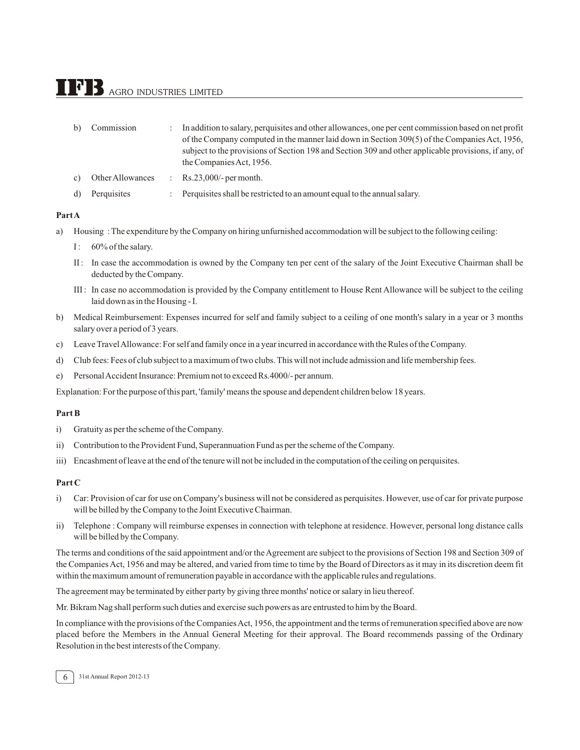# $\bf{TPB}$  agro industries limited

| b)              | Commission       | In addition to salary, perquisites and other allowances, one per cent commission based on net profit |
|-----------------|------------------|------------------------------------------------------------------------------------------------------|
|                 |                  | of the Company computed in the manner laid down in Section 309(5) of the Companies Act, 1956,        |
|                 |                  | subject to the provisions of Section 198 and Section 309 and other applicable provisions, if any, of |
|                 |                  | the Companies Act, 1956.                                                                             |
| $\mathcal{C}$ ) | Other Allowances | $\therefore$ Rs.23,000/- per month.                                                                  |
| d)              | Perquisites      | Perquisities shall be restricted to an amount equal to the annual salary.                            |

#### **Part A**

- a) Housing : The expenditure by the Company on hiring unfurnished accommodation will be subject to the following ceiling:
	- I: 60% of the salary.
	- II : In case the accommodation is owned by the Company ten per cent of the salary of the Joint Executive Chairman shall be deducted by the Company.
	- III : In case no accommodation is provided by the Company entitlement to House Rent Allowance will be subject to the ceiling laid down as in the Housing - I.
- b) Medical Reimbursement: Expenses incurred for self and family subject to a ceiling of one month's salary in a year or 3 months salary over a period of 3 years.
- c) Leave TravelAllowance: For self and family once in a year incurred in accordance with the Rules of the Company.
- d) Club fees: Fees of club subject to a maximum of two clubs. This will not include admission and life membership fees.
- e) PersonalAccident Insurance: Premium not to exceed Rs.4000/- per annum.

Explanation: For the purpose of this part, 'family' means the spouse and dependent children below 18 years.

#### **Part B**

- i) Gratuity as per the scheme of the Company.
- ii) Contribution to the Provident Fund, Superannuation Fund as per the scheme of the Company.
- iii) Encashment of leave at the end of the tenure will not be included in the computation of the ceiling on perquisites.

#### **Part C**

- i) Car: Provision of car for use on Company's business will not be considered as perquisites. However, use of car for private purpose will be billed by the Company to the Joint Executive Chairman.
- ii) Telephone : Company will reimburse expenses in connection with telephone at residence. However, personal long distance calls will be billed by the Company.

The terms and conditions of the said appointment and/or the Agreement are subject to the provisions of Section 198 and Section 309 of the Companies Act, 1956 and may be altered, and varied from time to time by the Board of Directors as it may in its discretion deem fit within the maximum amount of remuneration payable in accordance with the applicable rules and regulations.

The agreement may be terminated by either party by giving three months' notice or salary in lieu thereof.

Mr. Bikram Nag shall perform such duties and exercise such powers as are entrusted to him by the Board.

In compliance with the provisions of the Companies Act, 1956, the appointment and the terms of remuneration specified above are now placed before the Members in the Annual General Meeting for their approval. The Board recommends passing of the Ordinary Resolution in the best interests of the Company.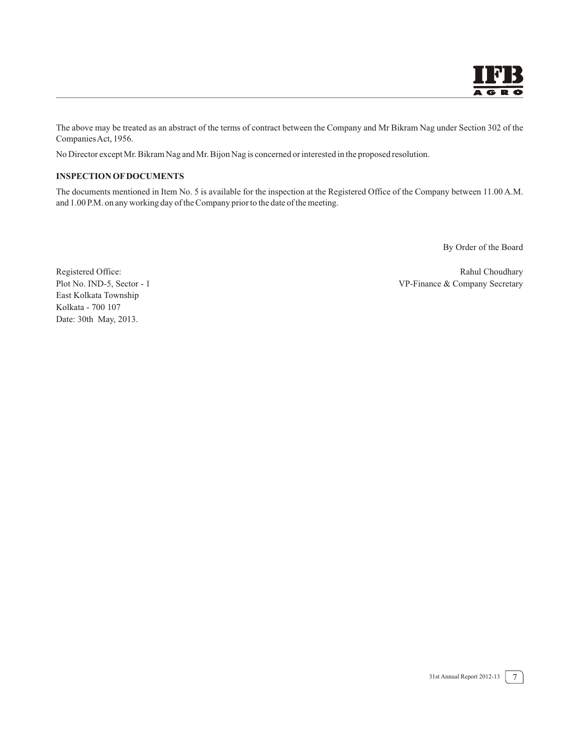The above may be treated as an abstract of the terms of contract between the Company and Mr Bikram Nag under Section 302 of the Companies Act, 1956.

No Director except Mr. Bikram Nag and Mr. Bijon Nag is concerned or interested in the proposed resolution.

#### **INSPECTION OF DOCUMENTS**

The documents mentioned in Item No. 5 is available for the inspection at the Registered Office of the Company between 11.00 A.M. and 1.00 P.M. on any working day of the Company prior to the date of the meeting.

By Order of the Board

East Kolkata Township Kolkata - 700 107 Date: 30th May, 2013.

Registered Office: Rahul Choudhary Rahul Choudhary Plot No. IND-5, Sector - 1 VP-Finance & Company Secretary

7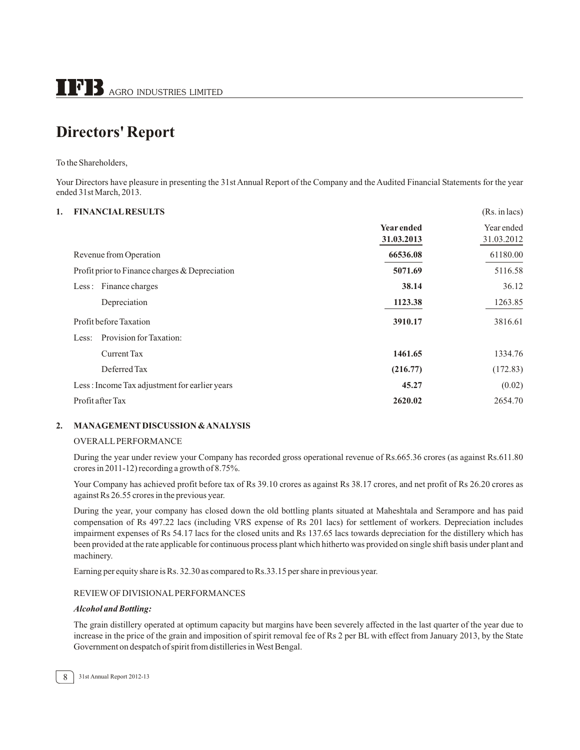# **Directors' Report**

To the Shareholders,

Your Directors have pleasure in presenting the 31st Annual Report of the Company and the Audited Financial Statements for the year ended 31st March, 2013.

#### **1. FINANCIAL RESULTS** (Rs. in lacs)

|                                                | <b>Year ended</b><br>31.03.2013 | Year ended<br>31.03.2012 |
|------------------------------------------------|---------------------------------|--------------------------|
| Revenue from Operation                         | 66536.08                        | 61180.00                 |
| Profit prior to Finance charges & Depreciation | 5071.69                         | 5116.58                  |
| Less: Finance charges                          | 38.14                           | 36.12                    |
| Depreciation                                   | 1123.38                         | 1263.85                  |
| Profit before Taxation                         | 3910.17                         | 3816.61                  |
| Provision for Taxation:<br>Less:               |                                 |                          |
| Current Tax                                    | 1461.65                         | 1334.76                  |
| Deferred Tax                                   | (216.77)                        | (172.83)                 |
| Less: Income Tax adjustment for earlier years  | 45.27                           | (0.02)                   |
| Profit after Tax                               | 2620.02                         | 2654.70                  |
|                                                |                                 |                          |

#### **2. MANAGEMENT DISCUSSION & ANALYSIS**

#### OVERALL PERFORMANCE

During the year under review your Company has recorded gross operational revenue of Rs.665.36 crores (as against Rs.611.80 crores in 2011-12) recording a growth of 8.75%.

Your Company has achieved profit before tax of Rs 39.10 crores as against Rs 38.17 crores, and net profit of Rs 26.20 crores as against Rs 26.55 crores in the previous year.

During the year, your company has closed down the old bottling plants situated at Maheshtala and Serampore and has paid compensation of Rs 497.22 lacs (including VRS expense of Rs 201 lacs) for settlement of workers. Depreciation includes impairment expenses of Rs 54.17 lacs for the closed units and Rs 137.65 lacs towards depreciation for the distillery which has been provided at the rate applicable for continuous process plant which hitherto was provided on single shift basis under plant and machinery.

Earning per equity share is Rs. 32.30 as compared to Rs.33.15 per share in previous year.

#### REVIEW OF DIVISIONAL PERFORMANCES

#### *Alcohol and Bottling:*

The grain distillery operated at optimum capacity but margins have been severely affected in the last quarter of the year due to increase in the price of the grain and imposition of spirit removal fee of Rs 2 per BL with effect from January 2013, by the State Government on despatch of spirit from distilleries in West Bengal.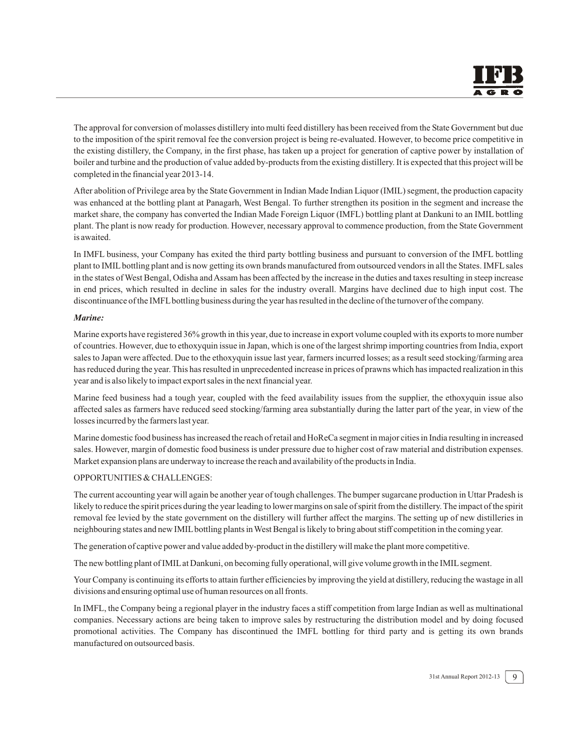The approval for conversion of molasses distillery into multi feed distillery has been received from the State Government but due to the imposition of the spirit removal fee the conversion project is being re-evaluated. However, to become price competitive in the existing distillery, the Company, in the first phase, has taken up a project for generation of captive power by installation of boiler and turbine and the production of value added by-products from the existing distillery. It is expected that this project will be completed in the financial year 2013-14.

After abolition of Privilege area by the State Government in Indian Made Indian Liquor (IMIL) segment, the production capacity was enhanced at the bottling plant at Panagarh, West Bengal. To further strengthen its position in the segment and increase the market share, the company has converted the Indian Made Foreign Liquor (IMFL) bottling plant at Dankuni to an IMIL bottling plant. The plant is now ready for production. However, necessary approval to commence production, from the State Government is awaited.

In IMFL business, your Company has exited the third party bottling business and pursuant to conversion of the IMFL bottling plant to IMIL bottling plant and is now getting its own brands manufactured from outsourced vendors in all the States. IMFL sales in the states of West Bengal, Odisha and Assam has been affected by the increase in the duties and taxes resulting in steep increase in end prices, which resulted in decline in sales for the industry overall. Margins have declined due to high input cost. The discontinuance of the IMFL bottling business during the year has resulted in the decline of the turnover of the company.

#### *Marine:*

Marine exports have registered 36% growth in this year, due to increase in export volume coupled with its exports to more number of countries. However, due to ethoxyquin issue in Japan, which is one of the largest shrimp importing countries from India, export sales to Japan were affected. Due to the ethoxyquin issue last year, farmers incurred losses; as a result seed stocking/farming area has reduced during the year. This has resulted in unprecedented increase in prices of prawns which has impacted realization in this year and is also likely to impact export sales in the next financial year.

Marine feed business had a tough year, coupled with the feed availability issues from the supplier, the ethoxyquin issue also affected sales as farmers have reduced seed stocking/farming area substantially during the latter part of the year, in view of the losses incurred by the farmers last year.

Marine domestic food business has increased the reach of retail and HoReCa segment in major cities in India resulting in increased sales. However, margin of domestic food business is under pressure due to higher cost of raw material and distribution expenses. Market expansion plans are underway to increase the reach and availability of the products in India.

#### OPPORTUNITIES & CHALLENGES:

The current accounting year will again be another year of tough challenges. The bumper sugarcane production in Uttar Pradesh is likely to reduce the spirit prices during the year leading to lower margins on sale of spirit from the distillery. The impact of the spirit removal fee levied by the state government on the distillery will further affect the margins. The setting up of new distilleries in neighbouring states and new IMIL bottling plants in West Bengal is likely to bring about stiff competition in the coming year.

The generation of captive power and value added by-product in the distillery will make the plant more competitive.

The new bottling plant of IMIL at Dankuni, on becoming fully operational, will give volume growth in the IMIL segment.

Your Company is continuing its efforts to attain further efficiencies by improving the yield at distillery, reducing the wastage in all divisions and ensuring optimal use of human resources on all fronts.

In IMFL, the Company being a regional player in the industry faces a stiff competition from large Indian as well as multinational companies. Necessary actions are being taken to improve sales by restructuring the distribution model and by doing focused promotional activities. The Company has discontinued the IMFL bottling for third party and is getting its own brands manufactured on outsourced basis.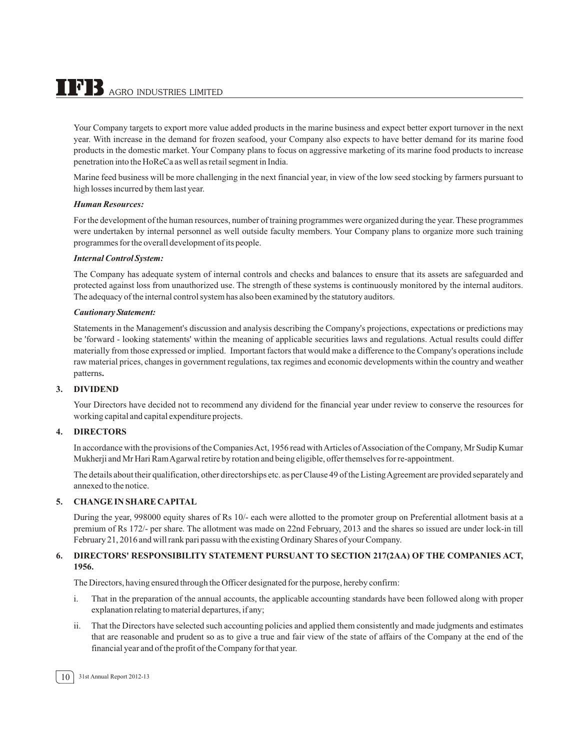$\bf{TPB}$  agro indu<u>stries limited</u>

Your Company targets to export more value added products in the marine business and expect better export turnover in the next year. With increase in the demand for frozen seafood, your Company also expects to have better demand for its marine food products in the domestic market. Your Company plans to focus on aggressive marketing of its marine food products to increase penetration into the HoReCa as well as retail segment in India.

Marine feed business will be more challenging in the next financial year, in view of the low seed stocking by farmers pursuant to high losses incurred by them last year.

#### *Human Resources:*

For the development of the human resources, number of training programmes were organized during the year. These programmes were undertaken by internal personnel as well outside faculty members. Your Company plans to organize more such training programmes for the overall development of its people.

#### *Internal Control System:*

The Company has adequate system of internal controls and checks and balances to ensure that its assets are safeguarded and protected against loss from unauthorized use. The strength of these systems is continuously monitored by the internal auditors. The adequacy of the internal control system has also been examined by the statutory auditors.

#### *Cautionary Statement:*

Statements in the Management's discussion and analysis describing the Company's projections, expectations or predictions may be 'forward - looking statements' within the meaning of applicable securities laws and regulations. Actual results could differ materially from those expressed or implied. Important factors that would make a difference to the Company's operations include raw material prices, changes in government regulations, tax regimes and economic developments within the country and weather patterns**.**

#### **3. DIVIDEND**

Your Directors have decided not to recommend any dividend for the financial year under review to conserve the resources for working capital and capital expenditure projects.

#### **4. DIRECTORS**

In accordance with the provisions of the Companies Act, 1956 read with Articles of Association of the Company, Mr Sudip Kumar Mukherji and Mr Hari Ram Agarwal retire by rotation and being eligible, offer themselves for re-appointment.

The details about their qualification, other directorships etc. as per Clause 49 of the Listing Agreement are provided separately and annexed to the notice.

#### **5. CHANGE IN SHARE CAPITAL**

During the year, 998000 equity shares of Rs 10/- each were allotted to the promoter group on Preferential allotment basis at a premium of Rs 172/- per share. The allotment was made on 22nd February, 2013 and the shares so issued are under lock-in till February 21, 2016 and will rank pari passu with the existing Ordinary Shares of your Company.

#### **6. DIRECTORS' RESPONSIBILITY STATEMENT PURSUANT TO SECTION 217(2AA) OF THE COMPANIES ACT, 1956.**

The Directors, having ensured through the Officer designated for the purpose, hereby confirm:

- i. That in the preparation of the annual accounts, the applicable accounting standards have been followed along with proper explanation relating to material departures, if any;
- ii. That the Directors have selected such accounting policies and applied them consistently and made judgments and estimates that are reasonable and prudent so as to give a true and fair view of the state of affairs of the Company at the end of the financial year and of the profit of the Company for that year.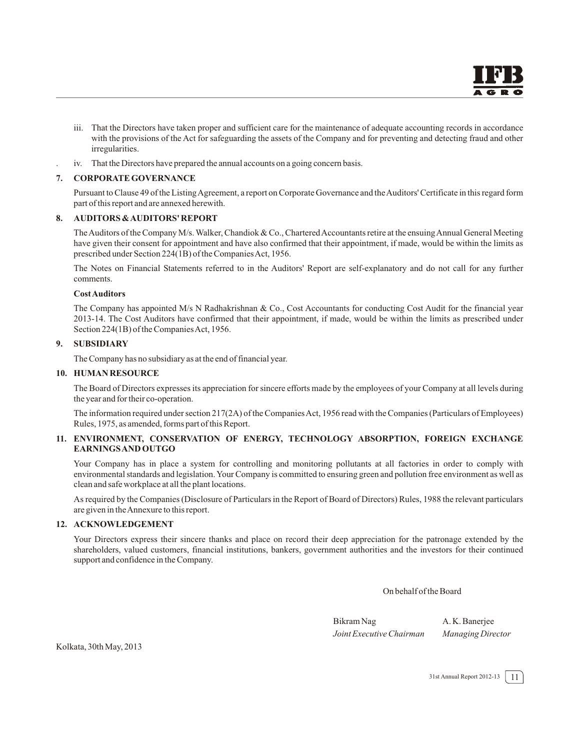- iii. That the Directors have taken proper and sufficient care for the maintenance of adequate accounting records in accordance with the provisions of the Act for safeguarding the assets of the Company and for preventing and detecting fraud and other irregularities.
- . iv. That the Directors have prepared the annual accounts on a going concern basis.

#### **7. CORPORATE GOVERNANCE**

Pursuant to Clause 49 of the Listing Agreement, a report on Corporate Governance and the Auditors' Certificate in this regard form part of this report and are annexed herewith.

#### **8. AUDITORS & AUDITORS' REPORT**

The Auditors of the Company M/s. Walker, Chandiok & Co., Chartered Accountants retire at the ensuing Annual General Meeting have given their consent for appointment and have also confirmed that their appointment, if made, would be within the limits as prescribed under Section 224(1B) of the Companies Act, 1956.

The Notes on Financial Statements referred to in the Auditors' Report are self-explanatory and do not call for any further comments.

#### **Cost Auditors**

The Company has appointed M/s N Radhakrishnan & Co., Cost Accountants for conducting Cost Audit for the financial year 2013-14. The Cost Auditors have confirmed that their appointment, if made, would be within the limits as prescribed under Section 224(1B) of the Companies Act, 1956.

#### **9. SUBSIDIARY**

The Company has no subsidiary as at the end of financial year.

#### **10. HUMAN RESOURCE**

The Board of Directors expresses its appreciation for sincere efforts made by the employees of your Company at all levels during the year and for their co-operation.

The information required under section 217(2A) of the Companies Act, 1956 read with the Companies (Particulars of Employees) Rules, 1975, as amended, forms part of this Report.

#### **11. ENVIRONMENT, CONSERVATION OF ENERGY, TECHNOLOGY ABSORPTION, FOREIGN EXCHANGE EARNINGS AND OUTGO**

Your Company has in place a system for controlling and monitoring pollutants at all factories in order to comply with environmental standards and legislation. Your Company is committed to ensuring green and pollution free environment as well as clean and safe workplace at all the plant locations.

As required by the Companies (Disclosure of Particulars in the Report of Board of Directors) Rules, 1988 the relevant particulars are given in the Annexure to this report.

#### **12. ACKNOWLEDGEMENT**

Your Directors express their sincere thanks and place on record their deep appreciation for the patronage extended by the shareholders, valued customers, financial institutions, bankers, government authorities and the investors for their continued support and confidence in the Company.

On behalf of the Board

Bikram Nag A. K. Banerjee *Joint Executive Chairman Managing Director*

Kolkata, 30th May, 2013

31st Annual Report 2012-13 11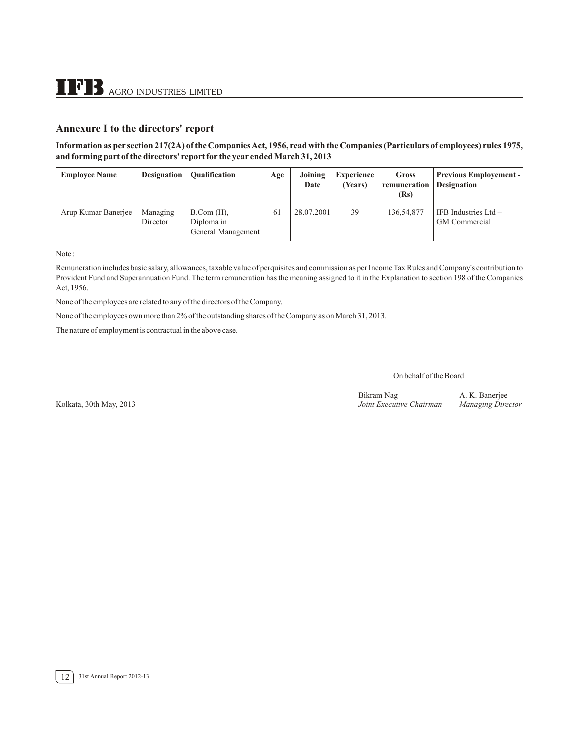#### **Annexure I to the directors' report**

#### **Information as per section 217(2A) of the Companies Act, 1956, read with the Companies (Particulars of employees) rules 1975, and forming part of the directors' report for the year ended March 31, 2013**

| <b>Employee Name</b> | <b>Designation</b>   | <b>Qualification</b>                                    | Age | Joining<br>Date | <b>Experience</b><br>(Years) | <b>Gross</b><br>remuneration<br>(Rs) | <b>Previous Employement -</b><br><b>Designation</b> |
|----------------------|----------------------|---------------------------------------------------------|-----|-----------------|------------------------------|--------------------------------------|-----------------------------------------------------|
| Arup Kumar Banerjee  | Managing<br>Director | $B_{\cdot}Com(H)$ ,<br>Diploma in<br>General Management | 61  | 28.07.2001      | 39                           | 136,54,877                           | IFB Industries $Ltd -$<br><b>GM</b> Commercial      |

Note :

Remuneration includes basic salary, allowances, taxable value of perquisites and commission as per Income Tax Rules and Company's contribution to Provident Fund and Superannuation Fund. The term remuneration has the meaning assigned to it in the Explanation to section 198 of the Companies Act, 1956.

None of the employees are related to any of the directors of the Company.

None of the employees own more than 2% of the outstanding shares of the Company as on March 31, 2013.

The nature of employment is contractual in the above case.

On behalf of the Board

Bikram Nag A. K. Banerjee<br>
Joint Executive Chairman Managing Director

Kolkata, 30th May, 2013 *Joint Executive Chairman Managing Director*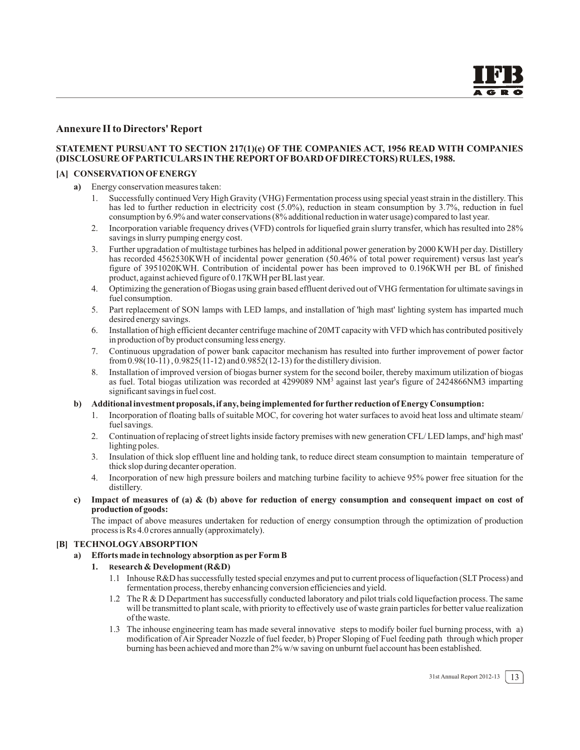#### **Annexure II to Directors' Report**

#### **STATEMENT PURSUANT TO SECTION 217(1)(e) OF THE COMPANIES ACT, 1956 READ WITH COMPANIES (DISCLOSURE OF PARTICULARS IN THE REPORT OF BOARD OF DIRECTORS) RULES, 1988.**

#### **[A] CONSERVATION OF ENERGY**

- **a)** Energy conservation measures taken:
	- 1. Successfully continued Very High Gravity (VHG) Fermentation process using special yeast strain in the distillery. This has led to further reduction in electricity cost (5.0%), reduction in steam consumption by 3.7%, reduction in fuel consumption by 6.9% and water conservations (8% additional reduction in water usage) compared to last year.
	- 2. Incorporation variable frequency drives (VFD) controls for liquefied grain slurry transfer, which has resulted into 28% savings in slurry pumping energy cost.
	- 3. Further upgradation of multistage turbines has helped in additional power generation by 2000 KWH per day. Distillery has recorded 4562530KWH of incidental power generation (50.46% of total power requirement) versus last year's figure of 3951020KWH. Contribution of incidental power has been improved to 0.196KWH per BL of finished product, against achieved figure of 0.17KWH per BL last year.
	- 4. Optimizing the generation of Biogas using grain based effluent derived out of VHG fermentation for ultimate savings in fuel consumption.
	- 5. Part replacement of SON lamps with LED lamps, and installation of 'high mast' lighting system has imparted much desired energy savings.
	- 6. Installation of high efficient decanter centrifuge machine of 20MT capacity with VFD which has contributed positively in production of by product consuming less energy.
	- 7. Continuous upgradation of power bank capacitor mechanism has resulted into further improvement of power factor from  $0.98(10-11)$ ,  $0.9825(11-12)$  and  $0.9852(12-13)$  for the distillery division.
	- 8. Installation of improved version of biogas burner system for the second boiler, thereby maximum utilization of biogas as fuel. Total biogas utilization was recorded at 4299089 NM<sup>3</sup> against last year's figure of 2424866NM3 imparting significant savings in fuel cost.

#### **b) Additional investment proposals, if any, being implemented for further reduction of Energy Consumption:**

- 1. Incorporation of floating balls of suitable MOC, for covering hot water surfaces to avoid heat loss and ultimate steam/ fuel savings.
- 2. Continuation of replacing of street lights inside factory premises with new generation CFL/ LED lamps, and' high mast' lighting poles.
- 3. Insulation of thick slop effluent line and holding tank, to reduce direct steam consumption to maintain temperature of thick slop during decanter operation.
- 4. Incorporation of new high pressure boilers and matching turbine facility to achieve 95% power free situation for the distillery.
- **c) Impact of measures of (a) & (b) above for reduction of energy consumption and consequent impact on cost of production of goods:**

The impact of above measures undertaken for reduction of energy consumption through the optimization of production process is Rs 4.0 crores annually (approximately).

#### **[B] TECHNOLOGY ABSORPTION**

**a) Efforts made in technology absorption as per Form B**

#### **1. Research & Development (R&D)**

- 1.1 Inhouse R&D has successfully tested special enzymes and put to current process of liquefaction (SLT Process) and fermentation process, thereby enhancing conversion efficiencies and yield.
- 1.2 The R & D Department has successfully conducted laboratory and pilot trials cold liquefaction process. The same will be transmitted to plant scale, with priority to effectively use of waste grain particles for better value realization of the waste.
- 1.3 The inhouse engineering team has made several innovative steps to modify boiler fuel burning process, with a) modification of Air Spreader Nozzle of fuel feeder, b) Proper Sloping of Fuel feeding path through which proper burning has been achieved and more than 2% w/w saving on unburnt fuel account has been established.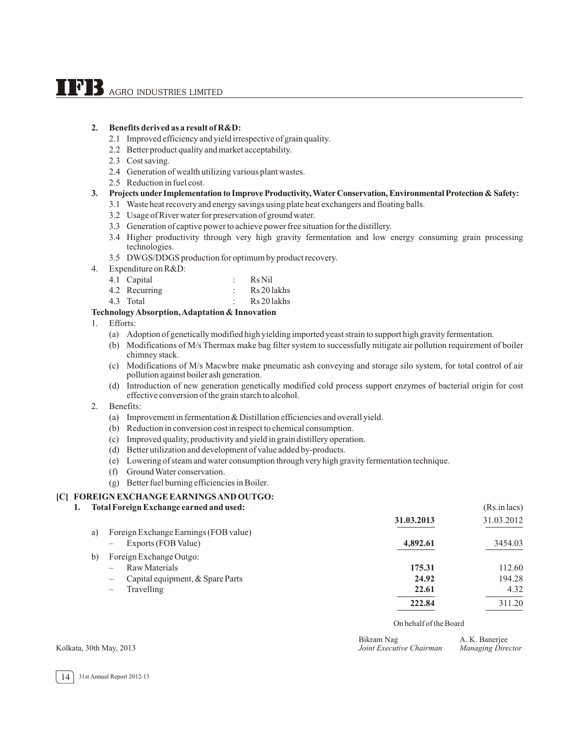#### **2. Benefits derived as a result of R&D:**

- 2.1 Improved efficiency and yield irrespective of grain quality.
- 2.2 Better product quality and market acceptability.
- 2.3 Cost saving.
- 2.4 Generation of wealth utilizing various plant wastes.
- 2.5 Reduction in fuel cost.

#### **3. Projects under Implementation to Improve Productivity, Water Conservation, Environmental Protection & Safety:**

- 3.1 Waste heat recovery and energy savings using plate heat exchangers and floating balls.
- 3.2 Usage of River water for preservation of ground water.
- 3.3 Generation of captive power to achieve power free situation for the distillery.
- 3.4 Higher productivity through very high gravity fermentation and low energy consuming grain processing technologies.
- 3.5 DWGS/DDGS production for optimum by product recovery.
- 4. Expenditure on R&D:
	- 4.1 Capital : Rs Nil
	- 4.2 Recurring : Rs 20 lakhs
	- 4.3 Total : Rs 20 lakhs

#### **Technology Absorption, Adaptation & Innovation**

- 1. Efforts:
	- (a) Adoption of genetically modified high yielding imported yeast strain to support high gravity fermentation.
	- (b) Modifications of M/s Thermax make bag filter system to successfully mitigate air pollution requirement of boiler chimney stack.
	- (c) Modifications of M/s Macwbre make pneumatic ash conveying and storage silo system, for total control of air pollution against boiler ash generation.
	- (d) Introduction of new generation genetically modified cold process support enzymes of bacterial origin for cost effective conversion of the grain starch to alcohol.
- 2. Benefits:
	- (a) Improvement in fermentation & Distillation efficiencies and overall yield.
	- (b) Reduction in conversion cost in respect to chemical consumption.
	- (c) Improved quality, productivity and yield in grain distillery operation.
	- (d) Better utilization and development of value added by-products.
	- (e) Lowering of steam and water consumption through very high gravity fermentation technique.
	- (f) Ground Water conservation.
	- (g) Better fuel burning efficiencies in Boiler.

#### **[C] FOREIGN EXCHANGE EARNINGS AND OUTGO:**

#### **1. Total Foreign Exchange earned and used:** (Rs.in lacs)

|    |                                                                   | 31.03.2013 | 31.03.2012 |
|----|-------------------------------------------------------------------|------------|------------|
| a) | Foreign Exchange Earnings (FOB value)<br>Exports (FOB Value)<br>- | 4,892.61   | 3454.03    |
| b) | Foreign Exchange Outgo:                                           |            |            |
|    | Raw Materials                                                     | 175.31     | 112.60     |
|    | Capital equipment, & Spare Parts                                  | 24.92      | 194.28     |
|    | Travelling<br>$\overline{\phantom{0}}$                            | 22.61      | 4.32       |
|    |                                                                   | 222.84     | 311.20     |

On behalf of the Board

| Kolkata, 30th May, 2013 | Bikram Nag<br>Joint Executive Chairman | A. K. Banerjee<br><b>Managing Director</b> |
|-------------------------|----------------------------------------|--------------------------------------------|
|                         |                                        |                                            |

#### 14 31st Annual Report 2012-13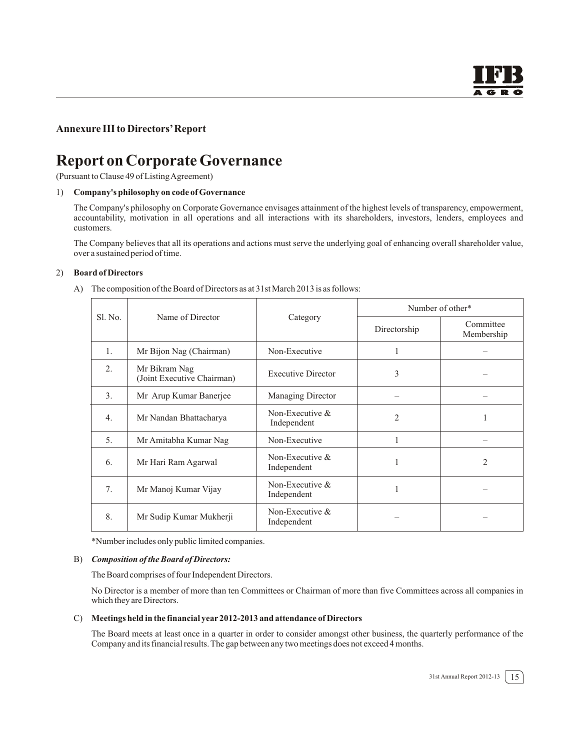## **Annexure III to Directors' Report**

# **Report on Corporate Governance**

(Pursuant to Clause 49 of Listing Agreement)

#### 1) **Company's philosophy on code of Governance**

The Company's philosophy on Corporate Governance envisages attainment of the highest levels of transparency, empowerment, accountability, motivation in all operations and all interactions with its shareholders, investors, lenders, employees and customers.

The Company believes that all its operations and actions must serve the underlying goal of enhancing overall shareholder value, over a sustained period of time.

#### 2) **Board of Directors**

A) The composition of the Board of Directors as at 31st March 2013 is as follows:

|         |                                             |                                  | Number of other* |                         |  |
|---------|---------------------------------------------|----------------------------------|------------------|-------------------------|--|
| S1. No. | Name of Director                            | Category                         | Directorship     | Committee<br>Membership |  |
| 1.      | Mr Bijon Nag (Chairman)                     | Non-Executive                    |                  |                         |  |
| 2.      | Mr Bikram Nag<br>(Joint Executive Chairman) | <b>Executive Director</b>        | 3                |                         |  |
| 3.      | Mr Arup Kumar Banerjee                      | <b>Managing Director</b>         |                  |                         |  |
| 4.      | Mr Nandan Bhattacharya                      | Non-Executive $&$<br>Independent | $\overline{2}$   | 1                       |  |
| 5.      | Mr Amitabha Kumar Nag                       | Non-Executive                    |                  |                         |  |
| 6.      | Mr Hari Ram Agarwal                         | Non-Executive $&$<br>Independent |                  | 2                       |  |
| 7.      | Mr Manoj Kumar Vijay                        | Non-Executive $&$<br>Independent |                  |                         |  |
| 8.      | Mr Sudip Kumar Mukherji                     | Non-Executive $&$<br>Independent |                  |                         |  |

\*Number includes only public limited companies.

#### B) *Composition of the Board of Directors:*

The Board comprises of four Independent Directors.

No Director is a member of more than ten Committees or Chairman of more than five Committees across all companies in which they are Directors.

#### C) **Meetings held in the financial year 2012-2013 and attendance of Directors**

The Board meets at least once in a quarter in order to consider amongst other business, the quarterly performance of the Company and its financial results. The gap between any two meetings does not exceed 4 months.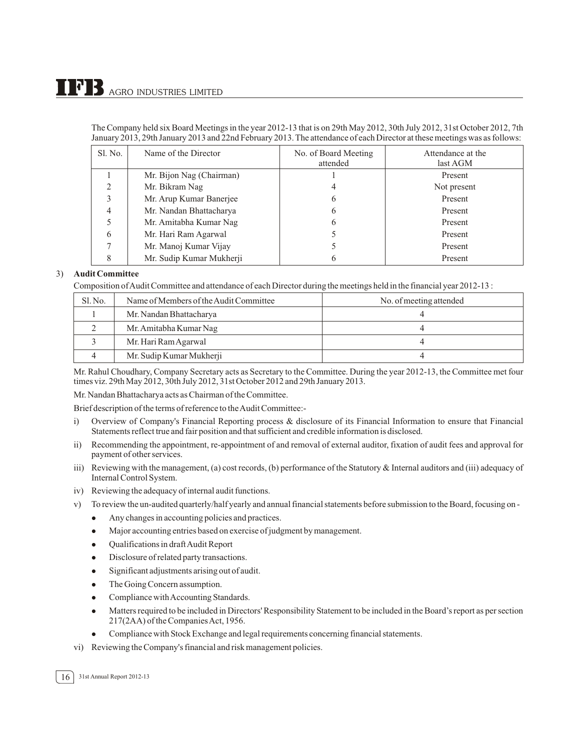The Company held six Board Meetings in the year 2012-13 that is on 29th May 2012, 30th July 2012, 31st October 2012, 7th January 2013, 29th January 2013 and 22nd February 2013. The attendance of each Director at these meetings was as follows:

| Sl. No. | Name of the Director     | No. of Board Meeting<br>attended | Attendance at the<br>last AGM |
|---------|--------------------------|----------------------------------|-------------------------------|
|         | Mr. Bijon Nag (Chairman) |                                  | Present                       |
|         | Mr. Bikram Nag           |                                  | Not present                   |
|         | Mr. Arup Kumar Banerjee  | 6                                | Present                       |
| Λ       | Mr. Nandan Bhattacharya  | 6                                | Present                       |
|         | Mr. Amitabha Kumar Nag   | 6                                | Present                       |
| 6       | Mr. Hari Ram Agarwal     |                                  | Present                       |
|         | Mr. Manoj Kumar Vijay    |                                  | Present                       |
|         | Mr. Sudip Kumar Mukherji | O                                | Present                       |

#### 3) **Audit Committee**

Composition of Audit Committee and attendance of each Director during the meetings held in the financial year 2012-13 :

| Sl. No. | Name of Members of the Audit Committee | No. of meeting attended |
|---------|----------------------------------------|-------------------------|
|         | Mr. Nandan Bhattacharya                |                         |
|         | Mr. Amitabha Kumar Nag                 |                         |
|         | Mr. Hari Ram Agarwal                   |                         |
|         | Mr. Sudip Kumar Mukherji               |                         |

Mr. Rahul Choudhary, Company Secretary acts as Secretary to the Committee. During the year 2012-13, the Committee met four times viz. 29th May 2012, 30th July 2012, 31st October 2012 and 29th January 2013.

Mr. Nandan Bhattacharya acts as Chairman of the Committee.

Brief description of the terms of reference to the Audit Committee:-

- i) Overview of Company's Financial Reporting process & disclosure of its Financial Information to ensure that Financial Statements reflect true and fair position and that sufficient and credible information is disclosed.
- ii) Recommending the appointment, re-appointment of and removal of external auditor, fixation of audit fees and approval for payment of other services.
- iii) Reviewing with the management, (a) cost records, (b) performance of the Statutory & Internal auditors and (iii) adequacy of Internal Control System.
- iv) Reviewing the adequacy of internal audit functions.
- v) To review the un-audited quarterly/half yearly and annual financial statements before submission to the Board, focusing on
	- $\bullet$ Any changes in accounting policies and practices.
	- $\bullet$ Major accounting entries based on exercise of judgment by management.
	- $\bullet$ Qualifications in draft Audit Report
	- $\bullet$ Disclosure of related party transactions.
	- $\bullet$ Significant adjustments arising out of audit.
	- $\bullet$ The Going Concern assumption.
	- -Compliance with Accounting Standards.
	- $\bullet$  Matters required to be included in Directors' Responsibility Statement to be included in the Board's report as per section 217(2AA) of the Companies Act, 1956.
	- $\bullet$ Compliance with Stock Exchange and legal requirements concerning financial statements.
- vi) Reviewing the Company's financial and risk management policies.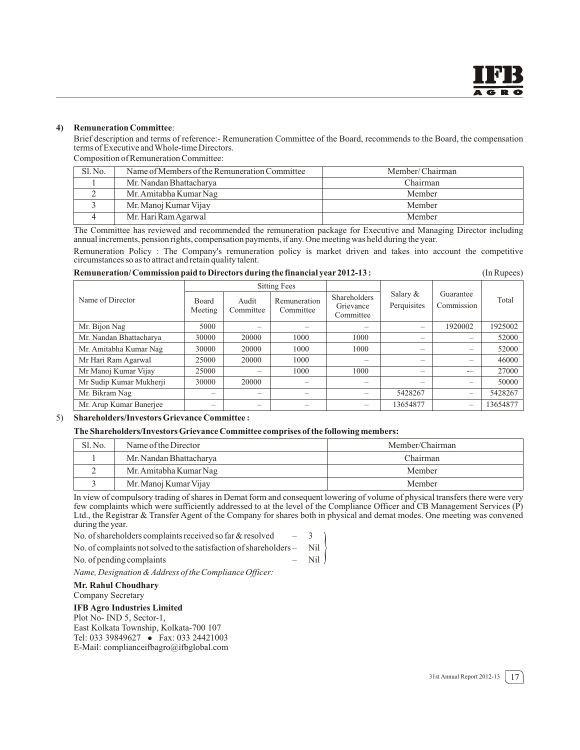#### **4) Remuneration Committee**:

Brief description and terms of reference:- Remuneration Committee of the Board, recommends to the Board, the compensation terms of Executive and Whole-time Directors.

Composition of Remuneration Committee:

| Sl. No. | Name of Members of the Remuneration Committee | Member/Chairman |
|---------|-----------------------------------------------|-----------------|
|         | Mr. Nandan Bhattacharya                       | Chairman        |
|         | Mr. Amitabha Kumar Nag                        | Member          |
|         | Mr. Manoj Kumar Vijay                         | Member          |
|         | Mr. Hari Ram Agarwal                          | Member          |

The Committee has reviewed and recommended the remuneration package for Executive and Managing Director including annual increments, pension rights, compensation payments, if any. One meeting was held during the year.

Remuneration Policy : The Company's remuneration policy is market driven and takes into account the competitive circumstances so as to attract and retain quality talent.

| Remuneration/Commission paid to Directors during the financial year 2012-13 : | (In Rupees) |
|-------------------------------------------------------------------------------|-------------|
|-------------------------------------------------------------------------------|-------------|

|                         | <b>Sitting Fees</b>     |                    |                           |                                        |                           |                          |          |  |
|-------------------------|-------------------------|--------------------|---------------------------|----------------------------------------|---------------------------|--------------------------|----------|--|
| Name of Director        | <b>Board</b><br>Meeting | Audit<br>Committee | Remuneration<br>Committee | Shareholders<br>Grievance<br>Committee | Salary $&$<br>Perquisites | Guarantee<br>Commission  | Total    |  |
| Mr. Bijon Nag           | 5000                    | -                  |                           |                                        | -                         | 1920002                  | 1925002  |  |
| Mr. Nandan Bhattacharya | 30000                   | 20000              | 1000                      | 1000                                   | -                         | $\overline{\phantom{0}}$ | 52000    |  |
| Mr. Amitabha Kumar Nag  | 30000                   | 20000              | 1000                      | 1000                                   | $\overline{\phantom{0}}$  | —                        | 52000    |  |
| Mr Hari Ram Agarwal     | 25000                   | 20000              | 1000                      | $\overline{\phantom{0}}$               | $\overline{\phantom{0}}$  | $\overline{\phantom{m}}$ | 46000    |  |
| Mr Manoj Kumar Vijay    | 25000                   | -                  | 1000                      | 1000                                   | -                         | $\overline{\phantom{0}}$ | 27000    |  |
| Mr Sudip Kumar Mukherji | 30000                   | 20000              |                           | $\overline{\phantom{0}}$               | -                         | -                        | 50000    |  |
| Mr. Bikram Nag          |                         |                    |                           |                                        | 5428267                   | -                        | 5428267  |  |
| Mr. Arup Kumar Banerjee |                         | —                  |                           |                                        | 13654877                  | $\overline{\phantom{0}}$ | 13654877 |  |

#### 5) **Shareholders/Investors Grievance Committee :**

#### **The Shareholders/Investors Grievance Committee comprises of the following members:**

| S1. No. | Name of the Director    | Member/Chairman |  |
|---------|-------------------------|-----------------|--|
|         | Mr. Nandan Bhattacharya | Chairman        |  |
|         | Mr. Amitabha Kumar Nag  | Member          |  |
|         | Mr. Manoj Kumar Vijay   | Member          |  |

In view of compulsory trading of shares in Demat form and consequent lowering of volume of physical transfers there were very few complaints which were sufficiently addressed to at the level of the Compliance Officer and CB Management Services (P) Ltd., the Registrar & Transfer Agent of the Company for shares both in physical and demat modes. One meeting was convened during the year.

 $\left($ 

No. of shareholders complaints received so far & resolved – 3 No. of complaints not solved to the satisfaction of shareholders – Nil

*Name, Designation & Address of the Compliance Officer:*

#### **Mr. Rahul Choudhary**

Company Secretary

#### **IFB Agro Industries Limited**

Plot No- IND 5, Sector-1, East Kolkata Township, Kolkata-700 107 Tel: 033 39849627 • Fax: 033 24421003 E-Mail: complianceifbagro@ifbglobal.com

No. of pending complaints – Nil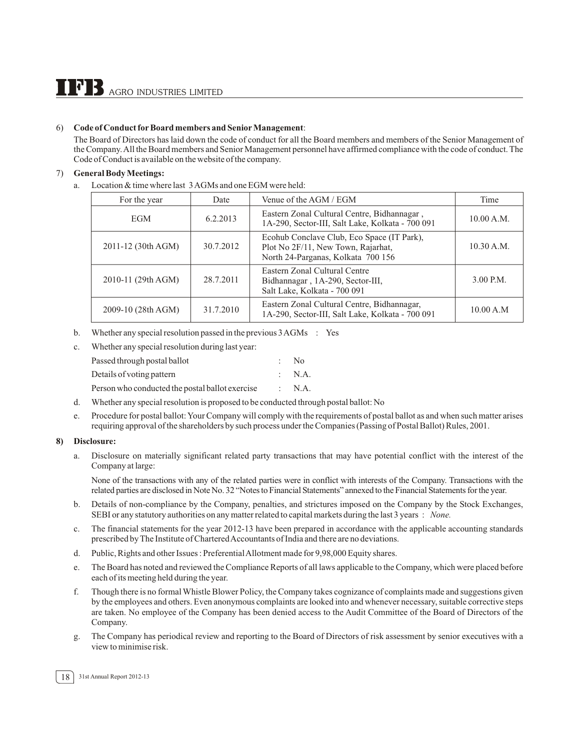#### 6) **Code of Conduct for Board members and Senior Management**:

The Board of Directors has laid down the code of conduct for all the Board members and members of the Senior Management of the Company.All the Board members and Senior Management personnel have affirmed compliance with the code of conduct. The Code of Conduct is available on the website of the company.

#### 7) **General Body Meetings:**

a. Location & time where last 3 AGMs and one EGM were held:

| For the year       | Date      | Venue of the AGM / EGM                                                                                                 | Time        |
|--------------------|-----------|------------------------------------------------------------------------------------------------------------------------|-------------|
| <b>EGM</b>         | 6.2.2013  | Eastern Zonal Cultural Centre, Bidhannagar,<br>1A-290, Sector-III, Salt Lake, Kolkata - 700 091                        | 10.00 A.M.  |
| 2011-12 (30th AGM) | 30.7.2012 | Ecohub Conclave Club, Eco Space (IT Park),<br>Plot No 2F/11, New Town, Rajarhat,<br>North 24-Parganas, Kolkata 700 156 | 10.30 A.M.  |
| 2010-11 (29th AGM) | 28.7.2011 | Eastern Zonal Cultural Centre<br>Bidhannagar, 1A-290, Sector-III,<br>Salt Lake, Kolkata - 700 091                      | $3.00$ P.M. |
| 2009-10 (28th AGM) | 31.7.2010 | Eastern Zonal Cultural Centre, Bidhannagar,<br>1A-290, Sector-III, Salt Lake, Kolkata - 700 091                        | 10.00 A.M   |

b. Whether any special resolution passed in the previous 3 AGMs : Yes

| $\rm c$ . | Whether any special resolution during last year: |        |
|-----------|--------------------------------------------------|--------|
|           | Passed through postal ballot                     | - No   |
|           | Details of voting pattern                        | : N.A. |
|           | Person who conducted the postal ballot exercise  | : N.A. |
|           |                                                  |        |

- d. Whether any special resolution is proposed to be conducted through postal ballot: No
- e. Procedure for postal ballot: Your Company will comply with the requirements of postal ballot as and when such matter arises requiring approval of the shareholders by such process under the Companies (Passing of Postal Ballot) Rules, 2001.

#### **8) Disclosure:**

a. Disclosure on materially significant related party transactions that may have potential conflict with the interest of the Company at large:

None of the transactions with any of the related parties were in conflict with interests of the Company. Transactions with the related parties are disclosed in Note No. 32 "Notes to Financial Statements" annexed to the Financial Statements for the year.

- b. Details of non-compliance by the Company, penalties, and strictures imposed on the Company by the Stock Exchanges, SEBI or any statutory authorities on any matter related to capital markets during the last 3 years : *None.*
- c. The financial statements for the year 2012-13 have been prepared in accordance with the applicable accounting standards prescribed by The Institute of Chartered Accountants of India and there are no deviations.
- d. Public, Rights and other Issues : Preferential Allotment made for 9,98,000 Equity shares.
- e. The Board has noted and reviewed the Compliance Reports of all laws applicable to the Company, which were placed before each of its meeting held during the year.
- f. Though there is no formal Whistle Blower Policy, the Company takes cognizance of complaints made and suggestions given by the employees and others. Even anonymous complaints are looked into and whenever necessary, suitable corrective steps are taken. No employee of the Company has been denied access to the Audit Committee of the Board of Directors of the Company.
- g. The Company has periodical review and reporting to the Board of Directors of risk assessment by senior executives with a view to minimise risk.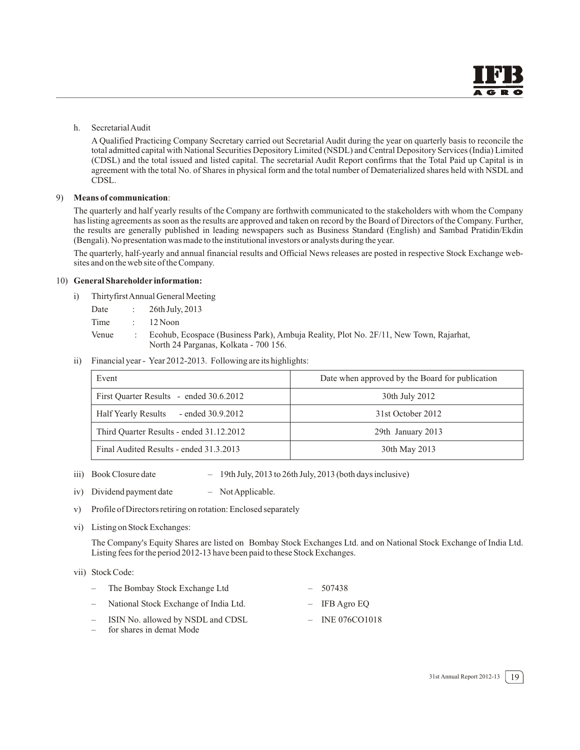h. Secretarial Audit

A Qualified Practicing Company Secretary carried out Secretarial Audit during the year on quarterly basis to reconcile the total admitted capital with National Securities Depository Limited (NSDL) and Central Depository Services (India) Limited (CDSL) and the total issued and listed capital. The secretarial Audit Report confirms that the Total Paid up Capital is in agreement with the total No. of Shares in physical form and the total number of Dematerialized shares held with NSDL and CDSL.

#### 9) **Means of communication**:

The quarterly and half yearly results of the Company are forthwith communicated to the stakeholders with whom the Company has listing agreements as soon as the results are approved and taken on record by the Board of Directors of the Company. Further, the results are generally published in leading newspapers such as Business Standard (English) and Sambad Pratidin/Ekdin (Bengali). No presentation was made to the institutional investors or analysts during the year.

The quarterly, half-yearly and annual financial results and Official News releases are posted in respective Stock Exchange websites and on the web site of the Company.

#### 10) **General Shareholder information:**

- i) ThirtyfirstAnnual General Meeting
	- Date : 26th July, 2013
	- Time : 12 Noon
	- Venue : Ecohub, Ecospace (Business Park), Ambuja Reality, Plot No. 2F/11, New Town, Rajarhat, North 24 Parganas, Kolkata - 700 156.
- ii) Financial year Year 2012-2013. Following are its highlights:

| Event                                    | Date when approved by the Board for publication |  |
|------------------------------------------|-------------------------------------------------|--|
| First Ouarter Results - ended 30.6.2012  | 30th July 2012                                  |  |
| Half Yearly Results - ended 30.9.2012    | 31st October 2012                               |  |
| Third Quarter Results - ended 31.12.2012 | 29th January 2013                               |  |
| Final Audited Results - ended 31.3.2013  | 30th May 2013                                   |  |

- iii) Book Closure date 19th July, 2013 to 26th July, 2013 (both days inclusive)
- iv) Dividend payment date  $-$  Not Applicable.
- v) Profile of Directors retiring on rotation: Enclosed separately
- vi) Listing on Stock Exchanges:

The Company's Equity Shares are listed on Bombay Stock Exchanges Ltd. and on National Stock Exchange of India Ltd. Listing fees for the period 2012-13 have been paid to these Stock Exchanges.

#### vii) Stock Code:

|     | - The Bombay Stock Exchange Ltd                                 | $-507438$         |
|-----|-----------------------------------------------------------------|-------------------|
| $-$ | National Stock Exchange of India Ltd.                           | $-$ IFB Agro EO   |
| $-$ | - ISIN No. allowed by NSDL and CDSL<br>for shares in demat Mode | $-$ INE 076CO1018 |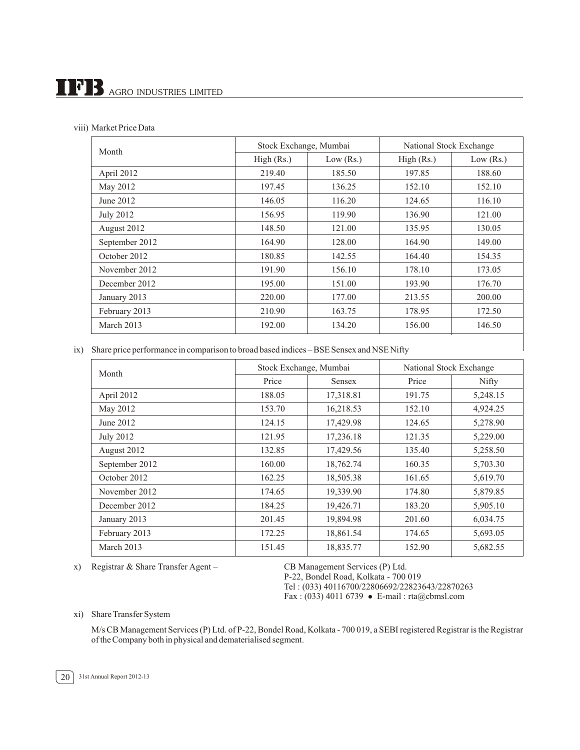# $\prod$ <sup>7</sup> B AGRO INDUSTRIES LIMITED

|  | viii) Market Price Data |
|--|-------------------------|
|--|-------------------------|

| Month            | Stock Exchange, Mumbai |             | National Stock Exchange |             |  |
|------------------|------------------------|-------------|-------------------------|-------------|--|
|                  | High (Rs.)             | Low $(Rs.)$ | High (Rs.)              | Low $(Rs.)$ |  |
| April 2012       | 219.40                 | 185.50      | 197.85                  | 188.60      |  |
| May 2012         | 197.45                 | 136.25      | 152.10                  | 152.10      |  |
| June 2012        | 146.05                 | 116.20      | 124.65                  | 116.10      |  |
| <b>July 2012</b> | 156.95                 | 119.90      | 136.90                  | 121.00      |  |
| August 2012      | 148.50                 | 121.00      | 135.95                  | 130.05      |  |
| September 2012   | 164.90                 | 128.00      | 164.90                  | 149.00      |  |
| October 2012     | 180.85                 | 142.55      | 164.40                  | 154.35      |  |
| November 2012    | 191.90                 | 156.10      | 178.10                  | 173.05      |  |
| December 2012    | 195.00                 | 151.00      | 193.90                  | 176.70      |  |
| January 2013     | 220.00                 | 177.00      | 213.55                  | 200.00      |  |
| February 2013    | 210.90                 | 163.75      | 178.95                  | 172.50      |  |
| March 2013       | 192.00                 | 134.20      | 156.00                  | 146.50      |  |

ix) Share price performance in comparison to broad based indices – BSE Sensex and NSE Nifty

| Month          | Stock Exchange, Mumbai |               | National Stock Exchange |          |  |
|----------------|------------------------|---------------|-------------------------|----------|--|
|                | Price                  | <b>Sensex</b> | Price                   | Nifty    |  |
| April 2012     | 188.05                 | 17,318.81     | 191.75                  | 5,248.15 |  |
| May 2012       | 153.70                 | 16,218.53     | 152.10                  | 4,924.25 |  |
| June 2012      | 124.15                 | 17,429.98     | 124.65                  | 5,278.90 |  |
| July 2012      | 121.95                 | 17,236.18     | 121.35                  | 5,229.00 |  |
| August 2012    | 132.85                 | 17,429.56     | 135.40                  | 5,258.50 |  |
| September 2012 | 160.00                 | 18,762.74     | 160.35                  | 5,703.30 |  |
| October 2012   | 162.25                 | 18,505.38     | 161.65                  | 5,619.70 |  |
| November 2012  | 174.65                 | 19,339.90     | 174.80                  | 5,879.85 |  |
| December 2012  | 184.25                 | 19,426.71     | 183.20                  | 5,905.10 |  |
| January 2013   | 201.45                 | 19,894.98     | 201.60                  | 6,034.75 |  |
| February 2013  | 172.25                 | 18,861.54     | 174.65                  | 5,693.05 |  |
| March 2013     | 151.45                 | 18,835.77     | 152.90                  | 5,682.55 |  |

x) Registrar & Share Transfer Agent – CB Management Services (P) Ltd.

P-22, Bondel Road, Kolkata - 700 019 Tel : (033) 40116700/22806692/22823643/22870263 Fax: (033) 4011 6739 • E-mail: rta@cbmsl.com

xi) Share Transfer System

M/s CB Management Services (P) Ltd. of P-22, Bondel Road, Kolkata - 700 019, a SEBI registered Registrar is the Registrar of the Company both in physical and dematerialised segment.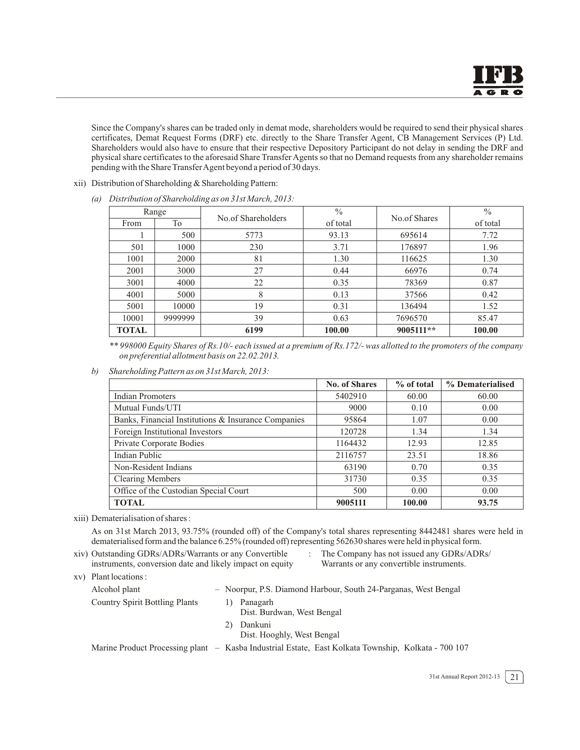Since the Company's shares can be traded only in demat mode, shareholders would be required to send their physical shares certificates, Demat Request Forms (DRF) etc. directly to the Share Transfer Agent, CB Management Services (P) Ltd. Shareholders would also have to ensure that their respective Depository Participant do not delay in sending the DRF and physical share certificates to the aforesaid Share Transfer Agents so that no Demand requests from any shareholder remains pending with the Share TransferAgent beyond a period of 30 days.

xii) Distribution of Shareholding & Shareholding Pattern:

|              | Range   |                    | $\frac{0}{0}$ |              | $\frac{0}{0}$ |
|--------------|---------|--------------------|---------------|--------------|---------------|
| From         | To      | No.of Shareholders | of total      | No.of Shares | of total      |
|              | 500     | 5773               | 93.13         | 695614       | 7.72          |
| 501          | 1000    | 230                | 3.71          | 176897       | 1.96          |
| 1001         | 2000    | 81                 | 1.30          | 116625       | 1.30          |
| 2001         | 3000    | 27                 | 0.44          | 66976        | 0.74          |
| 3001         | 4000    | 22                 | 0.35          | 78369        | 0.87          |
| 4001         | 5000    | 8                  | 0.13          | 37566        | 0.42          |
| 5001         | 10000   | 19                 | 0.31          | 136494       | 1.52          |
| 10001        | 9999999 | 39                 | 0.63          | 7696570      | 85.47         |
| <b>TOTAL</b> |         | 6199               | 100.00        | 9005111**    | 100.00        |

*(a) Distribution of Shareholding as on 31st March, 2013:*

*\*\* 998000 Equity Shares of Rs.10/- each issued at a premium of Rs.172/- was allotted to the promoters of the company on preferential allotment basis on 22.02.2013.* 

*b) Shareholding Pattern as on 31st March, 2013:*

|                                                     | <b>No. of Shares</b> | $%$ of total | % Dematerialised |
|-----------------------------------------------------|----------------------|--------------|------------------|
| <b>Indian Promoters</b>                             | 5402910              | 60.00        | 60.00            |
| Mutual Funds/UTI                                    | 9000                 | 0.10         | 0.00             |
| Banks, Financial Institutions & Insurance Companies | 95864                | 1.07         | 0.00             |
| Foreign Institutional Investors                     | 120728               | 1.34         | 1.34             |
| Private Corporate Bodies                            | 1164432              | 12.93        | 12.85            |
| Indian Public                                       | 2116757              | 23.51        | 18.86            |
| Non-Resident Indians                                | 63190                | 0.70         | 0.35             |
| <b>Clearing Members</b>                             | 31730                | 0.35         | 0.35             |
| Office of the Custodian Special Court               | 500                  | 0.00         | 0.00             |
| <b>TOTAL</b>                                        | 9005111              | 100.00       | 93.75            |

xiii) Dematerialisation of shares :

As on 31st March 2013, 93.75% (rounded off) of the Company's total shares representing 8442481 shares were held in dematerialised form and the balance 6.25% (rounded off) representing 562630 shares were held in physical form.

- xiv) Outstanding GDRs/ADRs/Warrants or any Convertible : The Company has not issued any GDRs/ADRs/ instruments, conversion date and likely impact on equity Warrants or any convertible instruments.
	-
- xv) Plant locations : Alcohol plant – Noorpur, P.S. Diamond Harbour, South 24-Parganas, West Bengal Country Spirit Bottling Plants 1) Panagarh Dist. Burdwan, West Bengal 2) Dankuni Dist. Hooghly, West Bengal Marine Product Processing plant – Kasba Industrial Estate, East Kolkata Township, Kolkata - 700 107

31st Annual Report 2012-13  $\boxed{21}$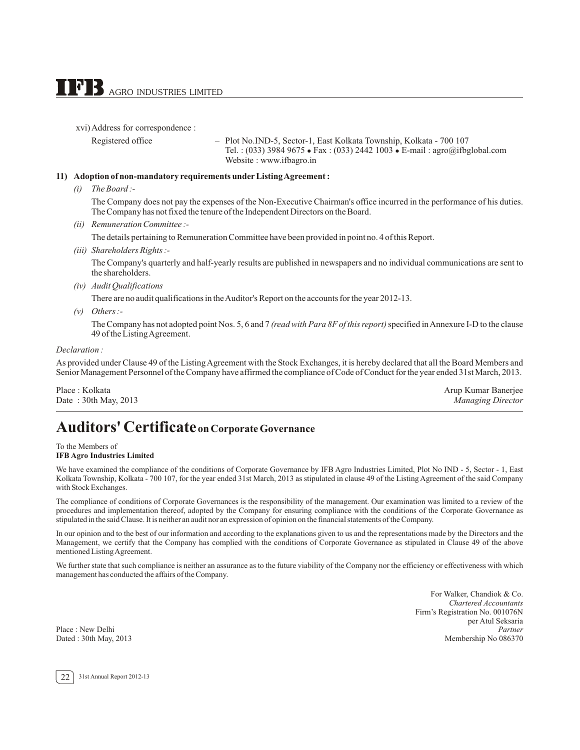xvi)Address for correspondence :

Registered office – Plot No.IND-5, Sector-1, East Kolkata Township, Kolkata - 700 107 Tel. : (033) 3984 9675 - Fax : (033) 2442 1003 - E-mail : agro@ifbglobal.com Website : www.ifbagro.in

#### **11) Adoption of non-mandatory requirements under Listing Agreement :**

*(i) The Board :-*

The Company does not pay the expenses of the Non-Executive Chairman's office incurred in the performance of his duties. The Company has not fixed the tenure of the Independent Directors on the Board.

*(ii) Remuneration Committee :-*

The details pertaining to Remuneration Committee have been provided in point no. 4 of this Report.

*(iii) Shareholders Rights :-*

The Company's quarterly and half-yearly results are published in newspapers and no individual communications are sent to the shareholders.

*(iv) Audit Qualifications*

There are no audit qualifications in the Auditor's Report on the accounts for the year 2012-13.

*(v) Others :-*

The Company has not adopted point Nos. 5, 6 and 7 *(read with Para 8F of this report)* specified in Annexure I-D to the clause 49 of the Listing Agreement.

#### *Declaration :*

As provided under Clause 49 of the Listing Agreement with the Stock Exchanges, it is hereby declared that all the Board Members and Senior Management Personnel of the Company have affirmed the compliance of Code of Conduct for the year ended 31st March, 2013.

Place : Kolkata Arup Kumar Banerjee Date : 30th May, 2013 *Managing Director*

# **Auditors' Certificateon Corporate Governance**

To the Members of **IFB Agro Industries Limited**

We have examined the compliance of the conditions of Corporate Governance by IFB Agro Industries Limited, Plot No IND - 5, Sector - 1, East Kolkata Township, Kolkata - 700 107, for the year ended 31st March, 2013 as stipulated in clause 49 of the Listing Agreement of the said Company with Stock Exchanges.

The compliance of conditions of Corporate Governances is the responsibility of the management. Our examination was limited to a review of the procedures and implementation thereof, adopted by the Company for ensuring compliance with the conditions of the Corporate Governance as stipulated in the said Clause. It is neither an audit nor an expression of opinion on the financial statements of the Company.

In our opinion and to the best of our information and according to the explanations given to us and the representations made by the Directors and the Management, we certify that the Company has complied with the conditions of Corporate Governance as stipulated in Clause 49 of the above mentioned Listing Agreement.

We further state that such compliance is neither an assurance as to the future viability of the Company nor the efficiency or effectiveness with which management has conducted the affairs of the Company.

Place : New Delhi<br>Dated : 30th May, 2013

For Walker, Chandiok & Co. *Chartered Accountants* Firm's Registration No. 001076N per Atul Seksaria Membership No 086370

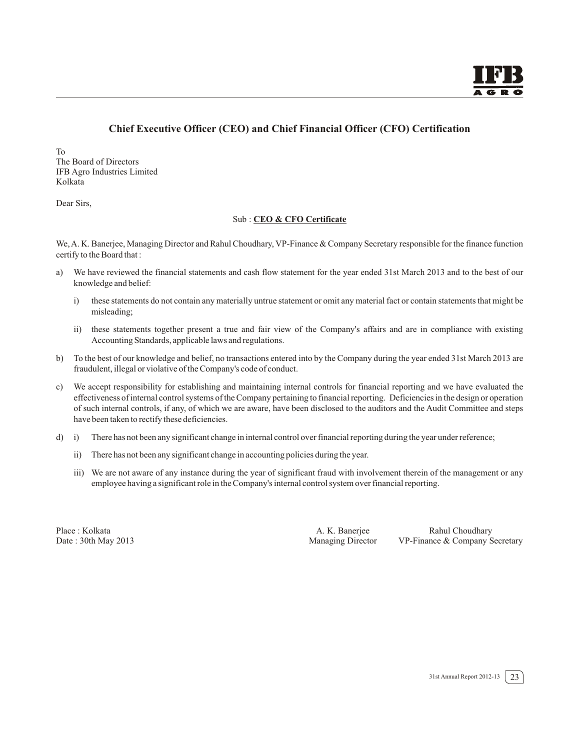## **Chief Executive Officer (CEO) and Chief Financial Officer (CFO) Certification**

To The Board of Directors IFB Agro Industries Limited Kolkata

Dear Sirs,

#### Sub : **CEO & CFO Certificate**

We,A. K. Banerjee, Managing Director and Rahul Choudhary, VP-Finance & Company Secretary responsible for the finance function certify to the Board that :

- a) We have reviewed the financial statements and cash flow statement for the year ended 31st March 2013 and to the best of our knowledge and belief:
	- i) these statements do not contain any materially untrue statement or omit any material fact or contain statements that might be misleading;
	- ii) these statements together present a true and fair view of the Company's affairs and are in compliance with existing Accounting Standards, applicable laws and regulations.
- b) To the best of our knowledge and belief, no transactions entered into by the Company during the year ended 31st March 2013 are fraudulent, illegal or violative of the Company's code of conduct.
- c) We accept responsibility for establishing and maintaining internal controls for financial reporting and we have evaluated the effectiveness of internal control systems of the Company pertaining to financial reporting. Deficiencies in the design or operation of such internal controls, if any, of which we are aware, have been disclosed to the auditors and the Audit Committee and steps have been taken to rectify these deficiencies.
- d) i) There has not been any significant change in internal control over financial reporting during the year under reference;
	- ii) There has not been any significant change in accounting policies during the year.
	- iii) We are not aware of any instance during the year of significant fraud with involvement therein of the management or any employee having a significant role in the Company's internal control system over financial reporting.

Place : Kolkata <br>
Place : Kolkata A. K. Banerjee Rahul Choudhary<br>
Managing Director VP-Finance & Company S VP-Finance & Company Secretary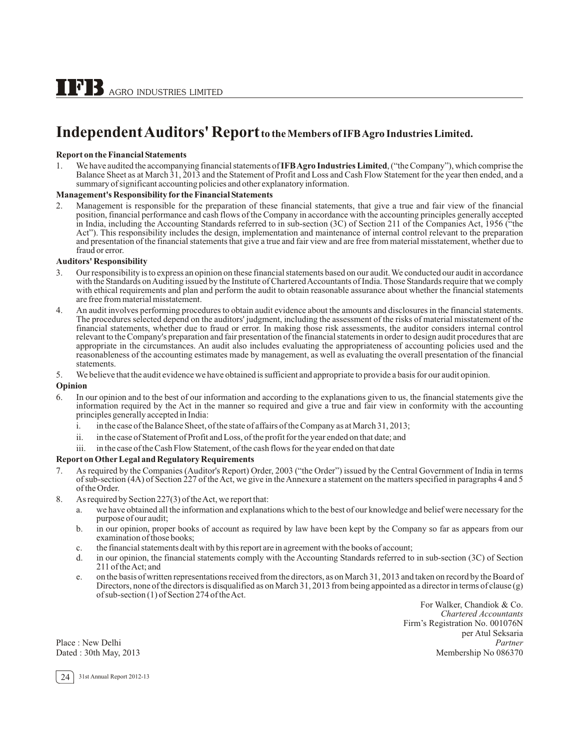# **Independent Auditors' Report to the Members of IFB Agro Industries Limited.**

#### **Report on the Financial Statements**

1. We have audited the accompanying financial statements of **IFBAgro Industries Limited**, ("the Company"), which comprise the Balance Sheet as at March 31, 2013 and the Statement of Profit and Loss and Cash Flow Statement for the year then ended, and a summary of significant accounting policies and other explanatory information.

#### **Management's Responsibility for the Financial Statements**

2. Management is responsible for the preparation of these financial statements, that give a true and fair view of the financial position, financial performance and cash flows of the Company in accordance with the accounting principles generally accepted in India, including the Accounting Standards referred to in sub-section (3C) of Section 211 of the Companies Act, 1956 ("the Act"). This responsibility includes the design, implementation and maintenance of internal control relevant to the preparation and presentation of the financial statements that give a true and fair view and are free from material misstatement, whether due to fraud or error.

#### **Auditors' Responsibility**

- 3. Our responsibility is to express an opinion on these financial statements based on our audit. We conducted our audit in accordance with the Standards on Auditing issued by the Institute of Chartered Accountants of India. Those Standards require that we comply with ethical requirements and plan and perform the audit to obtain reasonable assurance about whether the financial statements are free from material misstatement.
- 4. An audit involves performing procedures to obtain audit evidence about the amounts and disclosures in the financial statements.<br>The procedures selected depend on the auditors' judgment, including the assessment of the r financial statements, whether due to fraud or error. In making those risk assessments, the auditor considers internal control relevant to the Company's preparation and fair presentation of the financial statements in order to design audit procedures that are appropriate in the circumstances. An audit also includes evaluating the appropriateness of accounting policies used and the reasonableness of the accounting estimates made by management, as well as evaluating the overall presentation of the financial statements.
- 5. We believe that the audit evidence we have obtained is sufficient and appropriate to provide a basis for our audit opinion.

#### **Opinion**

- 6. In our opinion and to the best of our information and according to the explanations given to us, the financial statements give the information required by the Act in the manner so required and give a true and fair view in conformity with the accounting principles generally accepted in India:
	- i. in the case of the Balance Sheet, of the state of affairs of the Company as at March 31, 2013;
	- ii. in the case of Statement of Profit and Loss, of the profit for the year ended on that date; and
	- iii. in the case of the Cash Flow Statement, of the cash flows for the year ended on that date

#### **Report on Other Legal and Regulatory Requirements**

- 7. As required by the Companies (Auditor's Report) Order, 2003 ("the Order") issued by the Central Government of India in terms of sub-section (4A) of Section 227 of the Act, we give in the Annexure a statement on the matters specified in paragraphs 4 and 5 of the Order.
- 8. As required by Section 227(3) of the Act, we report that:
	- a. we have obtained all the information and explanations which to the best of our knowledge and belief were necessary for the purpose of our audit;
	- b. in our opinion, proper books of account as required by law have been kept by the Company so far as appears from our examination of those books;
	- c. the financial statements dealt with by this report are in agreement with the books of account;
	- d. in our opinion, the financial statements comply with the Accounting Standards referred to in sub-section (3C) of Section 211 of the Act; and
	- e. on the basis of written representations received from the directors, as on March 31, 2013 and taken on record by the Board of Directors, none of the directors is disqualified as on March 31, 2013 from being appointed as a director in terms of clause (g) of sub-section (1) of Section 274 of the Act.

For Walker, Chandiok & Co. *Chartered Accountants* Firm's Registration No. 001076N per Atul Seksaria Place : New Delhi *Partner*<br>
Partner<br>
Dated : 30th May, 2013 **Partner**<br>
Membership No 086370 Membership No 086370

24 31st Annual Report 2012-13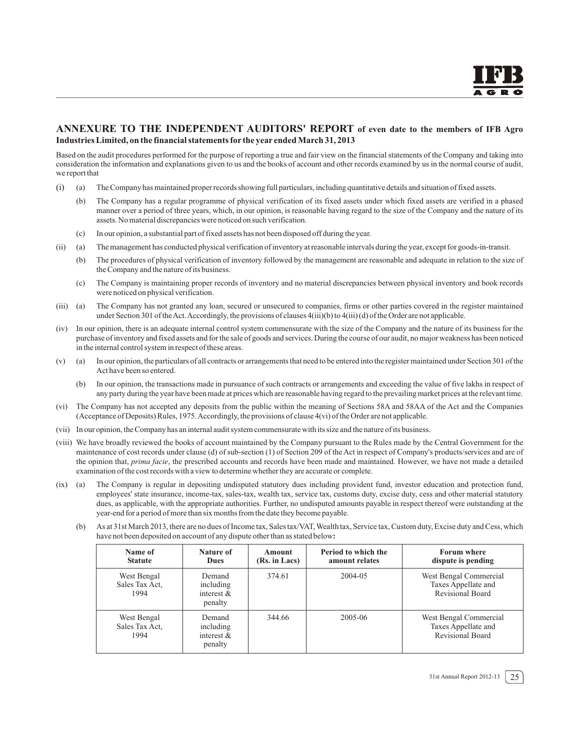#### **ANNEXURE TO THE INDEPENDENT AUDITORS' REPORT of even date to the members of IFB Agro Industries Limited, on the financial statements for the year ended March 31, 2013**

Based on the audit procedures performed for the purpose of reporting a true and fair view on the financial statements of the Company and taking into consideration the information and explanations given to us and the books of account and other records examined by us in the normal course of audit, we report that

- (i) (a) The Company has maintained proper records showing full particulars, including quantitative details and situation of fixed assets.
	- (b) The Company has a regular programme of physical verification of its fixed assets under which fixed assets are verified in a phased manner over a period of three years, which, in our opinion, is reasonable having regard to the size of the Company and the nature of its assets. No material discrepancies were noticed on such verification.
	- (c) In our opinion, a substantial part of fixed assets has not been disposed off during the year.
- (ii) (a) The management has conducted physical verification of inventory at reasonable intervals during the year, except for goods-in-transit.
	- (b) The procedures of physical verification of inventory followed by the management are reasonable and adequate in relation to the size of the Company and the nature of its business.
	- (c) The Company is maintaining proper records of inventory and no material discrepancies between physical inventory and book records were noticed on physical verification.
- (iii) (a) The Company has not granted any loan, secured or unsecured to companies, firms or other parties covered in the register maintained under Section 301 of the Act.Accordingly, the provisions of clauses 4(iii)(b) to 4(iii) (d) of the Order are not applicable.
- (iv) In our opinion, there is an adequate internal control system commensurate with the size of the Company and the nature of its business for the purchase of inventory and fixed assets and for the sale of goods and services. During the course of our audit, no major weakness has been noticed in the internal control system in respect of these areas.
- (v) (a) In our opinion, the particulars of all contracts or arrangements that need to be entered into the register maintained under Section 301 of the Act have been so entered.
	- (b) In our opinion, the transactions made in pursuance of such contracts or arrangements and exceeding the value of five lakhs in respect of any party during the year have been made at prices which are reasonable having regard to the prevailing market prices at the relevant time.
- (vi) The Company has not accepted any deposits from the public within the meaning of Sections 58A and 58AA of the Act and the Companies (Acceptance of Deposits) Rules, 1975. Accordingly, the provisions of clause 4(vi) of the Order are not applicable.
- (vii) In our opinion, the Company has an internal audit system commensurate with its size and the nature of its business.
- (viii) We have broadly reviewed the books of account maintained by the Company pursuant to the Rules made by the Central Government for the maintenance of cost records under clause (d) of sub-section (1) of Section 209 of the Act in respect of Company's products/services and are of the opinion that, *prima facie*, the prescribed accounts and records have been made and maintained. However, we have not made a detailed examination of the cost records with a view to determine whether they are accurate or complete.
- (ix) (a) The Company is regular in depositing undisputed statutory dues including provident fund, investor education and protection fund, employees' state insurance, income-tax, sales-tax, wealth tax, service tax, customs duty, excise duty, cess and other material statutory dues, as applicable, with the appropriate authorities. Further, no undisputed amounts payable in respect thereof were outstanding at the year-end for a period of more than six months from the date they become payable.
	- (b) As at 31st March 2013, there are no dues of Income tax, Sales tax/VAT, Wealth tax, Service tax, Custom duty, Excise duty and Cess, which have not been deposited on account of any dispute other than as stated below**:**

| Name of<br><b>Statute</b>             | Nature of<br><b>Dues</b>                        | Amount<br>(Rs. in Lacs) | Period to which the<br>amount relates | <b>Forum where</b><br>dispute is pending                          |
|---------------------------------------|-------------------------------------------------|-------------------------|---------------------------------------|-------------------------------------------------------------------|
| West Bengal<br>Sales Tax Act.<br>1994 | Demand<br>including<br>interest $&$<br>penalty  | 374.61                  | 2004-05                               | West Bengal Commercial<br>Taxes Appellate and<br>Revisional Board |
| West Bengal<br>Sales Tax Act.<br>1994 | Demand<br>including<br>interest $\&$<br>penalty | 344.66                  | 2005-06                               | West Bengal Commercial<br>Taxes Appellate and<br>Revisional Board |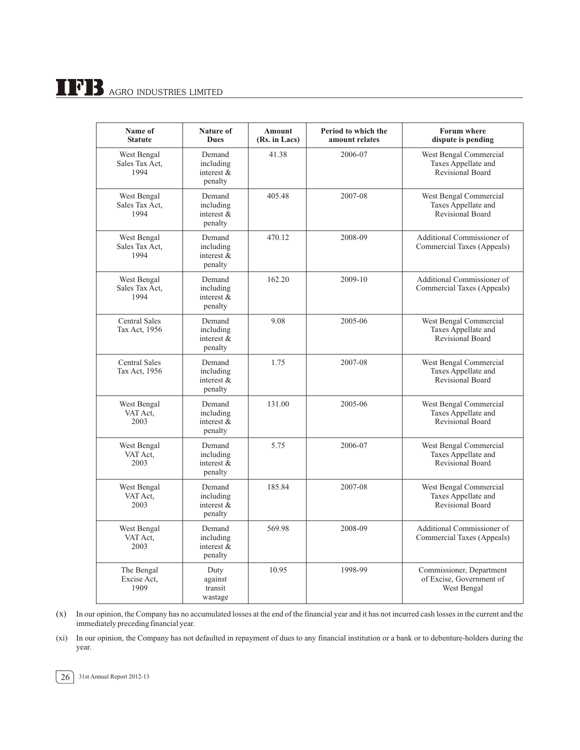# $\prod$ <sup>3</sup> B AGRO INDUSTRIES LIMITED

| Name of<br><b>Statute</b>             | <b>Nature of</b><br><b>Dues</b>                 | <b>Amount</b><br>(Rs. in Lacs) | Period to which the<br>amount relates | <b>Forum</b> where<br>dispute is pending                                 |
|---------------------------------------|-------------------------------------------------|--------------------------------|---------------------------------------|--------------------------------------------------------------------------|
| West Bengal<br>Sales Tax Act,<br>1994 | Demand<br>including<br>interest $\&$<br>penalty | 41.38                          | 2006-07                               | West Bengal Commercial<br>Taxes Appellate and<br><b>Revisional Board</b> |
| West Bengal<br>Sales Tax Act,<br>1994 | Demand<br>including<br>interest &<br>penalty    | 405.48                         | 2007-08                               | West Bengal Commercial<br>Taxes Appellate and<br><b>Revisional Board</b> |
| West Bengal<br>Sales Tax Act,<br>1994 | Demand<br>including<br>interest &<br>penalty    | 470.12                         | 2008-09                               | Additional Commissioner of<br>Commercial Taxes (Appeals)                 |
| West Bengal<br>Sales Tax Act,<br>1994 | Demand<br>including<br>interest $\&$<br>penalty | 162.20                         | 2009-10                               | Additional Commissioner of<br>Commercial Taxes (Appeals)                 |
| <b>Central Sales</b><br>Tax Act, 1956 | Demand<br>including<br>interest $\&$<br>penalty | 9.08                           | 2005-06                               | West Bengal Commercial<br>Taxes Appellate and<br><b>Revisional Board</b> |
| <b>Central Sales</b><br>Tax Act, 1956 | Demand<br>including<br>interest $\&$<br>penalty | 1.75                           | 2007-08                               | West Bengal Commercial<br>Taxes Appellate and<br><b>Revisional Board</b> |
| West Bengal<br>VAT Act.<br>2003       | Demand<br>including<br>interest &<br>penalty    | 131.00                         | 2005-06                               | West Bengal Commercial<br>Taxes Appellate and<br>Revisional Board        |
| West Bengal<br>VAT Act.<br>2003       | Demand<br>including<br>interest &<br>penalty    | 5.75                           | 2006-07                               | West Bengal Commercial<br>Taxes Appellate and<br><b>Revisional Board</b> |
| West Bengal<br>VAT Act,<br>2003       | Demand<br>including<br>interest &<br>penalty    | 185.84                         | 2007-08                               | West Bengal Commercial<br>Taxes Appellate and<br><b>Revisional Board</b> |
| West Bengal<br>VAT Act.<br>2003       | Demand<br>including<br>interest $\&$<br>penalty | 569.98                         | 2008-09                               | Additional Commissioner of<br>Commercial Taxes (Appeals)                 |
| The Bengal<br>Excise Act,<br>1909     | Duty<br>against<br>transit<br>wastage           | 10.95                          | 1998-99                               | Commissioner, Department<br>of Excise, Government of<br>West Bengal      |

(x) In our opinion, the Company has no accumulated losses at the end of the financial year and it has not incurred cash losses in the current and the immediately preceding financial year.

(xi) In our opinion, the Company has not defaulted in repayment of dues to any financial institution or a bank or to debenture-holders during the year.

26 31st Annual Report 2012-13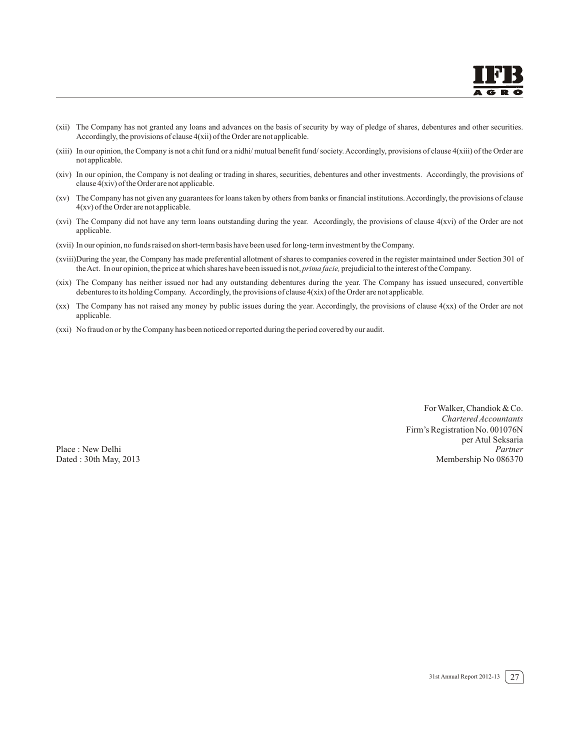- (xii) The Company has not granted any loans and advances on the basis of security by way of pledge of shares, debentures and other securities. Accordingly, the provisions of clause 4(xii) of the Order are not applicable.
- (xiii) In our opinion, the Company is not a chit fund or a nidhi/ mutual benefit fund/ society.Accordingly, provisions of clause 4(xiii) of the Order are not applicable.
- (xiv) In our opinion, the Company is not dealing or trading in shares, securities, debentures and other investments. Accordingly, the provisions of clause 4(xiv) of the Order are not applicable.
- (xv) The Company has not given any guarantees for loans taken by others from banks or financial institutions. Accordingly, the provisions of clause 4(xv) of the Order are not applicable.
- (xvi) The Company did not have any term loans outstanding during the year. Accordingly, the provisions of clause 4(xvi) of the Order are not applicable.
- (xvii) In our opinion, no funds raised on short-term basis have been used for long-term investment by the Company.
- (xviii)During the year, the Company has made preferential allotment of shares to companies covered in the register maintained under Section 301 of theAct. In our opinion, the price at which shares have been issued is not, *prima facie,* prejudicial to the interest of the Company.
- (xix) The Company has neither issued nor had any outstanding debentures during the year. The Company has issued unsecured, convertible debentures to its holding Company. Accordingly, the provisions of clause 4(xix) of the Order are not applicable.
- (xx) The Company has not raised any money by public issues during the year. Accordingly, the provisions of clause 4(xx) of the Order are not applicable.
- (xxi) No fraud on or by the Company has been noticed or reported during the period covered by our audit.

For Walker, Chandiok & Co. *Chartered Accountants* Firm's Registration No. 001076N per Atul Seksaria Place : New Delhi *Partner* Dated : 30th May, 2013 Membership No 086370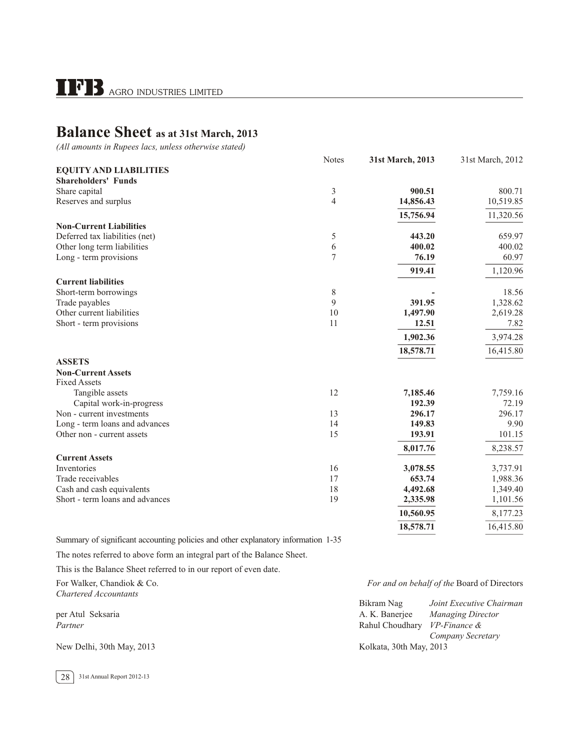# **Balance Sheet as at 31st March, 2013**

*(All amounts in Rupees lacs, unless otherwise stated)*

|                                 | <b>Notes</b>   | 31st March, 2013 | 31st March, 2012 |
|---------------------------------|----------------|------------------|------------------|
| <b>EQUITY AND LIABILITIES</b>   |                |                  |                  |
| <b>Shareholders' Funds</b>      |                |                  |                  |
| Share capital                   | $\mathfrak{Z}$ | 900.51           | 800.71           |
| Reserves and surplus            | 4              | 14,856.43        | 10,519.85        |
|                                 |                | 15,756.94        | 11,320.56        |
| <b>Non-Current Liabilities</b>  |                |                  |                  |
| Deferred tax liabilities (net)  | 5              | 443.20           | 659.97           |
| Other long term liabilities     | 6              | 400.02           | 400.02           |
| Long - term provisions          | $\overline{7}$ | 76.19            | 60.97            |
|                                 |                | 919.41           | 1,120.96         |
| <b>Current liabilities</b>      |                |                  |                  |
| Short-term borrowings           | 8              |                  | 18.56            |
| Trade payables                  | 9              | 391.95           | 1,328.62         |
| Other current liabilities       | 10             | 1,497.90         | 2,619.28         |
| Short - term provisions         | 11             | 12.51            | 7.82             |
|                                 |                | 1,902.36         | 3,974.28         |
|                                 |                | 18,578.71        | 16,415.80        |
| <b>ASSETS</b>                   |                |                  |                  |
| <b>Non-Current Assets</b>       |                |                  |                  |
| <b>Fixed Assets</b>             |                |                  |                  |
| Tangible assets                 | 12             | 7,185.46         | 7,759.16         |
| Capital work-in-progress        |                | 192.39           | 72.19            |
| Non - current investments       | 13             | 296.17           | 296.17           |
| Long - term loans and advances  | 14             | 149.83           | 9.90             |
| Other non - current assets      | 15             | 193.91           | 101.15           |
|                                 |                | 8,017.76         | 8,238.57         |
| <b>Current Assets</b>           |                |                  |                  |
| Inventories                     | 16             | 3,078.55         | 3,737.91         |
| Trade receivables               | 17             | 653.74           | 1,988.36         |
| Cash and cash equivalents       | 18             | 4,492.68         | 1,349.40         |
| Short - term loans and advances | 19             | 2,335.98         | 1,101.56         |
|                                 |                | 10,560.95        | 8,177.23         |
|                                 |                | 18,578.71        | 16,415.80        |

Summary of significant accounting policies and other explanatory information 1-35

The notes referred to above form an integral part of the Balance Sheet.

This is the Balance Sheet referred to in our report of even date.

*Chartered Accountants* 

#### For Walker, Chandiok & Co. *For and on behalf of the* Board of Directors

|                           | Joint Executive Chairman<br>Bikram Nag     |  |
|---------------------------|--------------------------------------------|--|
| per Atul Seksaria         | A. K. Baneriee<br><b>Managing Director</b> |  |
| Partner                   | Rahul Choudhary VP-Finance &               |  |
|                           | Company Secretary                          |  |
| New Delhi, 30th May, 2013 | Kolkata, 30th May, 2013                    |  |

28 31st Annual Report 2012-13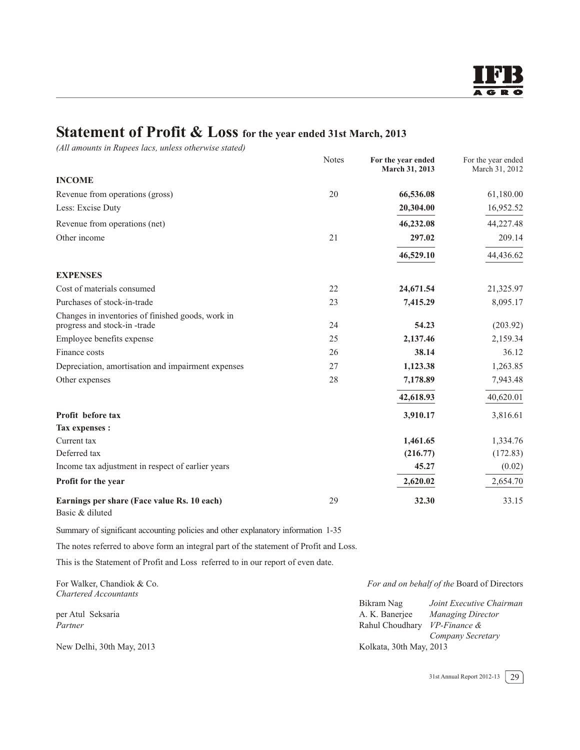# **Statement of Profit & Loss for the year ended 31st March, 2013**

*(All amounts in Rupees lacs, unless otherwise stated)*

|                                                                                  | <b>Notes</b> | For the year ended<br>March 31, 2013 | For the year ended<br>March 31, 2012 |
|----------------------------------------------------------------------------------|--------------|--------------------------------------|--------------------------------------|
| <b>INCOME</b>                                                                    |              |                                      |                                      |
| Revenue from operations (gross)                                                  | 20           | 66,536.08                            | 61,180.00                            |
| Less: Excise Duty                                                                |              | 20,304.00                            | 16,952.52                            |
| Revenue from operations (net)                                                    |              | 46,232.08                            | 44,227.48                            |
| Other income                                                                     | 21           | 297.02                               | 209.14                               |
|                                                                                  |              | 46,529.10                            | 44,436.62                            |
| <b>EXPENSES</b>                                                                  |              |                                      |                                      |
| Cost of materials consumed                                                       | 22           | 24,671.54                            | 21,325.97                            |
| Purchases of stock-in-trade                                                      | 23           | 7,415.29                             | 8,095.17                             |
| Changes in inventories of finished goods, work in<br>progress and stock-in-trade | 24           | 54.23                                | (203.92)                             |
| Employee benefits expense                                                        | 25           | 2,137.46                             | 2,159.34                             |
| Finance costs                                                                    | 26           | 38.14                                | 36.12                                |
| Depreciation, amortisation and impairment expenses                               | 27           | 1,123.38                             | 1,263.85                             |
| Other expenses                                                                   | 28           | 7,178.89                             | 7,943.48                             |
|                                                                                  |              | 42,618.93                            | 40,620.01                            |
| Profit before tax                                                                |              | 3,910.17                             | 3,816.61                             |
| Tax expenses :                                                                   |              |                                      |                                      |
| Current tax                                                                      |              | 1,461.65                             | 1,334.76                             |
| Deferred tax                                                                     |              | (216.77)                             | (172.83)                             |
| Income tax adjustment in respect of earlier years                                |              | 45.27                                | (0.02)                               |
| Profit for the year                                                              |              | 2,620.02                             | 2,654.70                             |
| Earnings per share (Face value Rs. 10 each)<br>Basic & diluted                   | 29           | 32.30                                | 33.15                                |

Summary of significant accounting policies and other explanatory information 1-35

The notes referred to above form an integral part of the statement of Profit and Loss.

This is the Statement of Profit and Loss referred to in our report of even date.

*Chartered Accountants* 

For Walker, Chandiok & Co. *For and on behalf of the* Board of Directors

|                           | Joint Executive Chairman<br>Bikram Nag |
|---------------------------|----------------------------------------|
| per Atul Seksaria         | Managing Director<br>A. K. Banerjee    |
| Partner                   | Rahul Choudhary VP-Finance &           |
|                           | Company Secretary                      |
| New Delhi, 30th May, 2013 | Kolkata, 30th May, 2013                |

31st Annual Report 2012-13  $\boxed{29}$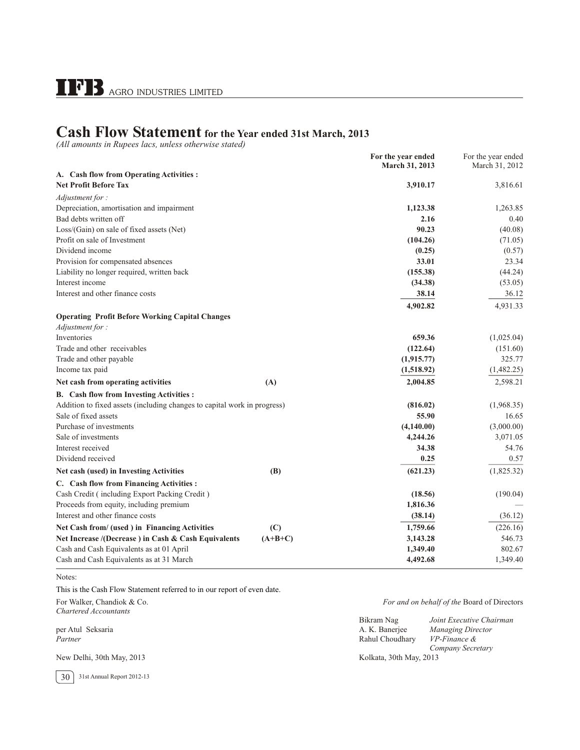# **Cash Flow Statement for the Year ended 31st March, 2013**

*(All amounts in Rupees lacs, unless otherwise stated)*

|                                                                          | For the year ended<br>March 31, 2013 | For the year ended<br>March 31, 2012 |
|--------------------------------------------------------------------------|--------------------------------------|--------------------------------------|
| A. Cash flow from Operating Activities :                                 |                                      |                                      |
| <b>Net Profit Before Tax</b>                                             | 3,910.17                             | 3,816.61                             |
| Adjustment for:                                                          |                                      |                                      |
| Depreciation, amortisation and impairment                                | 1,123.38                             | 1,263.85                             |
| Bad debts written off                                                    | 2.16                                 | 0.40                                 |
| Loss/(Gain) on sale of fixed assets (Net)                                | 90.23                                | (40.08)                              |
| Profit on sale of Investment                                             | (104.26)                             | (71.05)                              |
| Dividend income                                                          | (0.25)                               | (0.57)                               |
| Provision for compensated absences                                       | 33.01                                | 23.34                                |
| Liability no longer required, written back                               | (155.38)                             | (44.24)                              |
| Interest income                                                          | (34.38)                              | (53.05)                              |
| Interest and other finance costs                                         | 38.14                                | 36.12                                |
|                                                                          | 4,902.82                             | 4,931.33                             |
| <b>Operating Profit Before Working Capital Changes</b>                   |                                      |                                      |
| Adjustment for:                                                          |                                      |                                      |
| Inventories                                                              | 659.36                               | (1,025.04)                           |
| Trade and other receivables                                              | (122.64)                             | (151.60)                             |
| Trade and other payable                                                  | (1,915.77)                           | 325.77                               |
| Income tax paid                                                          | (1,518.92)                           | (1,482.25)                           |
| Net cash from operating activities                                       | (A)<br>2,004.85                      | 2,598.21                             |
| B. Cash flow from Investing Activities :                                 |                                      |                                      |
| Addition to fixed assets (including changes to capital work in progress) | (816.02)                             | (1,968.35)                           |
| Sale of fixed assets                                                     | 55.90                                | 16.65                                |
| Purchase of investments                                                  | (4,140.00)                           | (3,000.00)                           |
| Sale of investments                                                      | 4,244.26                             | 3,071.05                             |
| Interest received                                                        | 34.38                                | 54.76                                |
| Dividend received                                                        | 0.25                                 | 0.57                                 |
| Net cash (used) in Investing Activities                                  | (B)<br>(621.23)                      | (1,825.32)                           |
| C. Cash flow from Financing Activities :                                 |                                      |                                      |
| Cash Credit (including Export Packing Credit)                            | (18.56)                              | (190.04)                             |
| Proceeds from equity, including premium                                  | 1,816.36                             |                                      |
| Interest and other finance costs                                         | (38.14)                              | (36.12)                              |
| Net Cash from/ (used ) in Financing Activities                           | 1,759.66<br>(C)                      | (226.16)                             |
| Net Increase /(Decrease) in Cash & Cash Equivalents                      | $(A+B+C)$<br>3,143.28                | 546.73                               |
| Cash and Cash Equivalents as at 01 April                                 | 1,349.40                             | 802.67                               |
| Cash and Cash Equivalents as at 31 March                                 | 4,492.68                             | 1,349.40                             |
|                                                                          |                                      |                                      |

Notes:

This is the Cash Flow Statement referred to in our report of even date.

*Chartered Accountants* 

For Walker, Chandiok & Co. *For and on behalf of the* Board of Directors

|                           | Bikram Nag              | Joint Executive Chairman |
|---------------------------|-------------------------|--------------------------|
| per Atul Seksaria         | A. K. Banerjee          | <b>Managing Director</b> |
| Partner                   | Rahul Choudhary         | VP-Finance &             |
|                           |                         | Company Secretary        |
| New Delhi, 30th May, 2013 | Kolkata, 30th May, 2013 |                          |

30 31st Annual Report 2012-13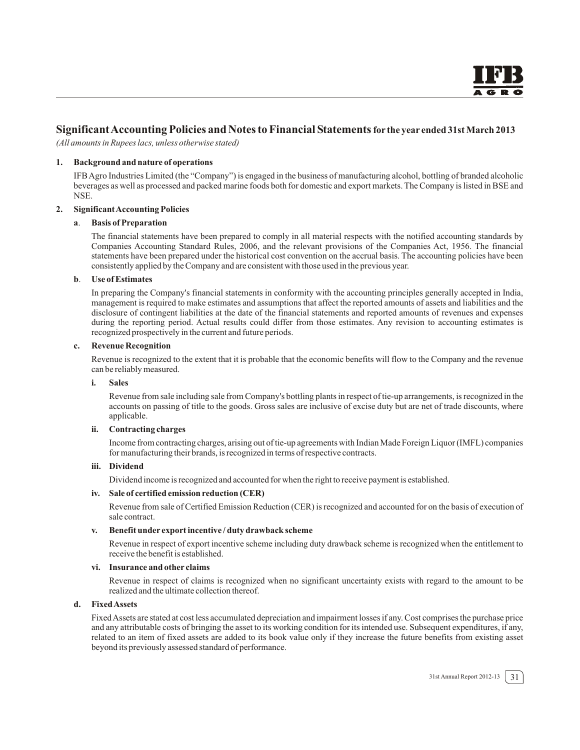#### **SignificantAccounting Policies and Notes to Financial Statementsfor the year ended 31st March 2013**

*(All amounts in Rupees lacs, unless otherwise stated)*

#### **1. Background and nature of operations**

IFBAgro Industries Limited (the "Company") is engaged in the business of manufacturing alcohol, bottling of branded alcoholic beverages as well as processed and packed marine foods both for domestic and export markets. The Company is listed in BSE and NSE.

#### **2. Significant Accounting Policies**

#### **a**. **Basis of Preparation**

The financial statements have been prepared to comply in all material respects with the notified accounting standards by Companies Accounting Standard Rules, 2006, and the relevant provisions of the Companies Act, 1956. The financial statements have been prepared under the historical cost convention on the accrual basis. The accounting policies have been consistently applied by the Company and are consistent with those used in the previous year.

#### **b**. **Use of Estimates**

In preparing the Company's financial statements in conformity with the accounting principles generally accepted in India, management is required to make estimates and assumptions that affect the reported amounts of assets and liabilities and the disclosure of contingent liabilities at the date of the financial statements and reported amounts of revenues and expenses during the reporting period. Actual results could differ from those estimates. Any revision to accounting estimates is recognized prospectively in the current and future periods.

#### **c. Revenue Recognition**

Revenue is recognized to the extent that it is probable that the economic benefits will flow to the Company and the revenue can be reliably measured.

#### **i. Sales**

Revenue from sale including sale from Company's bottling plants in respect of tie-up arrangements, is recognized in the accounts on passing of title to the goods. Gross sales are inclusive of excise duty but are net of trade discounts, where applicable.

#### **ii. Contracting charges**

Income from contracting charges, arising out of tie-up agreements with Indian Made Foreign Liquor (IMFL) companies for manufacturing their brands, is recognized in terms of respective contracts.

#### **iii. Dividend**

Dividend income is recognized and accounted for when the right to receive payment is established.

#### **iv. Sale of certified emission reduction (CER)**

Revenue from sale of Certified Emission Reduction (CER) is recognized and accounted for on the basis of execution of sale contract.

#### **v. Benefit under export incentive / duty drawback scheme**

Revenue in respect of export incentive scheme including duty drawback scheme is recognized when the entitlement to receive the benefit is established.

#### **vi. Insurance and other claims**

Revenue in respect of claims is recognized when no significant uncertainty exists with regard to the amount to be realized and the ultimate collection thereof.

#### **d. Fixed Assets**

FixedAssets are stated at cost less accumulated depreciation and impairment losses if any. Cost comprises the purchase price and any attributable costs of bringing the asset to its working condition for its intended use. Subsequent expenditures, if any, related to an item of fixed assets are added to its book value only if they increase the future benefits from existing asset beyond its previously assessed standard of performance.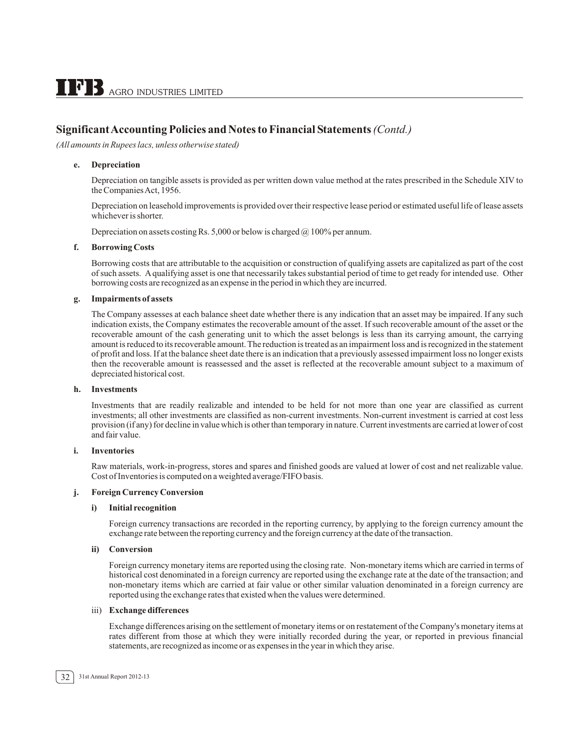*(All amounts in Rupees lacs, unless otherwise stated)*

#### **e. Depreciation**

Depreciation on tangible assets is provided as per written down value method at the rates prescribed in the Schedule XIV to the Companies Act, 1956.

Depreciation on leasehold improvements is provided over their respective lease period or estimated useful life of lease assets whichever is shorter.

Depreciation on assets costing Rs. 5,000 or below is charged  $\omega$  100% per annum.

#### **f. Borrowing Costs**

Borrowing costs that are attributable to the acquisition or construction of qualifying assets are capitalized as part of the cost of such assets. A qualifying asset is one that necessarily takes substantial period of time to get ready for intended use. Other borrowing costs are recognized as an expense in the period in which they are incurred.

#### **g. Impairments of assets**

The Company assesses at each balance sheet date whether there is any indication that an asset may be impaired. If any such indication exists, the Company estimates the recoverable amount of the asset. If such recoverable amount of the asset or the recoverable amount of the cash generating unit to which the asset belongs is less than its carrying amount, the carrying amount is reduced to its recoverable amount. The reduction is treated as an impairment loss and is recognized in the statement of profit and loss. If at the balance sheet date there is an indication that a previously assessed impairment loss no longer exists then the recoverable amount is reassessed and the asset is reflected at the recoverable amount subject to a maximum of depreciated historical cost.

#### **h. Investments**

Investments that are readily realizable and intended to be held for not more than one year are classified as current investments; all other investments are classified as non-current investments. Non-current investment is carried at cost less provision (if any) for decline in value which is other than temporary in nature. Current investments are carried at lower of cost and fair value.

#### **i. Inventories**

Raw materials, work-in-progress, stores and spares and finished goods are valued at lower of cost and net realizable value. Cost of Inventories is computed on a weighted average/FIFO basis.

#### **j. Foreign Currency Conversion**

#### **i) Initial recognition**

Foreign currency transactions are recorded in the reporting currency, by applying to the foreign currency amount the exchange rate between the reporting currency and the foreign currency at the date of the transaction.

#### **ii) Conversion**

Foreign currency monetary items are reported using the closing rate. Non-monetary items which are carried in terms of historical cost denominated in a foreign currency are reported using the exchange rate at the date of the transaction; and non-monetary items which are carried at fair value or other similar valuation denominated in a foreign currency are reported using the exchange rates that existed when the values were determined.

#### iii) **Exchange differences**

Exchange differences arising on the settlement of monetary items or on restatement of the Company's monetary items at rates different from those at which they were initially recorded during the year, or reported in previous financial statements, are recognized as income or as expenses in the year in which they arise.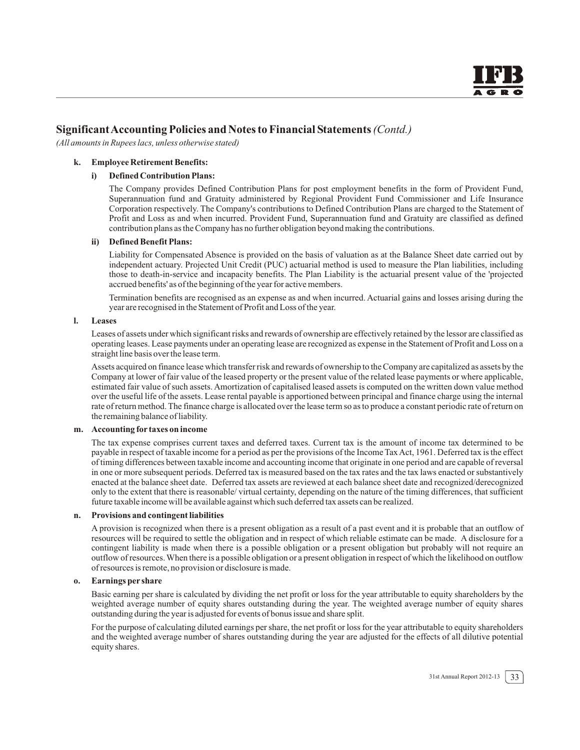*(All amounts in Rupees lacs, unless otherwise stated)*

#### **k. Employee Retirement Benefits:**

#### **i) Defined Contribution Plans:**

The Company provides Defined Contribution Plans for post employment benefits in the form of Provident Fund, Superannuation fund and Gratuity administered by Regional Provident Fund Commissioner and Life Insurance Corporation respectively. The Company's contributions to Defined Contribution Plans are charged to the Statement of Profit and Loss as and when incurred. Provident Fund, Superannuation fund and Gratuity are classified as defined contribution plans as the Company has no further obligation beyond making the contributions.

#### **ii) Defined Benefit Plans:**

Liability for Compensated Absence is provided on the basis of valuation as at the Balance Sheet date carried out by independent actuary. Projected Unit Credit (PUC) actuarial method is used to measure the Plan liabilities, including those to death-in-service and incapacity benefits. The Plan Liability is the actuarial present value of the 'projected accrued benefits' as of the beginning of the year for active members.

Termination benefits are recognised as an expense as and when incurred. Actuarial gains and losses arising during the year are recognised in the Statement of Profit and Loss of the year.

#### **l. Leases**

Leases of assets under which significant risks and rewards of ownership are effectively retained by the lessor are classified as operating leases. Lease payments under an operating lease are recognized as expense in the Statement of Profit and Loss on a straight line basis over the lease term.

Assets acquired on finance lease which transfer risk and rewards of ownership to the Company are capitalized as assets by the Company at lower of fair value of the leased property or the present value of the related lease payments or where applicable, estimated fair value of such assets. Amortization of capitalised leased assets is computed on the written down value method over the useful life of the assets. Lease rental payable is apportioned between principal and finance charge using the internal rate of return method. The finance charge is allocated over the lease term so as to produce a constant periodic rate of return on the remaining balance of liability.

#### **m. Accounting for taxes on income**

The tax expense comprises current taxes and deferred taxes. Current tax is the amount of income tax determined to be payable in respect of taxable income for a period as per the provisions of the Income TaxAct, 1961. Deferred tax is the effect of timing differences between taxable income and accounting income that originate in one period and are capable of reversal in one or more subsequent periods. Deferred tax is measured based on the tax rates and the tax laws enacted or substantively enacted at the balance sheet date. Deferred tax assets are reviewed at each balance sheet date and recognized/derecognized only to the extent that there is reasonable/ virtual certainty, depending on the nature of the timing differences, that sufficient future taxable income will be available against which such deferred tax assets can be realized.

#### **n. Provisions and contingent liabilities**

A provision is recognized when there is a present obligation as a result of a past event and it is probable that an outflow of resources will be required to settle the obligation and in respect of which reliable estimate can be made. A disclosure for a contingent liability is made when there is a possible obligation or a present obligation but probably will not require an outflow of resources. When there is a possible obligation or a present obligation in respect of which the likelihood on outflow of resources is remote, no provision or disclosure is made.

#### **o. Earnings per share**

Basic earning per share is calculated by dividing the net profit or loss for the year attributable to equity shareholders by the weighted average number of equity shares outstanding during the year. The weighted average number of equity shares outstanding during the year is adjusted for events of bonus issue and share split.

For the purpose of calculating diluted earnings per share, the net profit or loss for the year attributable to equity shareholders and the weighted average number of shares outstanding during the year are adjusted for the effects of all dilutive potential equity shares.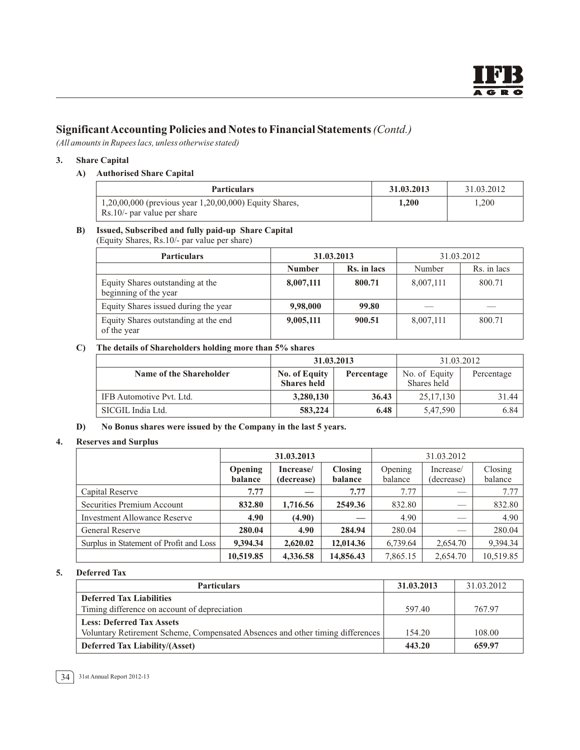*(All amounts in Rupees lacs, unless otherwise stated)*

#### **3. Share Capital**

#### **A) Authorised Share Capital**

| <b>Particulars</b>                                                                               | 31.03.2013 | 31.03.2012 |
|--------------------------------------------------------------------------------------------------|------------|------------|
| $1,20,00,000$ (previous year 1,20,00,000) Equity Shares,<br>$\text{Rs}.10/-$ par value per share | 1.200      | 1.200      |

# **B) Issued, Subscribed and fully paid-up Share Capital**

(Equity Shares, Rs.10/- par value per share)

| <b>Particulars</b>                                        | 31.03.2013    |             | 31.03.2012 |             |
|-----------------------------------------------------------|---------------|-------------|------------|-------------|
|                                                           | <b>Number</b> | Rs. in lacs | Number     | Rs. in lacs |
| Equity Shares outstanding at the<br>beginning of the year | 8,007,111     | 800.71      | 8,007,111  | 800.71      |
| Equity Shares issued during the year                      | 9,98,000      | 99.80       |            |             |
| Equity Shares outstanding at the end<br>of the year       | 9,005,111     | 900.51      | 8,007,111  | 800.71      |

#### **C) The details of Shareholders holding more than 5% shares**

|                          | 31.03.2013         |            | 31.03.2012    |            |
|--------------------------|--------------------|------------|---------------|------------|
| Name of the Shareholder  | No. of Equity      | Percentage | No. of Equity | Percentage |
|                          | <b>Shares held</b> |            | Shares held   |            |
| IFB Automotive Pvt. Ltd. | 3,280,130          | 36.43      | 25, 17, 130   | 31.44      |
| SICGIL India Ltd.        | 583,224            | 6.48       | 5,47,590      | 6.84       |

#### **D) No Bonus shares were issued by the Company in the last 5 years.**

#### **4. Reserves and Surplus**

|                                         | 31.03.2013         |                         |                           |                    | 31.03.2012              |                    |
|-----------------------------------------|--------------------|-------------------------|---------------------------|--------------------|-------------------------|--------------------|
|                                         | Opening<br>balance | Increase/<br>(decrease) | <b>Closing</b><br>balance | Opening<br>balance | Increase/<br>(decrease) | Closing<br>balance |
| Capital Reserve                         | 7.77               |                         | 7.77                      | 7.77               |                         | 7.77               |
| Securities Premium Account              | 832.80             | 1,716.56                | 2549.36                   | 832.80             | _                       | 832.80             |
| <b>Investment Allowance Reserve</b>     | 4.90               | (4.90)                  |                           | 4.90               | _                       | 4.90               |
| General Reserve                         | 280.04             | 4.90                    | 284.94                    | 280.04             |                         | 280.04             |
| Surplus in Statement of Profit and Loss | 9,394.34           | 2,620.02                | 12,014.36                 | 6,739.64           | 2,654.70                | 9,394.34           |
|                                         | 10.519.85          | 4,336.58                | 14,856.43                 | 7,865.15           | 2.654.70                | 10,519.85          |

#### **5. Deferred Tax**

| <b>Particulars</b>                                                             | 31.03.2013 | 31.03.2012 |
|--------------------------------------------------------------------------------|------------|------------|
| <b>Deferred Tax Liabilities</b>                                                |            |            |
| Timing difference on account of depreciation                                   | 597.40     | 767.97     |
| <b>Less: Deferred Tax Assets</b>                                               |            |            |
| Voluntary Retirement Scheme, Compensated Absences and other timing differences | 154.20     | 108.00     |
| <b>Deferred Tax Liability/(Asset)</b>                                          | 443.20     | 659.97     |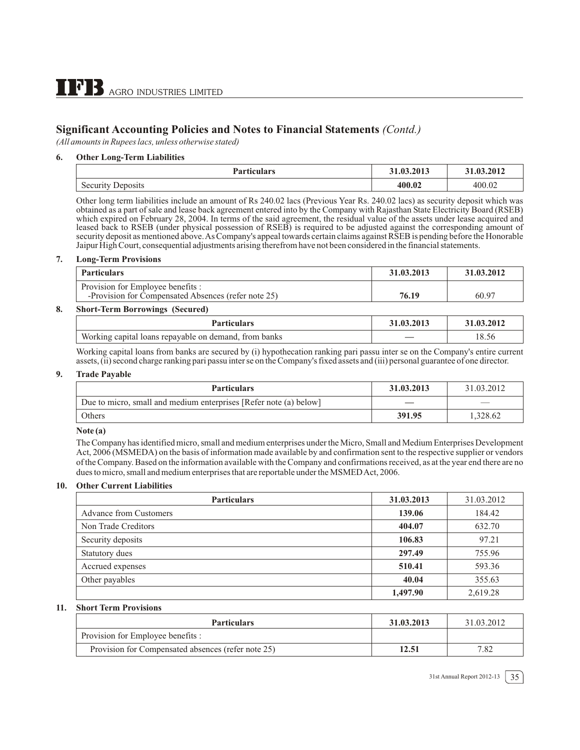*(All amounts in Rupees lacs, unless otherwise stated)*

#### **6. Other Long-Term Liabilities**

| <b>Particulars</b>                    | 3.2013<br>J 1.VJ | ,2012  |
|---------------------------------------|------------------|--------|
| $AOPI^T$<br><b>Decailly</b><br>705115 | 400.02           | 400.07 |

Other long term liabilities include an amount of Rs 240.02 lacs (Previous Year Rs. 240.02 lacs) as security deposit which was obtained as a part of sale and lease back agreement entered into by the Company with Rajasthan State Electricity Board (RSEB) which expired on February 28, 2004. In terms of the said agreement, the residual value of the assets under lease acquired and leased back to RSEB (under physical possession of RSEB) is required to be adjusted against the corresponding amount of security deposit as mentioned above. As Company's appeal towards certain claims against RSEB is pending before the Honorable Jaipur High Court, consequential adjustments arising therefrom have not been considered in the financial statements.

#### **7. Long-Term Provisions**

| <b>Particulars</b>                                                                       | 31.03.2013 | 31.03.2012 |
|------------------------------------------------------------------------------------------|------------|------------|
| Provision for Employee benefits :<br>-Provision for Compensated Absences (refer note 25) | 76.19      | 60.97      |
| $\alpha$ $\alpha$ $\alpha$ $\alpha$                                                      |            |            |

#### **8. Short-Term Borrowings (Secured)**

| <b>Particulars</b>                                            | 31.03.2013 | 51.03.2012 |
|---------------------------------------------------------------|------------|------------|
| Working capital.<br>from banks<br>Uloans repavable on demand. | _          | 18.56      |

Working capital loans from banks are secured by (i) hypothecation ranking pari passu inter se on the Company's entire current assets, (ii) second charge ranking pari passu inter se on the Company's fixed assets and (iii) personal guarantee of one director.

#### **9. Trade Payable**

| <b>Particulars</b>                                                | 31.03.2013 | 31.03.2012 |
|-------------------------------------------------------------------|------------|------------|
| Due to micro, small and medium enterprises [Refer note (a) below] |            | ___        |
| Others                                                            | 391.95     | 1.328.62   |

#### **Note (a)**

The Company has identified micro, small and medium enterprises under the Micro, Small and Medium Enterprises Development Act, 2006 (MSMEDA) on the basis of information made available by and confirmation sent to the respective supplier or vendors of the Company. Based on the information available with the Company and confirmations received, as at the year end there are no dues to micro, small and medium enterprises that are reportable under the MSMED Act, 2006.

#### **10. Other Current Liabilities**

| <b>Particulars</b>            | 31.03.2013 | 31.03.2012 |
|-------------------------------|------------|------------|
| <b>Advance from Customers</b> | 139.06     | 184.42     |
| Non Trade Creditors           | 404.07     | 632.70     |
| Security deposits             | 106.83     | 97.21      |
| Statutory dues                | 297.49     | 755.96     |
| Accrued expenses              | 510.41     | 593.36     |
| Other payables                | 40.04      | 355.63     |
|                               | 1,497.90   | 2,619.28   |

#### **11. Short Term Provisions**

| <b>Particulars</b>                                 | 31.03.2013 | 31.03.2012 |
|----------------------------------------------------|------------|------------|
| Provision for Employee benefits :                  |            |            |
| Provision for Compensated absences (refer note 25) | 12.51      | 7.82       |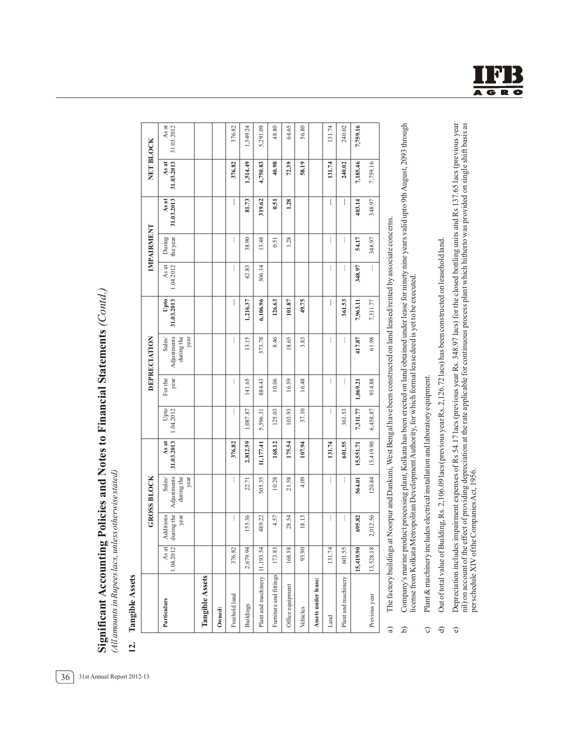Significant Accounting Policies and Notes to Financial Statements (Contd.) **Significant Accounting Policies and Notes to Financial Statements** *(Contd.)* (All amounts in Rupees lacs, unless otherwise stated) *(All amounts in Rupees lacs, unless otherwise stated)*

Tangible Assets **12. Tangible Assets**  $12.$ 

|                        |                    |                                 | <b>GROSS BLOCK</b>                          |                     |                   |                 | DEPRECIATION                               |                    |                    | IMPAIRMENT         |                     | NET BLOCK           |                     |
|------------------------|--------------------|---------------------------------|---------------------------------------------|---------------------|-------------------|-----------------|--------------------------------------------|--------------------|--------------------|--------------------|---------------------|---------------------|---------------------|
| Particulars            | As at<br>1.04.2012 | during the<br>Additions<br>year | Adjustments<br>during the<br>year<br>Sales/ | 31.03.2013<br>As at | Upto<br>1.04.2012 | For the<br>year | Adjustments<br>during the<br>Sales<br>year | 31.03.2013<br>Upto | 1.04.2012<br>As at | the year<br>During | 31.03.2013<br>As at | 31.03.2013<br>As at | As at<br>31.03.2012 |
| Tangible Assets        |                    |                                 |                                             |                     |                   |                 |                                            |                    |                    |                    |                     |                     |                     |
| Owned:                 |                    |                                 |                                             |                     |                   |                 |                                            |                    |                    |                    |                     |                     |                     |
| Freehold land          | 376.82             |                                 |                                             | 376.82              |                   |                 |                                            | I                  |                    | I                  | I                   | 376.82              | 376.82              |
| <b>Buildings</b>       | 2,679.94           | 155.36                          | 22.71                                       | 2,812.59            | 1,087.87          | 141.65          | 13.15                                      | 1,216.37           | 42.83              | 38.90              | 81.73               | 1,514.49            | 1,549.24            |
| Plant and machinery    | 11,193.54          | 489.22                          | 505.35                                      | 11,177.41           | 5,596.31          | 884.43          | 373.78                                     | 6,106.96           | 306.14             | 13.48              | 319.62              | 4,750.83            | 5,291.09            |
| Furniture and fittings | 173.83             | 4.57                            | 10.28                                       | 168.12              | 125.03            | 10.06           | 8.46                                       | 126.63             |                    | 0.51               | 0.51                | 40.98               | 48.80               |
| Office equipment       | 168.58             | 28.54                           | 21.58                                       | 175.54              | 103.93            | 16.59           | 18.65                                      | 101.87             |                    | 1.28               | 1.28                | 72.39               | 64.65               |
| Vehicles               | 93.90              | 18.13                           | 4.09                                        | 107.94              | 37.10             | 16.48           | 3.83                                       | 49.75              |                    |                    |                     | 58.19               | 56.80               |
| Assets under lease:    |                    |                                 |                                             |                     |                   |                 |                                            |                    |                    |                    |                     |                     |                     |
| Land                   | 131.74             |                                 |                                             | 131.74              |                   |                 |                                            | I                  |                    |                    | I                   | 131.74              | 131.74              |
| Plant and machinery    | 601.55             |                                 |                                             | 601.55              | 361.53            |                 |                                            | 361.53             |                    | I                  | I                   | 240.02              | 240.02              |
|                        | 15,419.90          | 695.82                          | 564.01                                      | 15,551.71           | 7,311.77          | 1,069.21        | 417.87                                     | 7,963.11           | 348.97             | 54.17              | 403.14              | 7,185.46            | 7,759.16            |
| Previous year          | 13,528.18          | 2,012.56                        | 120.84                                      | 15,419.90           | 6,458.87          | 914.88          | 61.98                                      | 7,311.77           |                    | 348.97             | 348.97              | 7,759.16            |                     |
|                        |                    |                                 |                                             |                     |                   |                 |                                            |                    |                    |                    |                     |                     |                     |

The factory buildings at Noorpur and Dankuni, West Bengal have been constructed on land leased/rented by associate concerns. a) The factory buildings at Noorpur and Dankuni, West Bengal have been constructed on land leased/rented by associate concerns.  $\widehat{a}$ 

Company's marine product processing plant, Kolkata has been erected on land obtained under lease for ninety nine years valid upto 9th August, 2093 through<br>license from Kolkata Metropolitan Development Authority, for which b) Company's marine product processing plant, Kolkata has been erected on land obtained under lease for ninety nine years valid upto 9thAugust, 2093 through license from Kolkata Metropolitan DevelopmentAuthority, for which formal lease deed is yet to be executed.  $\widehat{a}$ 

Plant & machinery includes electrical installation and laboratory equipment. c) Plant & machinery includes electrical installation and laboratory equipment.  $\circ$ 

- Out of total value of Building, Rs. 2,106.09 lacs (previous year Rs. 2,126.72 lacs) has been constructed on leasehold land. d) Out of total value of Building, Rs. 2,106.09 lacs (previous year Rs. 2,126.72 lacs) has been constructed on leasehold land.  $\ominus$
- Depreciation includes impairment expenses of Rs 54.17 lacs (previous year Rs. 348.97 lacs) for the closed bottling units and Rs 137.65 lacs (previous year nil) on account of the effect of providing depreciation at the rate e) Depreciation includes impairment expenses of Rs 54.17 lacs (previous year Rs. 348.97 lacs) for the closed bottling units and Rs 137.65 lacs (previous year nil) on account of the effect of providing depreciation at the rate applicable for continuous process plant which hitherto was provided on single shift basis as per schedule XIV of the Companies Act, 1956. per schedule XIV of the CompaniesAct, 1956.  $\widehat{\mathbf{e}}$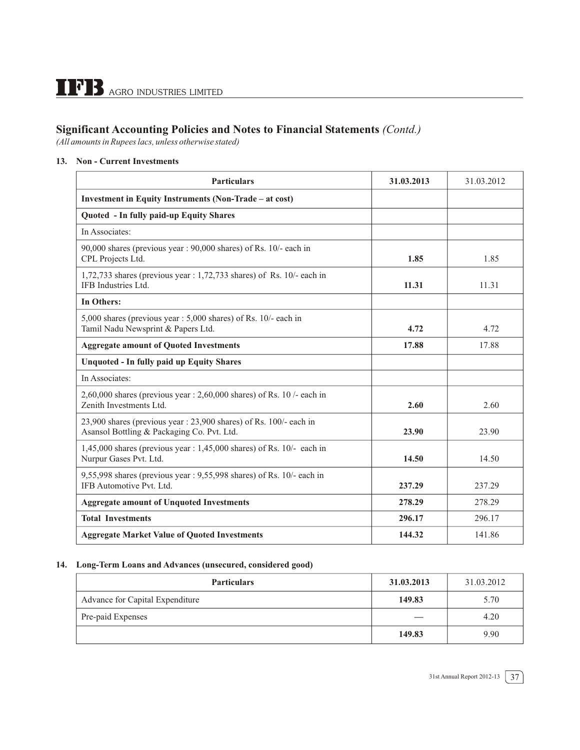*(All amounts in Rupees lacs, unless otherwise stated)*

#### **13. Non - Current Investments**

| <b>Particulars</b>                                                                                              | 31.03.2013 | 31.03.2012 |
|-----------------------------------------------------------------------------------------------------------------|------------|------------|
| Investment in Equity Instruments (Non-Trade – at cost)                                                          |            |            |
| Quoted - In fully paid-up Equity Shares                                                                         |            |            |
| In Associates:                                                                                                  |            |            |
| 90,000 shares (previous year: 90,000 shares) of Rs. 10/- each in<br>CPL Projects Ltd.                           | 1.85       | 1.85       |
| $1,72,733$ shares (previous year: 1,72,733 shares) of Rs. 10/- each in<br>IFB Industries Ltd.                   | 11.31      | 11.31      |
| <b>In Others:</b>                                                                                               |            |            |
| 5,000 shares (previous year: 5,000 shares) of Rs. 10/- each in<br>Tamil Nadu Newsprint & Papers Ltd.            | 4.72       | 4.72       |
| <b>Aggregate amount of Quoted Investments</b>                                                                   | 17.88      | 17.88      |
| <b>Unquoted - In fully paid up Equity Shares</b>                                                                |            |            |
| In Associates:                                                                                                  |            |            |
| $2,60,000$ shares (previous year: $2,60,000$ shares) of Rs. 10 /- each in<br>Zenith Investments Ltd.            | 2.60       | 2.60       |
| 23,900 shares (previous year: 23,900 shares) of Rs. 100/- each in<br>Asansol Bottling & Packaging Co. Pvt. Ltd. | 23.90      | 23.90      |
| $1,45,000$ shares (previous year: $1,45,000$ shares) of Rs. $10/-$ each in<br>Nurpur Gases Pvt. Ltd.            | 14.50      | 14.50      |
| 9,55,998 shares (previous year: 9,55,998 shares) of Rs. 10/- each in<br>IFB Automotive Pvt. Ltd.                | 237.29     | 237.29     |
| <b>Aggregate amount of Unquoted Investments</b>                                                                 | 278.29     | 278.29     |
| <b>Total Investments</b>                                                                                        | 296.17     | 296.17     |
| <b>Aggregate Market Value of Quoted Investments</b>                                                             | 144.32     | 141.86     |

#### **14. Long-Term Loans and Advances (unsecured, considered good)**

| <b>Particulars</b>              | 31.03.2013 | 31.03.2012 |
|---------------------------------|------------|------------|
| Advance for Capital Expenditure | 149.83     | 5.70       |
| Pre-paid Expenses               |            | 4.20       |
|                                 | 149.83     | 9.90       |

31st Annual Report 2012-13  $\sqrt{37}$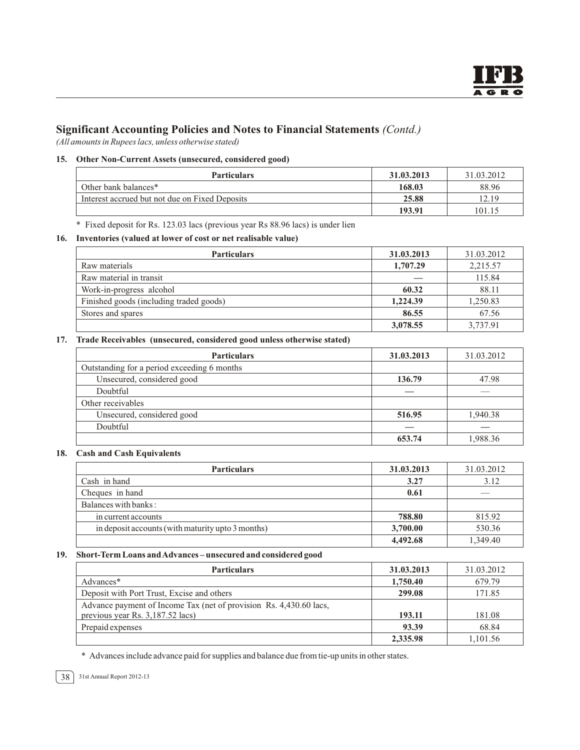*(All amounts in Rupees lacs, unless otherwise stated)*

#### **15. Other Non-Current Assets (unsecured, considered good)**

| <b>Particulars</b>                             | 31.03.2013 | 31.03.2012 |
|------------------------------------------------|------------|------------|
| Other bank balances*                           | 168.03     | 88.96      |
| Interest accrued but not due on Fixed Deposits | 25.88      | 12.19      |
|                                                | 193.91     | 101.15     |

\* Fixed deposit for Rs. 123.03 lacs (previous year Rs 88.96 lacs) is under lien

#### **16. Inventories (valued at lower of cost or net realisable value)**

| <b>Particulars</b>                      | 31.03.2013 | 31.03.2012 |
|-----------------------------------------|------------|------------|
| Raw materials                           | 1,707.29   | 2,215.57   |
| Raw material in transit                 |            | 115.84     |
| Work-in-progress alcohol                | 60.32      | 88.11      |
| Finished goods (including traded goods) | 1,224.39   | 1,250.83   |
| Stores and spares                       | 86.55      | 67.56      |
|                                         | 3,078.55   | 3.737.91   |

#### **17. Trade Receivables (unsecured, considered good unless otherwise stated)**

| <b>Particulars</b>                          | 31.03.2013 | 31.03.2012 |
|---------------------------------------------|------------|------------|
| Outstanding for a period exceeding 6 months |            |            |
| Unsecured, considered good                  | 136.79     | 47.98      |
| Doubtful                                    |            |            |
| Other receivables                           |            |            |
| Unsecured, considered good                  | 516.95     | 1,940.38   |
| Doubtful                                    |            |            |
|                                             | 653.74     | 1.988.36   |

#### **18. Cash and Cash Equivalents**

| <b>Particulars</b>                                 | 31.03.2013 | 31.03.2012 |
|----------------------------------------------------|------------|------------|
| Cash in hand                                       | 3.27       | 3.12       |
| Cheques in hand                                    | 0.61       | ___        |
| Balances with banks:                               |            |            |
| in current accounts                                | 788.80     | 815.92     |
| in deposit accounts (with maturity up to 3 months) | 3,700.00   | 530.36     |
|                                                    | 4,492.68   | 1,349.40   |

#### **19. Short-Term Loans and Advances – unsecured and considered good**

| <b>Particulars</b>                                                                                     | 31.03.2013 | 31.03.2012 |
|--------------------------------------------------------------------------------------------------------|------------|------------|
| Advances*                                                                                              | 1,750.40   | 679.79     |
| Deposit with Port Trust, Excise and others                                                             | 299.08     | 171.85     |
| Advance payment of Income Tax (net of provision Rs. 4,430.60 lacs,<br>previous year Rs. 3,187.52 lacs) | 193.11     | 181.08     |
| Prepaid expenses                                                                                       | 93.39      | 68.84      |
|                                                                                                        | 2,335.98   | 1.101.56   |

\* Advances include advance paid for supplies and balance due from tie-up units in other states.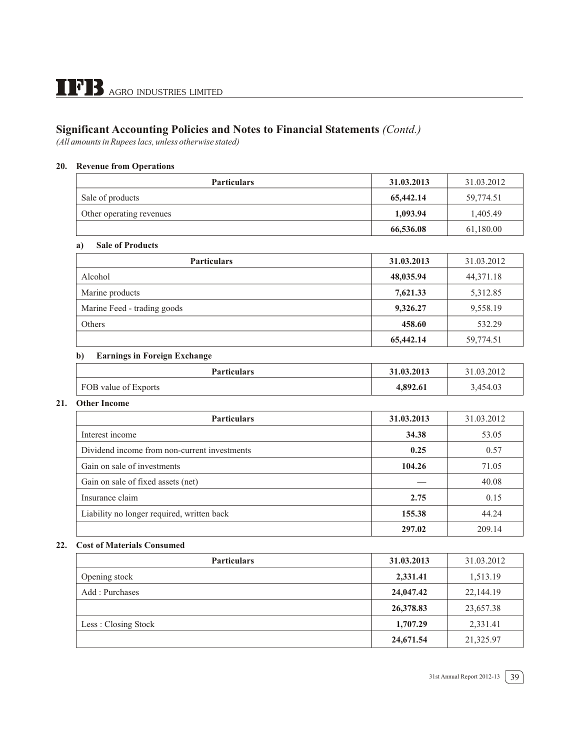*(All amounts in Rupees lacs, unless otherwise stated)*

#### **20. Revenue from Operations**

| <b>Particulars</b>       | 31.03.2013 | 31.03.2012 |
|--------------------------|------------|------------|
| Sale of products         | 65,442.14  | 59.774.51  |
| Other operating revenues | 1,093.94   | 1.405.49   |
|                          | 66,536.08  | 61,180.00  |

#### **a) Sale of Products**

| <b>Particulars</b>          | 31.03.2013 | 31.03.2012  |
|-----------------------------|------------|-------------|
| Alcohol                     | 48,035.94  | 44, 371. 18 |
| Marine products             | 7,621.33   | 5,312.85    |
| Marine Feed - trading goods | 9,326.27   | 9,558.19    |
| Others                      | 458.60     | 532.29      |
|                             | 65,442.14  | 59,774.51   |

#### **b) Earnings in Foreign Exchange**

| <b>Particulars</b>   | 31.03.2013 | 31.03.2012 |
|----------------------|------------|------------|
| FOB value of Exports | 4.892.61   | 3,454.03   |

#### **21. Other Income**

| <b>Particulars</b>                           | 31.03.2013 | 31.03.2012 |
|----------------------------------------------|------------|------------|
| Interest income                              | 34.38      | 53.05      |
| Dividend income from non-current investments | 0.25       | 0.57       |
| Gain on sale of investments                  | 104.26     | 71.05      |
| Gain on sale of fixed assets (net)           |            | 40.08      |
| Insurance claim                              | 2.75       | 0.15       |
| Liability no longer required, written back   | 155.38     | 44.24      |
|                                              | 297.02     | 209.14     |

#### **22. Cost of Materials Consumed**

| <b>Particulars</b>  | 31.03.2013 | 31.03.2012 |
|---------------------|------------|------------|
| Opening stock       | 2,331.41   | 1,513.19   |
| Add: Purchases      | 24,047.42  | 22,144.19  |
|                     | 26,378.83  | 23,657.38  |
| Less: Closing Stock | 1,707.29   | 2,331.41   |
|                     | 24,671.54  | 21,325.97  |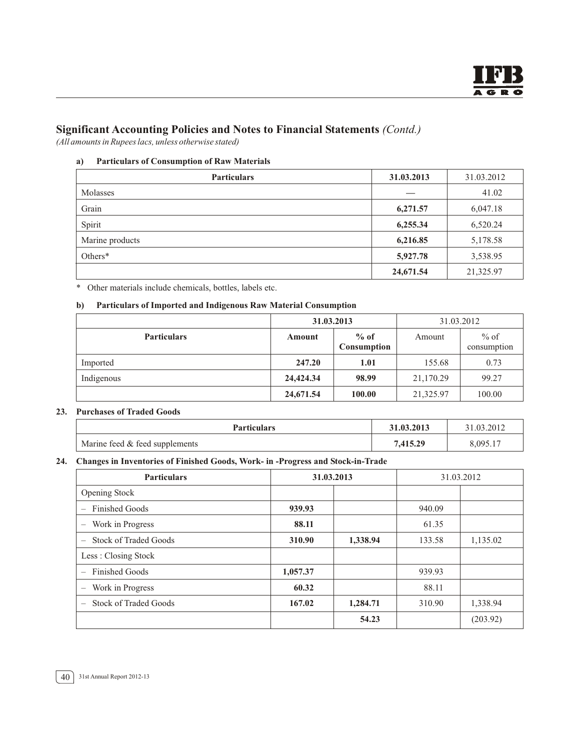*(All amounts in Rupees lacs, unless otherwise stated)*

#### **a) Particulars of Consumption of Raw Materials**

| <b>Particulars</b> | 31.03.2013 | 31.03.2012 |
|--------------------|------------|------------|
| Molasses           |            | 41.02      |
| Grain              | 6,271.57   | 6,047.18   |
| Spirit             | 6,255.34   | 6,520.24   |
| Marine products    | 6,216.85   | 5,178.58   |
| Others*            | 5,927.78   | 3,538.95   |
|                    | 24,671.54  | 21,325.97  |

\* Other materials include chemicals, bottles, labels etc.

#### **b) Particulars of Imported and Indigenous Raw Material Consumption**

|                    | 31.03.2013 |                       |           | 31.03.2012            |
|--------------------|------------|-----------------------|-----------|-----------------------|
| <b>Particulars</b> | Amount     | $%$ of<br>Consumption | Amount    | $%$ of<br>consumption |
| Imported           | 247.20     | 1.01                  | 155.68    | 0.73                  |
| Indigenous         | 24,424.34  | 98.99                 | 21,170.29 | 99.27                 |
|                    | 24,671.54  | 100.00                | 21,325.97 | 100.00                |

#### **23. Purchases of Traded Goods**

| <b>Particulars</b>             | 31.03.2013 | 31.03.2012 |
|--------------------------------|------------|------------|
| Marine feed & feed supplements | 7.415.29   | 8,095.17   |

#### **24. Changes in Inventories of Finished Goods, Work- in -Progress and Stock-in-Trade**

| <b>Particulars</b>                                | 31.03.2013 |          |        | 31.03.2012 |
|---------------------------------------------------|------------|----------|--------|------------|
| Opening Stock                                     |            |          |        |            |
| <b>Finished Goods</b><br>$\overline{\phantom{0}}$ | 939.93     |          | 940.09 |            |
| Work in Progress<br>$\overline{\phantom{0}}$      | 88.11      |          | 61.35  |            |
| Stock of Traded Goods<br>$\overline{\phantom{m}}$ | 310.90     | 1,338.94 | 133.58 | 1,135.02   |
| Less: Closing Stock                               |            |          |        |            |
| <b>Finished Goods</b><br>$\overline{\phantom{a}}$ | 1,057.37   |          | 939.93 |            |
| Work in Progress<br>$\qquad \qquad -$             | 60.32      |          | 88.11  |            |
| <b>Stock of Traded Goods</b><br>$\qquad \qquad -$ | 167.02     | 1,284.71 | 310.90 | 1,338.94   |
|                                                   |            | 54.23    |        | (203.92)   |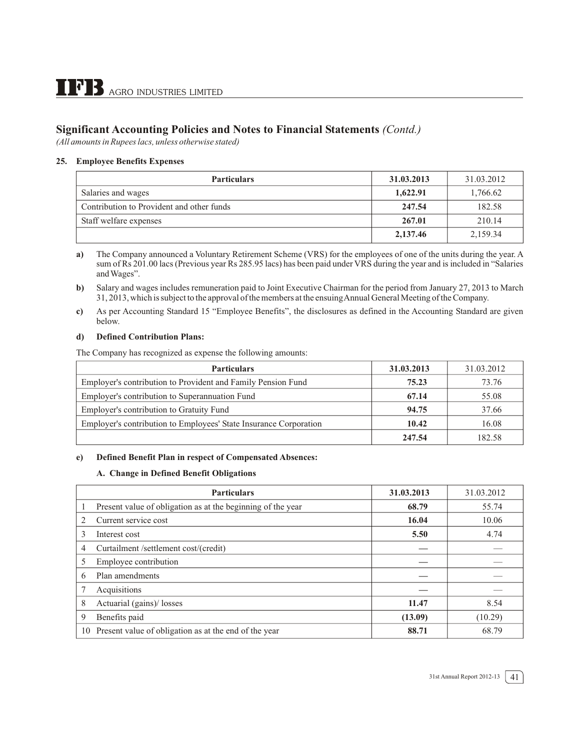*(All amounts in Rupees lacs, unless otherwise stated)*

#### **25. Employee Benefits Expenses**

| <b>Particulars</b>                        | 31.03.2013 | 31.03.2012 |
|-------------------------------------------|------------|------------|
| Salaries and wages                        | 1,622.91   | 1,766.62   |
| Contribution to Provident and other funds | 247.54     | 182.58     |
| Staff welfare expenses                    | 267.01     | 210.14     |
|                                           | 2,137.46   | 2,159.34   |

**a)** The Company announced a Voluntary Retirement Scheme (VRS) for the employees of one of the units during the year. A sum of Rs 201.00 lacs (Previous year Rs 285.95 lacs) has been paid under VRS during the year and is included in "Salaries and Wages".

**b)** Salary and wages includes remuneration paid to Joint Executive Chairman for the period from January 27, 2013 to March 31, 2013, which is subject to the approval of the members at the ensuing Annual General Meeting of the Company.

**c)** As per Accounting Standard 15 "Employee Benefits", the disclosures as defined in the Accounting Standard are given below.

#### **d) Defined Contribution Plans:**

The Company has recognized as expense the following amounts:

| <b>Particulars</b>                                                | 31.03.2013 | 31.03.2012 |
|-------------------------------------------------------------------|------------|------------|
| Employer's contribution to Provident and Family Pension Fund      | 75.23      | 73.76      |
| Employer's contribution to Superannuation Fund                    | 67.14      | 55.08      |
| Employer's contribution to Gratuity Fund                          | 94.75      | 37.66      |
| Employer's contribution to Employees' State Insurance Corporation | 10.42      | 16.08      |
|                                                                   | 247.54     | 182.58     |

#### **e) Defined Benefit Plan in respect of Compensated Absences:**

#### **A. Change in Defined Benefit Obligations**

|    | <b>Particulars</b>                                          | 31.03.2013 | 31.03.2012 |
|----|-------------------------------------------------------------|------------|------------|
| 1  | Present value of obligation as at the beginning of the year | 68.79      | 55.74      |
| 2  | Current service cost                                        | 16.04      | 10.06      |
| 3  | Interest cost                                               | 5.50       | 4.74       |
| 4  | Curtailment /settlement cost/(credit)                       |            |            |
| 5  | Employee contribution                                       |            |            |
| 6  | Plan amendments                                             |            |            |
|    | Acquisitions                                                |            |            |
| 8  | Actuarial (gains)/ losses                                   | 11.47      | 8.54       |
| 9  | Benefits paid                                               | (13.09)    | (10.29)    |
| 10 | Present value of obligation as at the end of the year       | 88.71      | 68.79      |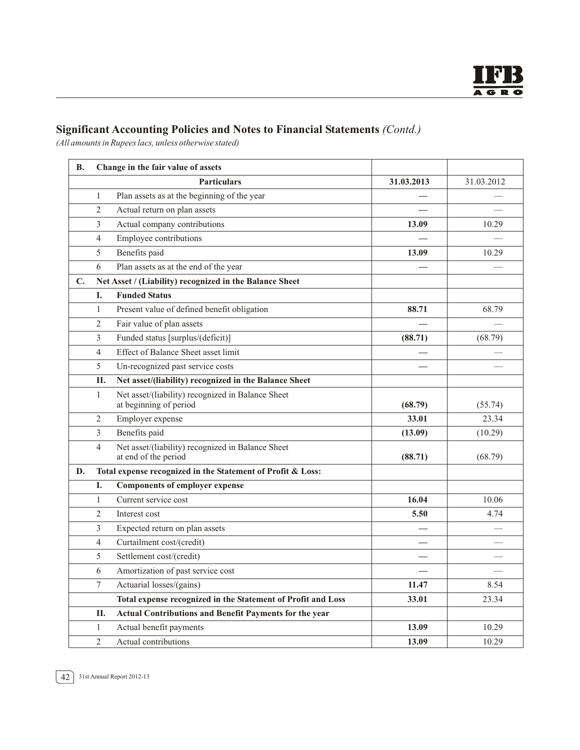*(All amounts in Rupees lacs, unless otherwise stated)*

| <b>B.</b>      |                | Change in the fair value of assets                                          |            |            |
|----------------|----------------|-----------------------------------------------------------------------------|------------|------------|
|                |                | <b>Particulars</b>                                                          | 31.03.2013 | 31.03.2012 |
|                | $\mathbf{1}$   | Plan assets as at the beginning of the year                                 |            |            |
|                | $\overline{2}$ | Actual return on plan assets                                                |            |            |
|                | 3              | Actual company contributions                                                | 13.09      | 10.29      |
|                | 4              | Employee contributions                                                      |            |            |
|                | 5              | Benefits paid                                                               | 13.09      | 10.29      |
|                | 6              | Plan assets as at the end of the year                                       |            |            |
| $\mathbf{C}$ . |                | Net Asset / (Liability) recognized in the Balance Sheet                     |            |            |
|                | I.             | <b>Funded Status</b>                                                        |            |            |
|                | 1              | Present value of defined benefit obligation                                 | 88.71      | 68.79      |
|                | $\overline{2}$ | Fair value of plan assets                                                   |            |            |
|                | 3              | Funded status [surplus/(deficit)]                                           | (88.71)    | (68.79)    |
|                | 4              | Effect of Balance Sheet asset limit                                         |            |            |
|                | 5              | Un-recognized past service costs                                            |            |            |
|                | <b>II.</b>     | Net asset/(liability) recognized in the Balance Sheet                       |            |            |
|                | 1              | Net asset/(liability) recognized in Balance Sheet<br>at beginning of period | (68.79)    | (55.74)    |
|                | $\overline{2}$ | Employer expense                                                            | 33.01      | 23.34      |
|                | 3              | Benefits paid                                                               | (13.09)    | (10.29)    |
|                | $\overline{4}$ | Net asset/(liability) recognized in Balance Sheet<br>at end of the period   | (88.71)    | (68.79)    |
| D.             |                | Total expense recognized in the Statement of Profit & Loss:                 |            |            |
|                | I.             | <b>Components of employer expense</b>                                       |            |            |
|                | $\mathbf{1}$   | Current service cost                                                        | 16.04      | 10.06      |
|                | $\overline{2}$ | Interest cost                                                               | 5.50       | 4.74       |
|                | 3              | Expected return on plan assets                                              |            |            |
|                | 4              | Curtailment cost/(credit)                                                   |            |            |
|                | 5              | Settlement cost/(credit)                                                    |            |            |
|                | 6              | Amortization of past service cost                                           |            |            |
|                | $\tau$         | Actuarial losses/(gains)                                                    | 11.47      | 8.54       |
|                |                | Total expense recognized in the Statement of Profit and Loss                | 33.01      | 23.34      |
|                | П.             | <b>Actual Contributions and Benefit Payments for the year</b>               |            |            |
|                | $\mathbf{1}$   | Actual benefit payments                                                     | 13.09      | 10.29      |
|                | $\overline{2}$ | Actual contributions                                                        | 13.09      | 10.29      |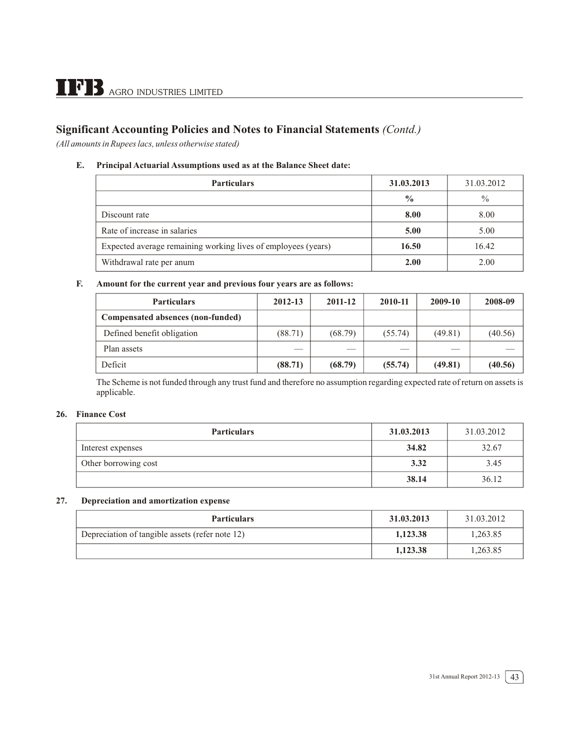*(All amounts in Rupees lacs, unless otherwise stated)*

#### **E. Principal Actuarial Assumptions used as at the Balance Sheet date:**

| <b>Particulars</b>                                            | 31.03.2013    | 31.03.2012    |
|---------------------------------------------------------------|---------------|---------------|
|                                                               | $\frac{6}{6}$ | $\frac{0}{0}$ |
| Discount rate                                                 | 8.00          | 8.00          |
| Rate of increase in salaries                                  | 5.00          | 5.00          |
| Expected average remaining working lives of employees (years) | 16.50         | 16.42         |
| Withdrawal rate per anum                                      | 2.00          | 2.00          |

#### **F. Amount for the current year and previous four years are as follows:**

| <b>Particulars</b>                | 2012-13 | 2011-12 | 2010-11 | 2009-10 | 2008-09 |
|-----------------------------------|---------|---------|---------|---------|---------|
| Compensated absences (non-funded) |         |         |         |         |         |
| Defined benefit obligation        | (88.71) | (68.79) | (55.74) | (49.81) | (40.56) |
| Plan assets                       | __      | ___     | _       |         |         |
| Deficit                           | (88.71) | (68.79) | (55.74) | (49.81) | (40.56) |

The Scheme is not funded through any trust fund and therefore no assumption regarding expected rate of return on assets is applicable.

#### **26. Finance Cost**

| <b>Particulars</b>   | 31.03.2013 | 31.03.2012 |
|----------------------|------------|------------|
| Interest expenses    | 34.82      | 32.67      |
| Other borrowing cost | 3.32       | 3.45       |
|                      | 38.14      | 36.12      |

#### **27. Depreciation and amortization expense**

| <b>Particulars</b>                              | 31.03.2013 | 31.03.2012 |
|-------------------------------------------------|------------|------------|
| Depreciation of tangible assets (refer note 12) | 1,123.38   | 1,263.85   |
|                                                 | 1,123.38   | 1,263.85   |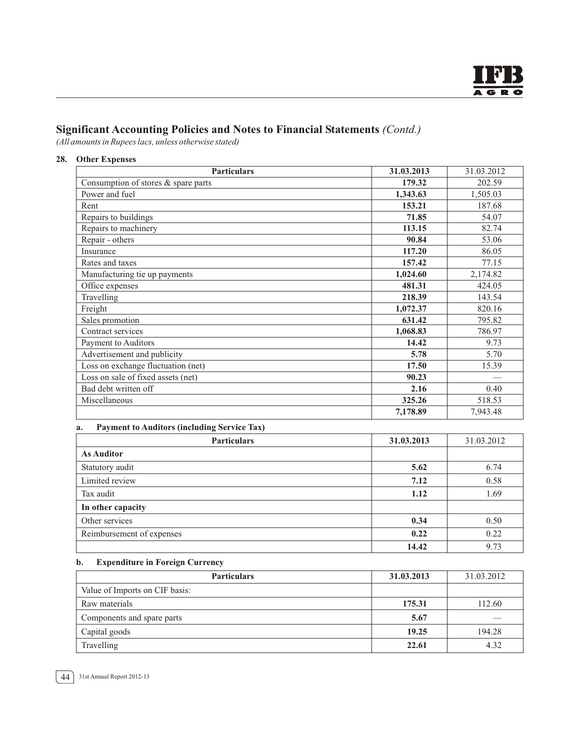*(All amounts in Rupees lacs, unless otherwise stated)*

**28. Other Expenses**

| <b>Particulars</b>                  | 31.03.2013 | 31.03.2012 |
|-------------------------------------|------------|------------|
| Consumption of stores & spare parts | 179.32     | 202.59     |
| Power and fuel                      | 1,343.63   | 1,505.03   |
| Rent                                | 153.21     | 187.68     |
| Repairs to buildings                | 71.85      | 54.07      |
| Repairs to machinery                | 113.15     | 82.74      |
| Repair - others                     | 90.84      | 53.06      |
| Insurance                           | 117.20     | 86.05      |
| Rates and taxes                     | 157.42     | 77.15      |
| Manufacturing tie up payments       | 1,024.60   | 2,174.82   |
| Office expenses                     | 481.31     | 424.05     |
| Travelling                          | 218.39     | 143.54     |
| Freight                             | 1,072.37   | 820.16     |
| Sales promotion                     | 631.42     | 795.82     |
| Contract services                   | 1,068.83   | 786.97     |
| Payment to Auditors                 | 14.42      | 9.73       |
| Advertisement and publicity         | 5.78       | 5.70       |
| Loss on exchange fluctuation (net)  | 17.50      | 15.39      |
| Loss on sale of fixed assets (net)  | 90.23      |            |
| Bad debt written off                | 2.16       | 0.40       |
| Miscellaneous                       | 325.26     | 518.53     |
|                                     | 7,178.89   | 7,943.48   |

#### **a. Payment to Auditors (including Service Tax)**

| <b>Particulars</b>        | 31.03.2013 | 31.03.2012 |
|---------------------------|------------|------------|
| <b>As Auditor</b>         |            |            |
| Statutory audit           | 5.62       | 6.74       |
| Limited review            | 7.12       | 0.58       |
| Tax audit                 | 1.12       | 1.69       |
| In other capacity         |            |            |
| Other services            | 0.34       | 0.50       |
| Reimbursement of expenses | 0.22       | 0.22       |
|                           | 14.42      | 9.73       |

#### **b. Expenditure in Foreign Currency**

| <b>Particulars</b>             | 31.03.2013 | 31.03.2012 |
|--------------------------------|------------|------------|
| Value of Imports on CIF basis: |            |            |
| Raw materials                  | 175.31     | 112.60     |
| Components and spare parts     | 5.67       | __         |
| Capital goods                  | 19.25      | 194.28     |
| Travelling                     | 22.61      | 4.32       |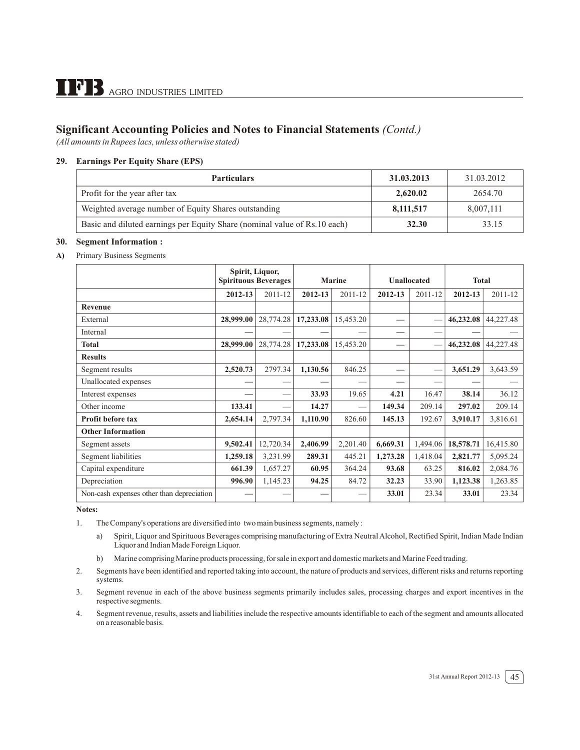*(All amounts in Rupees lacs, unless otherwise stated)*

#### **29. Earnings Per Equity Share (EPS)**

| <b>Particulars</b>                                                        | 31.03.2013 | 31.03.2012 |
|---------------------------------------------------------------------------|------------|------------|
| Profit for the year after tax                                             | 2,620.02   | 2654.70    |
| Weighted average number of Equity Shares outstanding                      | 8,111,517  | 8,007,111  |
| Basic and diluted earnings per Equity Share (nominal value of Rs.10 each) | 32.30      | 33.15      |

#### **30. Segment Information :**

#### **A)** Primary Business Segments

|                                           | Spirit, Liquor,<br><b>Spirituous Beverages</b> |           | <b>Marine</b> |           | <b>Unallocated</b> |          | <b>Total</b> |           |
|-------------------------------------------|------------------------------------------------|-----------|---------------|-----------|--------------------|----------|--------------|-----------|
|                                           | 2012-13                                        | 2011-12   | 2012-13       | 2011-12   | 2012-13            | 2011-12  | 2012-13      | 2011-12   |
| <b>Revenue</b>                            |                                                |           |               |           |                    |          |              |           |
| External                                  | 28,999.00                                      | 28,774.28 | 17,233.08     | 15,453.20 |                    |          | 46,232.08    | 44,227.48 |
| Internal                                  |                                                |           |               |           |                    |          |              |           |
| <b>Total</b>                              | 28,999.00                                      | 28,774.28 | 17,233.08     | 15,453.20 |                    |          | 46,232.08    | 44,227.48 |
| <b>Results</b>                            |                                                |           |               |           |                    |          |              |           |
| Segment results                           | 2,520.73                                       | 2797.34   | 1,130.56      | 846.25    | —                  |          | 3,651.29     | 3,643.59  |
| Unallocated expenses                      |                                                |           |               |           |                    | --       |              |           |
| Interest expenses                         |                                                |           | 33.93         | 19.65     | 4.21               | 16.47    | 38.14        | 36.12     |
| Other income                              | 133.41                                         |           | 14.27         |           | 149.34             | 209.14   | 297.02       | 209.14    |
| <b>Profit before tax</b>                  | 2,654.14                                       | 2,797.34  | 1,110.90      | 826.60    | 145.13             | 192.67   | 3,910.17     | 3,816.61  |
| <b>Other Information</b>                  |                                                |           |               |           |                    |          |              |           |
| Segment assets                            | 9,502.41                                       | 12,720.34 | 2,406.99      | 2,201.40  | 6,669.31           | 1,494.06 | 18,578.71    | 16,415.80 |
| Segment liabilities                       | 1,259.18                                       | 3,231.99  | 289.31        | 445.21    | 1,273.28           | 1,418.04 | 2,821.77     | 5,095.24  |
| Capital expenditure                       | 661.39                                         | 1,657.27  | 60.95         | 364.24    | 93.68              | 63.25    | 816.02       | 2,084.76  |
| Depreciation                              | 996.90                                         | 1,145.23  | 94.25         | 84.72     | 32.23              | 33.90    | 1,123.38     | 1,263.85  |
| Non-cash expenses other than depreciation |                                                |           |               |           | 33.01              | 23.34    | 33.01        | 23.34     |

**Notes:**

- 1. The Company's operations are diversified into two main business segments, namely :
	- a) Spirit, Liquor and Spirituous Beverages comprising manufacturing of Extra Neutral Alcohol, Rectified Spirit, Indian Made Indian Liquor and Indian Made Foreign Liquor.
	- b) Marine comprising Marine products processing, for sale in export and domestic markets and Marine Feed trading.
- 2. Segments have been identified and reported taking into account, the nature of products and services, different risks and returns reporting systems.
- 3. Segment revenue in each of the above business segments primarily includes sales, processing charges and export incentives in the respective segments.
- 4. Segment revenue, results, assets and liabilities include the respective amounts identifiable to each of the segment and amounts allocated on a reasonable basis.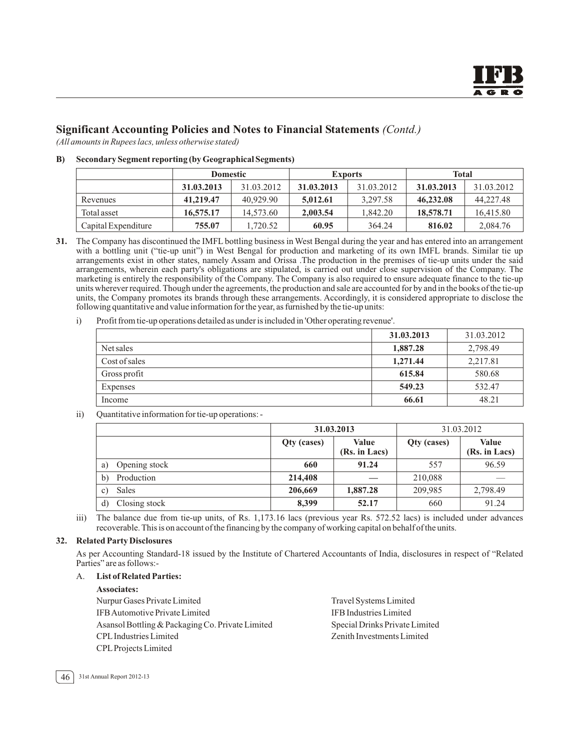*(All amounts in Rupees lacs, unless otherwise stated)*

#### **B) Secondary Segment reporting (by Geographical Segments)**

|                     | <b>Domestic</b> |            | <b>Exports</b> |            | <b>Total</b> |            |
|---------------------|-----------------|------------|----------------|------------|--------------|------------|
|                     | 31.03.2013      | 31.03.2012 | 31.03.2013     | 31.03.2012 | 31.03.2013   | 31.03.2012 |
| Revenues            | 41,219.47       | 40.929.90  | 5.012.61       | 3.297.58   | 46,232.08    | 44,227.48  |
| Total asset         | 16,575.17       | 14,573.60  | 2,003.54       | 1,842.20   | 18,578.71    | 16,415.80  |
| Capital Expenditure | 755.07          | 1.720.52   | 60.95          | 364.24     | 816.02       | 2,084.76   |

**31.** The Company has discontinued the IMFL bottling business in West Bengal during the year and has entered into an arrangement with a bottling unit ("tie-up unit") in West Bengal for production and marketing of its own IMFL brands. Similar tie up arrangements exist in other states, namely Assam and Orissa .The production in the premises of tie-up units under the said arrangements, wherein each party's obligations are stipulated, is carried out under close supervision of the Company. The marketing is entirely the responsibility of the Company. The Company is also required to ensure adequate finance to the tie-up units wherever required. Though under the agreements, the production and sale are accounted for by and in the books of the tie-up units, the Company promotes its brands through these arrangements. Accordingly, it is considered appropriate to disclose the following quantitative and value information for the year, as furnished by the tie-up units:

i) Profit from tie-up operations detailed as under is included in 'Other operating revenue'.

|               | 31.03.2013 | 31.03.2012 |
|---------------|------------|------------|
| Net sales     | 1,887.28   | 2,798.49   |
| Cost of sales | 1,271.44   | 2,217.81   |
| Gross profit  | 615.84     | 580.68     |
| Expenses      | 549.23     | 532.47     |
| Income        | 66.61      | 48.21      |
|               |            |            |

ii) Quantitative information for tie-up operations: -

|                            | 31.03.2013  |                        | 31.03.2012  |                        |
|----------------------------|-------------|------------------------|-------------|------------------------|
|                            | Qty (cases) | Value<br>(Rs. in Lacs) | Qty (cases) | Value<br>(Rs. in Lacs) |
| Opening stock<br>a)        | 660         | 91.24                  | 557         | 96.59                  |
| $\mathbf{b}$<br>Production | 214,408     |                        | 210,088     |                        |
| Sales<br>$\mathbf{c}$      | 206,669     | 1,887.28               | 209,985     | 2,798.49               |
| Closing stock<br>d)        | 8,399       | 52.17                  | 660         | 91.24                  |

iii) The balance due from tie-up units, of Rs. 1,173.16 lacs (previous year Rs. 572.52 lacs) is included under advances recoverable. This is on account of the financing by the company of working capital on behalf of the units.

#### **32. Related Party Disclosures**

As per Accounting Standard-18 issued by the Institute of Chartered Accountants of India, disclosures in respect of "Related Parties" are as follows:-

#### A. **List of Related Parties:**

**Associates:**

Nurpur Gases Private Limited Travel Systems Limited IFB Automotive Private Limited **IFB Industries Limited** IFB Industries Limited Asansol Bottling & Packaging Co. Private Limited Special Drinks Private Limited CPL Industries Limited Zenith Investments Limited CPL Projects Limited

46 31st Annual Report 2012-13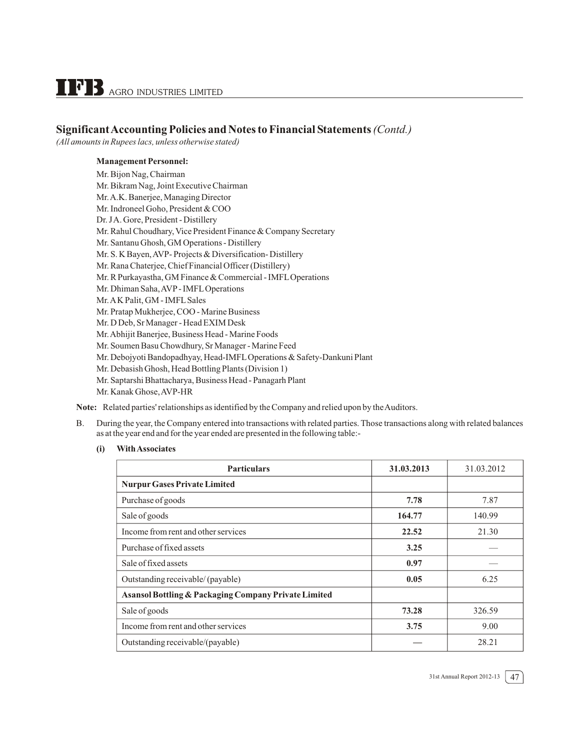*(All amounts in Rupees lacs, unless otherwise stated)*

#### **Management Personnel:**

Mr. Bijon Nag, Chairman Mr. Bikram Nag, Joint Executive Chairman Mr.A.K. Banerjee, Managing Director Mr. Indroneel Goho, President & COO Dr. JA. Gore, President - Distillery Mr. Rahul Choudhary, Vice President Finance & Company Secretary Mr. Santanu Ghosh, GM Operations - Distillery Mr. S. K Bayen, AVP- Projects & Diversification- Distillery Mr. Rana Chaterjee, Chief Financial Officer (Distillery) Mr. R Purkayastha, GM Finance & Commercial - IMFL Operations Mr. Dhiman Saha, AVP - IMFL Operations Mr.A K Palit, GM - IMFL Sales Mr. Pratap Mukherjee, COO - Marine Business Mr. D Deb, Sr Manager - Head EXIM Desk Mr.Abhijit Banerjee, Business Head - Marine Foods Mr. Soumen Basu Chowdhury, Sr Manager - Marine Feed Mr. Debojyoti Bandopadhyay, Head-IMFL Operations & Safety-Dankuni Plant Mr. Debasish Ghosh, Head Bottling Plants (Division 1) Mr. Saptarshi Bhattacharya, Business Head - Panagarh Plant Mr. Kanak Ghose, AVP-HR

**Note:** Related parties' relationships as identified by the Company and relied upon by the Auditors.

- B. During the year, the Company entered into transactions with related parties. Those transactions along with related balances as at the year end and for the year ended are presented in the following table:-
	- **(i) With Associates**

| <b>Particulars</b>                                   | 31.03.2013 | 31.03.2012 |
|------------------------------------------------------|------------|------------|
| <b>Nurpur Gases Private Limited</b>                  |            |            |
| Purchase of goods                                    | 7.78       | 7.87       |
| Sale of goods                                        | 164.77     | 140.99     |
| Income from rent and other services                  | 22.52      | 21.30      |
| Purchase of fixed assets                             | 3.25       |            |
| Sale of fixed assets                                 | 0.97       |            |
| Outstanding receivable/ (payable)                    | 0.05       | 6.25       |
| Asansol Bottling & Packaging Company Private Limited |            |            |
| Sale of goods                                        | 73.28      | 326.59     |
| Income from rent and other services                  | 3.75       | 9.00       |
| Outstanding receivable/(payable)                     |            | 28.21      |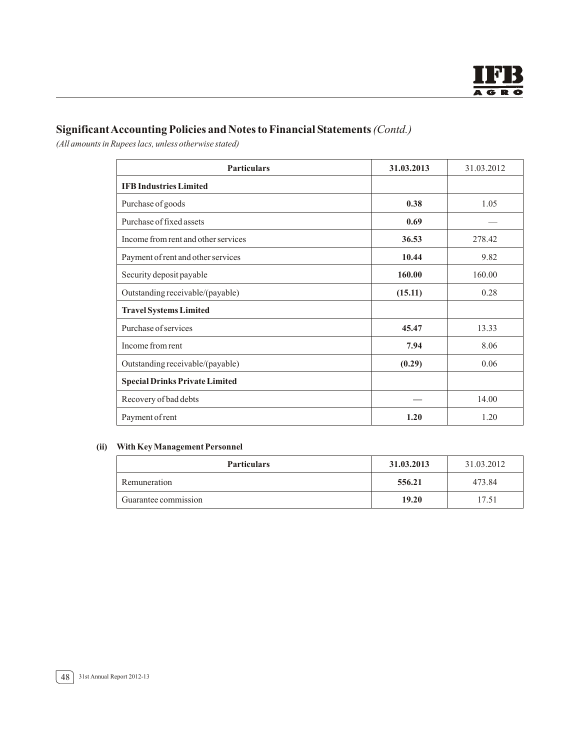*(All amounts in Rupees lacs, unless otherwise stated)*

| <b>Particulars</b>                    | 31.03.2013 | 31.03.2012 |
|---------------------------------------|------------|------------|
| <b>IFB</b> Industries Limited         |            |            |
| Purchase of goods                     | 0.38       | 1.05       |
| Purchase of fixed assets              | 0.69       |            |
| Income from rent and other services   | 36.53      | 278.42     |
| Payment of rent and other services    | 10.44      | 9.82       |
| Security deposit payable              | 160.00     | 160.00     |
| Outstanding receivable/(payable)      | (15.11)    | 0.28       |
| <b>Travel Systems Limited</b>         |            |            |
| Purchase of services                  | 45.47      | 13.33      |
| Income from rent                      | 7.94       | 8.06       |
| Outstanding receivable/(payable)      | (0.29)     | 0.06       |
| <b>Special Drinks Private Limited</b> |            |            |
| Recovery of bad debts                 |            | 14.00      |
| Payment of rent                       | 1.20       | 1.20       |

#### **(ii) With Key Management Personnel**

| <b>Particulars</b>   | 31.03.2013 | 31.03.2012 |
|----------------------|------------|------------|
| Remuneration         | 556.21     | 473.84     |
| Guarantee commission | 19.20      | 17.51      |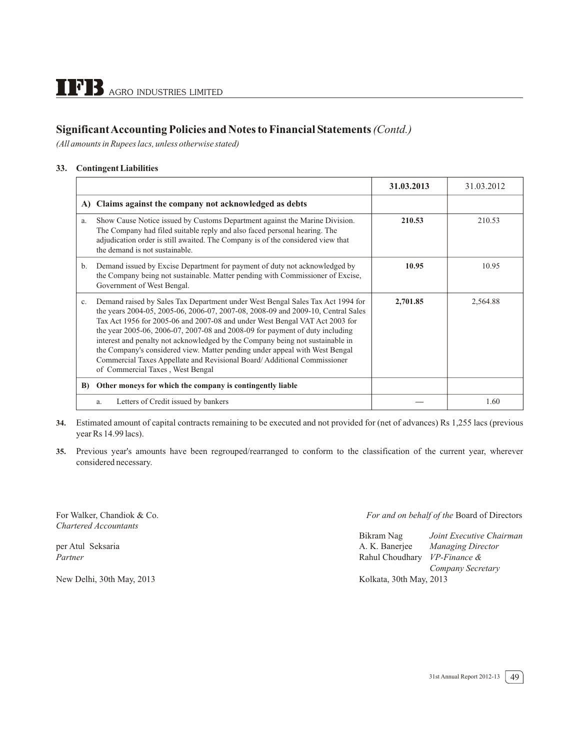*(All amounts in Rupees lacs, unless otherwise stated)*

#### **33. Contingent Liabilities**

|             |                                                                                                                                                                                                                                                                                                                                                                                                                                                                                                                                                                                                                  | 31.03.2013 | 31.03.2012 |
|-------------|------------------------------------------------------------------------------------------------------------------------------------------------------------------------------------------------------------------------------------------------------------------------------------------------------------------------------------------------------------------------------------------------------------------------------------------------------------------------------------------------------------------------------------------------------------------------------------------------------------------|------------|------------|
|             | A) Claims against the company not acknowledged as debts                                                                                                                                                                                                                                                                                                                                                                                                                                                                                                                                                          |            |            |
| a.          | Show Cause Notice issued by Customs Department against the Marine Division.<br>The Company had filed suitable reply and also faced personal hearing. The<br>adjudication order is still awaited. The Company is of the considered view that<br>the demand is not sustainable.                                                                                                                                                                                                                                                                                                                                    | 210.53     | 210.53     |
| b.          | Demand issued by Excise Department for payment of duty not acknowledged by<br>the Company being not sustainable. Matter pending with Commissioner of Excise,<br>Government of West Bengal.                                                                                                                                                                                                                                                                                                                                                                                                                       | 10.95      | 10.95      |
| $c_{\cdot}$ | Demand raised by Sales Tax Department under West Bengal Sales Tax Act 1994 for<br>the years 2004-05, 2005-06, 2006-07, 2007-08, 2008-09 and 2009-10, Central Sales<br>Tax Act 1956 for 2005-06 and 2007-08 and under West Bengal VAT Act 2003 for<br>the year 2005-06, 2006-07, 2007-08 and 2008-09 for payment of duty including<br>interest and penalty not acknowledged by the Company being not sustainable in<br>the Company's considered view. Matter pending under appeal with West Bengal<br>Commercial Taxes Appellate and Revisional Board/Additional Commissioner<br>of Commercial Taxes, West Bengal | 2,701.85   | 2,564.88   |
| B)          | Other moneys for which the company is contingently liable                                                                                                                                                                                                                                                                                                                                                                                                                                                                                                                                                        |            |            |
|             | Letters of Credit issued by bankers<br>a.                                                                                                                                                                                                                                                                                                                                                                                                                                                                                                                                                                        |            | 1.60       |

- **34.** Estimated amount of capital contracts remaining to be executed and not provided for (net of advances) Rs 1,255 lacs (previous year Rs 14.99 lacs).
- **35.** Previous year's amounts have been regrouped/rearranged to conform to the classification of the current year, wherever considered necessary.

*Chartered Accountants* 

#### For Walker, Chandiok & Co. *For and on behalf of the* Board of Directors

|                           | Bikram Nag                   | Joint Executive Chairman |
|---------------------------|------------------------------|--------------------------|
| per Atul Seksaria         | A. K. Baneriee               | Managing Director        |
| Partner                   | Rahul Choudhary VP-Finance & |                          |
|                           |                              | Company Secretary        |
| New Delhi, 30th May, 2013 | Kolkata, 30th May, 2013      |                          |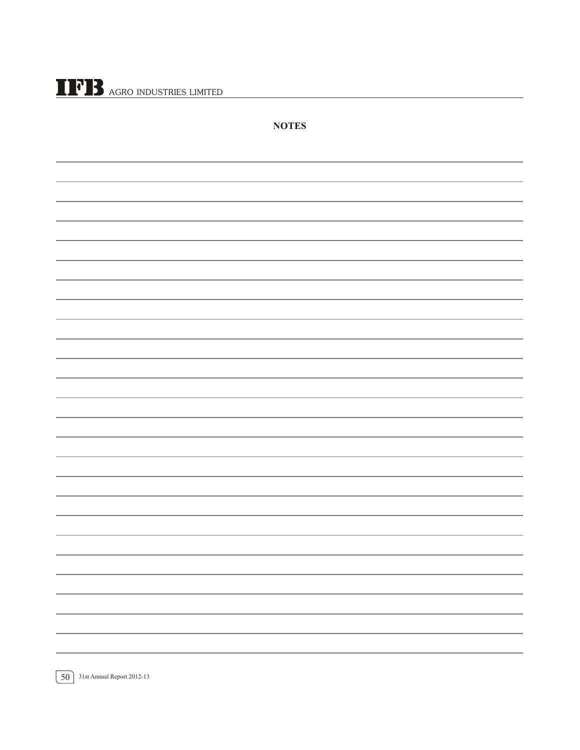$\prod$ <sup>7</sup> $\prod$  agro industries limited

| <b>NOTES</b> |
|--------------|
|              |
|              |
|              |
|              |
|              |
|              |
|              |
|              |
|              |
|              |
|              |
|              |
|              |
|              |
|              |
|              |
|              |
|              |
|              |
|              |
|              |
|              |
|              |
|              |
|              |

50 31st Annual Report 2012-13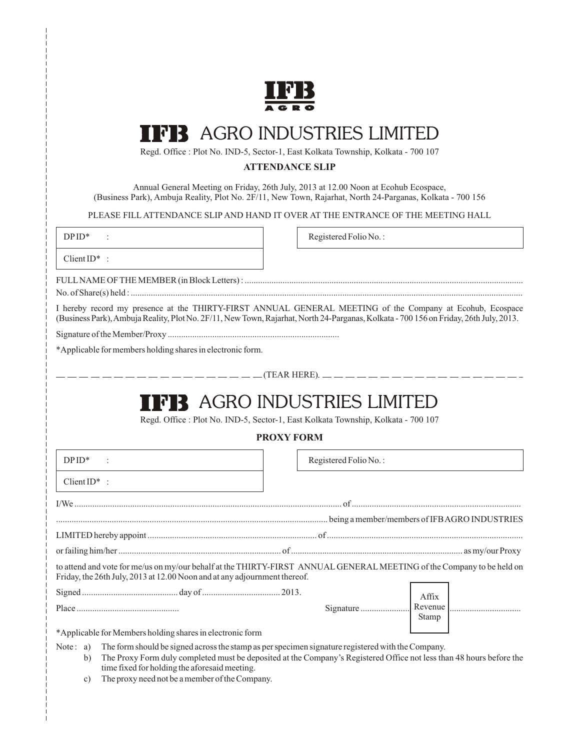

# AGRO INDUSTRIES LIMITED

Regd. Office : Plot No. IND-5, Sector-1, East Kolkata Township, Kolkata - 700 107

#### **ATTENDANCE SLIP**

Annual General Meeting on Friday, 26th July, 2013 at 12.00 Noon at Ecohub Ecospace, (Business Park), Ambuja Reality, Plot No. 2F/11, New Town, Rajarhat, North 24-Parganas, Kolkata - 700 156

PLEASE FILL ATTENDANCE SLIP AND HAND IT OVER AT THE ENTRANCE OF THE MEETING HALL

DP ID<sup>\*</sup> : Registered Folio No.:

Client ID\* :

FULL NAME OF THE MEMBER (in Block Letters) : .............................................................................................................................

No. of Share(s) held : ................................................................................................................................................................................

I hereby record my presence at the THIRTY-FIRST ANNUAL GENERAL MEETING of the Company at Ecohub, Ecospace (Business Park), Ambuja Reality, Plot No. 2F/11, New Town, Rajarhat, North 24-Parganas, Kolkata - 700 156 on Friday, 26th July, 2013.

Signature of the Member/Proxy .............................................................................

\*Applicable for members holding shares in electronic form.

 $\frac{\ }{\ }$   $=\frac{\ }{\ }$  (TEAR HERE).  $\frac{\ }{\ }$   $=\frac{\ }{\ }$   $=\frac{\ }{\ }$ 

# **FIR AGRO INDUSTRIES LIMITED**

Regd. Office : Plot No. IND-5, Sector-1, East Kolkata Township, Kolkata - 700 107

#### **PROXY FORM**

| $DPID*$                                                                                                                                                                                            | Registered Folio No.: |       |  |  |
|----------------------------------------------------------------------------------------------------------------------------------------------------------------------------------------------------|-----------------------|-------|--|--|
| Client $ID^*$ :                                                                                                                                                                                    |                       |       |  |  |
|                                                                                                                                                                                                    |                       |       |  |  |
|                                                                                                                                                                                                    |                       |       |  |  |
|                                                                                                                                                                                                    |                       |       |  |  |
|                                                                                                                                                                                                    |                       |       |  |  |
| to attend and vote for me/us on my/our behalf at the THIRTY-FIRST ANNUAL GENERAL MEETING of the Company to be held on<br>Friday, the 26th July, 2013 at 12.00 Noon and at any adjournment thereof. |                       |       |  |  |
|                                                                                                                                                                                                    |                       | Affix |  |  |
|                                                                                                                                                                                                    |                       | Stamp |  |  |
| *Applicable for Members bolding shares in electronic form                                                                                                                                          |                       |       |  |  |

\*Applicable for Members holding shares in electronic form

Note : a) The form should be signed across the stamp as per specimen signature registered with the Company.

- b) The Proxy Form duly completed must be deposited at the Company's Registered Office not less than 48 hours before the time fixed for holding the aforesaid meeting.
	- c) The proxy need not be a member of the Company.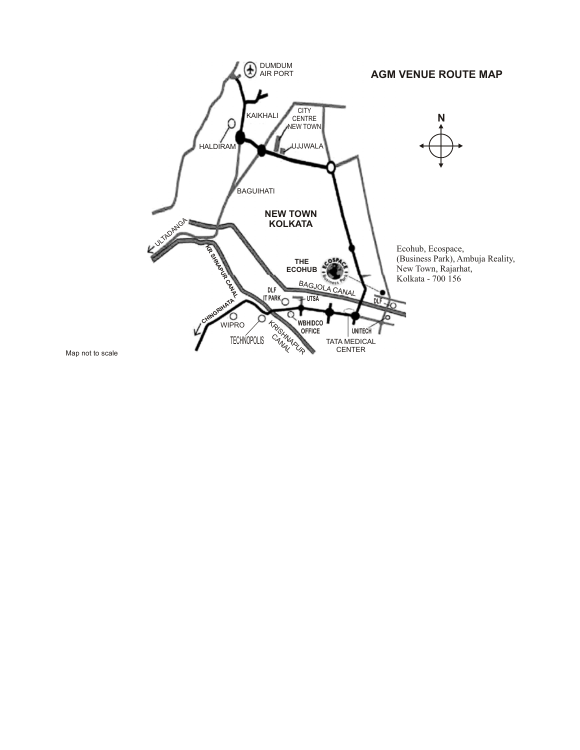

Map not to scale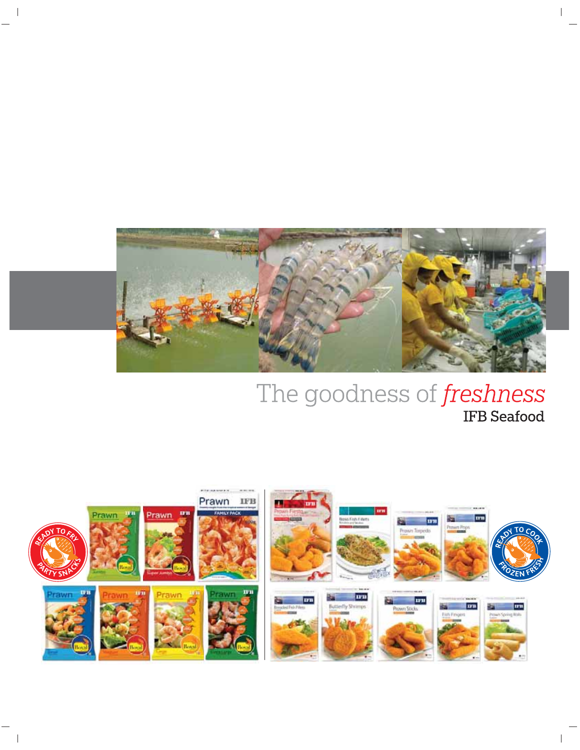

 $\overline{\phantom{a}}$ 

# The goodness of *freshness*

 $\overline{\phantom{a}}$ 

 $\overline{\phantom{a}}$